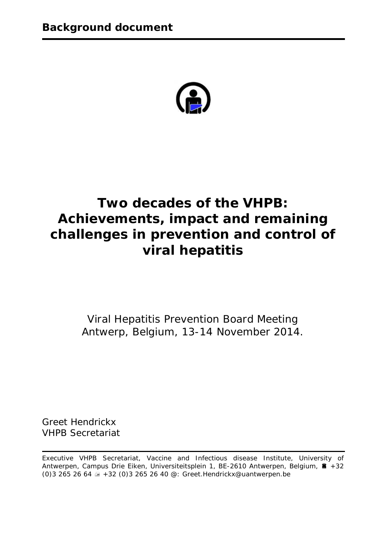

# **Two decades of the VHPB: Achievements, impact and remaining challenges in prevention and control of viral hepatitis**

Viral Hepatitis Prevention Board Meeting Antwerp, Belgium, 13-14 November 2014.

Greet Hendrickx VHPB Secretariat

Executive VHPB Secretariat, Vaccine and Infectious disease Institute, University of Antwerpen, Campus Drie Eiken, Universiteitsplein 1, BE-2610 Antwerpen, Belgium,  $\hat{p}$  +32  $(0)3 \; 265 \; 26 \; 64 \equiv +32 \; (0)3 \; 265 \; 26 \; 40 \; \textcircled{e}$ : Greet.Hendrickx@uantwerpen.be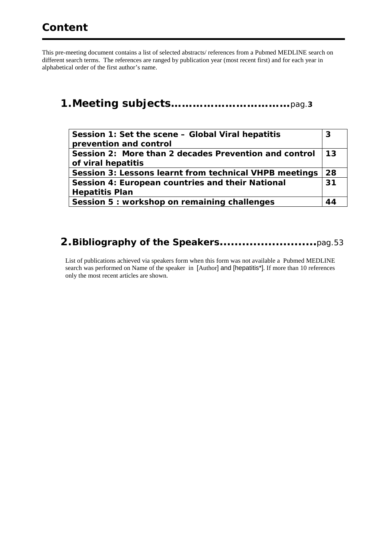This pre-meeting document contains a list of selected abstracts/ references from a Pubmed MEDLINE search on different search terms. The references are ranged by publication year (most recent first) and for each year in alphabetical order of the first author's name.

# **1.Meeting subjects……………………………**pag.**<sup>3</sup>**

| Session 1: Set the scene - Global Viral hepatitis<br>prevention and control |    |  |  |  |
|-----------------------------------------------------------------------------|----|--|--|--|
| Session 2: More than 2 decades Prevention and control                       | 13 |  |  |  |
|                                                                             |    |  |  |  |
| of viral hepatitis                                                          |    |  |  |  |
| Session 3: Lessons learnt from technical VHPB meetings                      | 28 |  |  |  |
| Session 4: European countries and their National                            |    |  |  |  |
| <b>Hepatitis Plan</b>                                                       |    |  |  |  |
| Session 5 : workshop on remaining challenges                                |    |  |  |  |

# **2.Bibliography of the Speakers..........................**pag.53

List of publications achieved via speakers form when this form was not available a Pubmed MEDLINE search was performed on Name of the speaker in [Author] and [hepatitis\*]. If more than 10 references only the most recent articles are shown.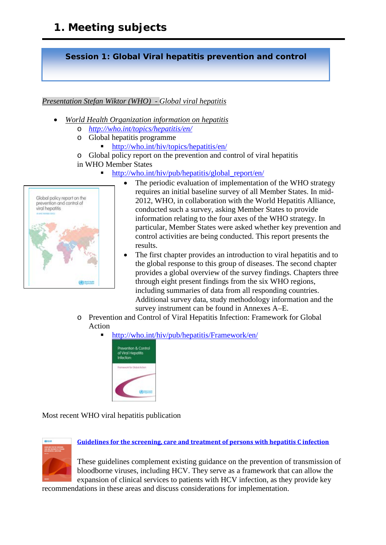# **Session 1: Global Viral hepatitis prevention and control**

# *Presentation Stefan Wiktor (WHO) - Global viral hepatitis*

- *World Health Organization information on hepatitis* 
	- o *<http://who.int/topics/hepatitis/en/>*
	- o Global hepatitis programme
		- <http://who.int/hiv/topics/hepatitis/en/>
	- o Global policy report on the prevention and control of viral hepatitis in WHO Member States
		- [http://who.int/hiv/pub/hepatitis/global\\_report/en/](http://who.int/hiv/pub/hepatitis/global_report/en/)



- The periodic evaluation of implementation of the WHO strategy requires an initial baseline survey of all Member States. In mid-2012, WHO, in collaboration with the World Hepatitis Alliance, conducted such a survey, asking Member States to provide information relating to the four axes of the WHO strategy. In particular, Member States were asked whether key prevention and control activities are being conducted. This report presents the results.
- The first chapter provides an introduction to viral hepatitis and to the global response to this group of diseases. The second chapter provides a global overview of the survey findings. Chapters three through eight present findings from the six WHO regions, including summaries of data from all responding countries. Additional survey data, study methodology information and the survey instrument can be found in Annexes A–E.
- o Prevention and Control of Viral Hepatitis Infection: Framework for Global Action
	- <http://who.int/hiv/pub/hepatitis/Framework/en/>



Most recent WHO viral hepatitis publication



# **[Guidelines for the screening, care and treatment of persons with hepatitis C infection](http://who.int/entity/hiv/pub/hepatitis/hepatitis-c-guidelines/en/index.html)**

These guidelines complement existing guidance on the prevention of transmission of bloodborne viruses, including HCV. They serve as a framework that can allow the expansion of clinical services to patients with HCV infection, as they provide key

recommendations in these areas and discuss considerations for implementation.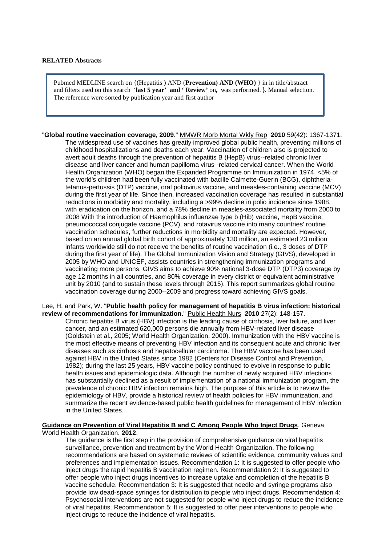#### **RELATED Abstracts**

Pubmed MEDLINE search on {(Hepatitis ) AND (**Prevention) AND (WHO)** } in in title/abstract and filters used on this search '**last 5 year' and ' Review'** on**,** was performed. }. Manual selection. The reference were sorted by publication year and first author

"**Global routine vaccination coverage, 2009**." MMWR Morb Mortal Wkly Rep **2010** 59(42): 1367-1371. The widespread use of vaccines has greatly improved global public health, preventing millions of childhood hospitalizations and deaths each year. Vaccination of children also is projected to avert adult deaths through the prevention of hepatitis B (HepB) virus--related chronic liver disease and liver cancer and human papilloma virus--related cervical cancer. When the World Health Organization (WHO) began the Expanded Programme on Immunization in 1974, <5% of the world's children had been fully vaccinated with bacille Calmette-Guerin (BCG), diphtheriatetanus-pertussis (DTP) vaccine, oral poliovirus vaccine, and measles-containing vaccine (MCV) during the first year of life. Since then, increased vaccination coverage has resulted in substantial reductions in morbidity and mortality, including a >99% decline in polio incidence since 1988, with eradication on the horizon, and a 78% decline in measles-associated mortality from 2000 to 2008 With the introduction of Haemophilus influenzae type b (Hib) vaccine, HepB vaccine, pneumococcal conjugate vaccine (PCV), and rotavirus vaccine into many countries' routine vaccination schedules, further reductions in morbidity and mortality are expected. However, based on an annual global birth cohort of approximately 130 million, an estimated 23 million infants worldwide still do not receive the benefits of routine vaccination (i.e., 3 doses of DTP during the first year of life). The Global Immunization Vision and Strategy (GIVS), developed in 2005 by WHO and UNICEF, assists countries in strengthening immunization programs and vaccinating more persons. GIVS aims to achieve 90% national 3-dose DTP (DTP3) coverage by age 12 months in all countries, and 80% coverage in every district or equivalent administrative unit by 2010 (and to sustain these levels through 2015). This report summarizes global routine vaccination coverage during 2000--2009 and progress toward achieving GIVS goals.

Lee, H. and Park, W. "**Public health policy for management of hepatitis B virus infection: historical review of recommendations for immunization**." Public Health Nurs **2010** 27(2): 148-157.

Chronic hepatitis B virus (HBV) infection is the leading cause of cirrhosis, liver failure, and liver cancer, and an estimated 620,000 persons die annually from HBV-related liver disease (Goldstein et al., 2005; World Health Organization, 2000). Immunization with the HBV vaccine is the most effective means of preventing HBV infection and its consequent acute and chronic liver diseases such as cirrhosis and hepatocellular carcinoma. The HBV vaccine has been used against HBV in the United States since 1982 (Centers for Disease Control and Prevention, 1982); during the last 25 years, HBV vaccine policy continued to evolve in response to public health issues and epidemiologic data. Although the number of newly acquired HBV infections has substantially declined as a result of implementation of a national immunization program, the prevalence of chronic HBV infection remains high. The purpose of this article is to review the epidemiology of HBV, provide a historical review of health policies for HBV immunization, and summarize the recent evidence-based public health guidelines for management of HBV infection in the United States.

### **Guidance on Prevention of Viral Hepatitis B and C Among People Who Inject Drugs**. Geneva, World Health Organization. **2012**.

The guidance is the first step in the provision of comprehensive guidance on viral hepatitis surveillance, prevention and treatment by the World Health Organization. The following recommendations are based on systematic reviews of scientific evidence, community values and preferences and implementation issues. Recommendation 1: It is suggested to offer people who inject drugs the rapid hepatitis B vaccination regimen. Recommendation 2: It is suggested to offer people who inject drugs incentives to increase uptake and completion of the hepatitis B vaccine schedule. Recommendation 3: It is suggested that needle and syringe programs also provide low dead-space syringes for distribution to people who inject drugs. Recommendation 4: Psychosocial interventions are not suggested for people who inject drugs to reduce the incidence of viral hepatitis. Recommendation 5: It is suggested to offer peer interventions to people who inject drugs to reduce the incidence of viral hepatitis.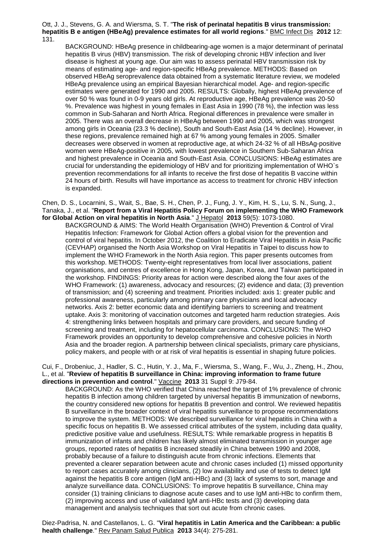Ott, J. J., Stevens, G. A. and Wiersma, S. T. "**The risk of perinatal hepatitis B virus transmission: hepatitis B e antigen (HBeAg) prevalence estimates for all world regions**." BMC Infect Dis **2012** 12: 131.

BACKGROUND: HBeAg presence in childbearing-age women is a major determinant of perinatal hepatitis B virus (HBV) transmission. The risk of developing chronic HBV infection and liver disease is highest at young age. Our aim was to assess perinatal HBV transmission risk by means of estimating age- and region-specific HBeAg prevalence. METHODS: Based on observed HBeAg seroprevalence data obtained from a systematic literature review, we modeled HBeAg prevalence using an empirical Bayesian hierarchical model. Age- and region-specific estimates were generated for 1990 and 2005. RESULTS: Globally, highest HBeAg prevalence of over 50 % was found in 0-9 years old girls. At reproductive age, HBeAg prevalence was 20-50 %. Prevalence was highest in young females in East Asia in 1990 (78 %), the infection was less common in Sub-Saharan and North Africa. Regional differences in prevalence were smaller in 2005. There was an overall decrease in HBeAg between 1990 and 2005, which was strongest among girls in Oceania (23.3 % decline), South and South-East Asia (14 % decline). However, in these regions, prevalence remained high at 67 % among young females in 2005. Smaller decreases were observed in women at reproductive age, at which 24-32 % of all HBsAg-positive women were HBeAg-positive in 2005, with lowest prevalence in Southern Sub-Saharan Africa and highest prevalence in Oceania and South-East Asia. CONCLUSIONS: HBeAg estimates are crucial for understanding the epidemiology of HBV and for prioritizing implementation of WHO`s prevention recommendations for all infants to receive the first dose of hepatitis B vaccine within 24 hours of birth. Results will have importance as access to treatment for chronic HBV infection is expanded.

Chen, D. S., Locarnini, S., Wait, S., Bae, S. H., Chen, P. J., Fung, J. Y., Kim, H. S., Lu, S. N., Sung, J., Tanaka, J., et al. "**Report from a Viral Hepatitis Policy Forum on implementing the WHO Framework for Global Action on viral hepatitis in North Asia**." J Hepatol **2013** 59(5): 1073-1080.

BACKGROUND & AIMS: The World Health Organisation (WHO) Prevention & Control of Viral Hepatitis Infection: Framework for Global Action offers a global vision for the prevention and control of viral hepatitis. In October 2012, the Coalition to Eradicate Viral Hepatitis in Asia Pacific (CEVHAP) organised the North Asia Workshop on Viral Hepatitis in Taipei to discuss how to implement the WHO Framework in the North Asia region. This paper presents outcomes from this workshop. METHODS: Twenty-eight representatives from local liver associations, patient organisations, and centres of excellence in Hong Kong, Japan, Korea, and Taiwan participated in the workshop. FINDINGS: Priority areas for action were described along the four axes of the WHO Framework: (1) awareness, advocacy and resources; (2) evidence and data; (3) prevention of transmission; and (4) screening and treatment. Priorities included: axis 1: greater public and professional awareness, particularly among primary care physicians and local advocacy networks. Axis 2: better economic data and identifying barriers to screening and treatment uptake. Axis 3: monitoring of vaccination outcomes and targeted harm reduction strategies. Axis 4: strengthening links between hospitals and primary care providers, and secure funding of screening and treatment, including for hepatocellular carcinoma. CONCLUSIONS: The WHO Framework provides an opportunity to develop comprehensive and cohesive policies in North Asia and the broader region. A partnership between clinical specialists, primary care physicians, policy makers, and people with or at risk of viral hepatitis is essential in shaping future policies.

#### Cui, F., Drobeniuc, J., Hadler, S. C., Hutin, Y. J., Ma, F., Wiersma, S., Wang, F., Wu, J., Zheng, H., Zhou, L., et al. "**Review of hepatitis B surveillance in China: improving information to frame future directions in prevention and control**." Vaccine **2013** 31 Suppl 9: J79-84.

BACKGROUND: As the WHO verified that China reached the target of 1% prevalence of chronic hepatitis B infection among children targeted by universal hepatitis B immunization of newborns, the country considered new options for hepatitis B prevention and control. We reviewed hepatitis B surveillance in the broader context of viral hepatitis surveillance to propose recommendations to improve the system. METHODS: We described surveillance for viral hepatitis in China with a specific focus on hepatitis B. We assessed critical attributes of the system, including data quality, predictive positive value and usefulness. RESULTS: While remarkable progress in hepatitis B immunization of infants and children has likely almost eliminated transmission in younger age groups, reported rates of hepatitis B increased steadily in China between 1990 and 2008, probably because of a failure to distinguish acute from chronic infections. Elements that prevented a clearer separation between acute and chronic cases included (1) missed opportunity to report cases accurately among clinicians, (2) low availability and use of tests to detect IgM against the hepatitis B core antigen (IgM anti-HBc) and (3) lack of systems to sort, manage and analyze surveillance data. CONCLUSIONS: To improve hepatitis B surveillance, China may consider (1) training clinicians to diagnose acute cases and to use IgM anti-HBc to confirm them, (2) improving access and use of validated IgM anti-HBc tests and (3) developing data management and analysis techniques that sort out acute from chronic cases.

Diez-Padrisa, N. and Castellanos, L. G. "**Viral hepatitis in Latin America and the Caribbean: a public health challenge**." Rev Panam Salud Publica **2013** 34(4): 275-281.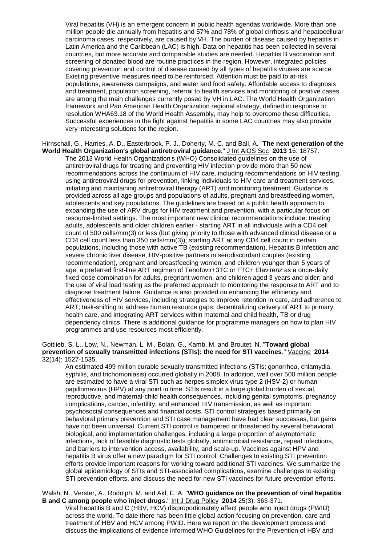Viral hepatitis (VH) is an emergent concern in public health agendas worldwide. More than one million people die annually from hepatitis and 57% and 78% of global cirrhosis and hepatocellular carcinoma cases, respectively, are caused by VH. The burden of disease caused by hepatitis in Latin America and the Caribbean (LAC) is high. Data on hepatitis has been collected in several countries, but more accurate and comparable studies are needed. Hepatitis B vaccination and screening of donated blood are routine practices in the region. However, integrated policies covering prevention and control of disease caused by all types of hepatitis viruses are scarce. Existing preventive measures need to be reinforced. Attention must be paid to at-risk populations, awareness campaigns, and water and food safety. Affordable access to diagnosis and treatment, population screening, referral to health services and monitoring of positive cases are among the main challenges currently posed by VH in LAC. The World Health Organization framework and Pan American Health Organization regional strategy, defined in response to resolution WHA63.18 of the World Health Assembly, may help to overcome these difficulties. Successful experiences in the fight against hepatitis in some LAC countries may also provide very interesting solutions for the region.

Hirnschall, G., Harries, A. D., Easterbrook, P. J., Doherty, M. C. and Ball, A. "**The next generation of the World Health Organization's global antiretroviral guidance**." J Int AIDS Soc **2013** 16: 18757.

The 2013 World Health Organization's (WHO) Consolidated guidelines on the use of antiretroviral drugs for treating and preventing HIV infection provide more than 50 new recommendations across the continuum of HIV care, including recommendations on HIV testing, using antiretroviral drugs for prevention, linking individuals to HIV care and treatment services, initiating and maintaining antiretroviral therapy (ART) and monitoring treatment. Guidance is provided across all age groups and populations of adults, pregnant and breastfeeding women, adolescents and key populations. The guidelines are based on a public health approach to expanding the use of ARV drugs for HIV treatment and prevention, with a particular focus on resource-limited settings. The most important new clinical recommendations include: treating adults, adolescents and older children earlier - starting ART in all individuals with a CD4 cell count of 500 cells/mm(3) or less (but giving priority to those with advanced clinical disease or a CD4 cell count less than 350 cells/mm(3)); starting ART at any CD4 cell count in certain populations, including those with active TB (existing recommendation), Hepatitis B infection and severe chronic liver disease, HIV-positive partners in serodiscordant couples (existing recommendation), pregnant and breastfeeding women, and children younger than 5 years of age; a preferred first-line ART regimen of Tenofovir+3TC or FTC+ Efavirenz as a once-daily fixed-dose combination for adults, pregnant women, and children aged 3 years and older; and the use of viral load testing as the preferred approach to monitoring the response to ART and to diagnose treatment failure. Guidance is also provided on enhancing the efficiency and effectiveness of HIV services, including strategies to improve retention in care, and adherence to ART; task-shifting to address human resource gaps; decentralizing delivery of ART to primary health care, and integrating ART services within maternal and child health, TB or drug dependency clinics. There is additional guidance for programme managers on how to plan HIV programmes and use resources most efficiently.

Gottlieb, S. L., Low, N., Newman, L. M., Bolan, G., Kamb, M. and Broutet, N. "**Toward global prevention of sexually transmitted infections (STIs): the need for STI vaccines**." Vaccine **2014** 32(14): 1527-1535.

An estimated 499 million curable sexually transmitted infections (STIs; gonorrhea, chlamydia, syphilis, and trichomoniasis) occurred globally in 2008. In addition, well over 500 million people are estimated to have a viral STI such as herpes simplex virus type 2 (HSV-2) or human papillomavirus (HPV) at any point in time. STIs result in a large global burden of sexual, reproductive, and maternal-child health consequences, including genital symptoms, pregnancy complications, cancer, infertility, and enhanced HIV transmission, as well as important psychosocial consequences and financial costs. STI control strategies based primarily on behavioral primary prevention and STI case management have had clear successes, but gains have not been universal. Current STI control is hampered or threatened by several behavioral, biological, and implementation challenges, including a large proportion of asymptomatic infections, lack of feasible diagnostic tests globally, antimicrobial resistance, repeat infections, and barriers to intervention access, availability, and scale-up. Vaccines against HPV and hepatitis B virus offer a new paradigm for STI control. Challenges to existing STI prevention efforts provide important reasons for working toward additional STI vaccines. We summarize the global epidemiology of STIs and STI-associated complications, examine challenges to existing STI prevention efforts, and discuss the need for new STI vaccines for future prevention efforts.

Walsh, N., Verster, A., Rodolph, M. and Akl, E. A. "**WHO guidance on the prevention of viral hepatitis B and C among people who inject drugs**." Int J Drug Policy **2014** 25(3): 363-371.

Viral hepatitis B and C (HBV, HCV) disproportionately affect people who inject drugs (PWID) across the world. To date there has been little global action focusing on prevention, care and treatment of HBV and HCV among PWID. Here we report on the development process and discuss the implications of evidence informed WHO Guidelines for the Prevention of HBV and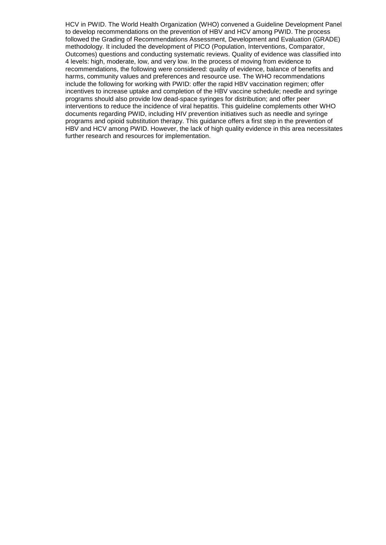HCV in PWID. The World Health Organization (WHO) convened a Guideline Development Panel to develop recommendations on the prevention of HBV and HCV among PWID. The process followed the Grading of Recommendations Assessment, Development and Evaluation (GRADE) methodology. It included the development of PICO (Population, Interventions, Comparator, Outcomes) questions and conducting systematic reviews. Quality of evidence was classified into 4 levels: high, moderate, low, and very low. In the process of moving from evidence to recommendations, the following were considered: quality of evidence, balance of benefits and harms, community values and preferences and resource use. The WHO recommendations include the following for working with PWID: offer the rapid HBV vaccination regimen; offer incentives to increase uptake and completion of the HBV vaccine schedule; needle and syringe programs should also provide low dead-space syringes for distribution; and offer peer interventions to reduce the incidence of viral hepatitis. This guideline complements other WHO documents regarding PWID, including HIV prevention initiatives such as needle and syringe programs and opioid substitution therapy. This guidance offers a first step in the prevention of HBV and HCV among PWID. However, the lack of high quality evidence in this area necessitates further research and resources for implementation.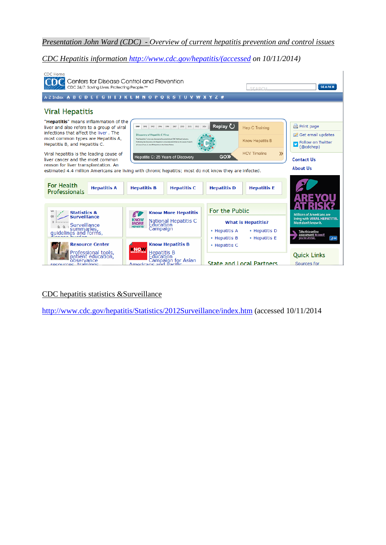# *Presentation John Ward (CDC) - Overview of current hepatitis prevention and control issues*

# *CDC Hepatitis information [http://www.cdc.gov/hepatitis/\(accessed](http://www.cdc.gov/hepatitis/(accessed) on 10/11/2014)*

| CDC Home<br>Centers for Disease Control and Prevention<br>CDC 24/7: Saving Lives. Protecting People.™                                                                                                                         | <b>SEARCH</b>                                                                                                           | <b>SEARCH</b>                                                                                 |                                                                                                                                 |  |  |  |  |  |  |  |
|-------------------------------------------------------------------------------------------------------------------------------------------------------------------------------------------------------------------------------|-------------------------------------------------------------------------------------------------------------------------|-----------------------------------------------------------------------------------------------|---------------------------------------------------------------------------------------------------------------------------------|--|--|--|--|--|--|--|
| A-Z Index <b>A B C D E F G H I J K L M N O P Q R S T U V W X Y Z #</b>                                                                                                                                                        |                                                                                                                         |                                                                                               |                                                                                                                                 |  |  |  |  |  |  |  |
| <b>Viral Hepatitis</b>                                                                                                                                                                                                        |                                                                                                                         |                                                                                               |                                                                                                                                 |  |  |  |  |  |  |  |
| "Hepatitis" means inflammation of the<br>liver and also refers to a group of viral<br>infections that affect the liver. The<br>most common types are Hepatitis A,<br>Hepatitis B, and Hepatitis C.                            | Replay $\bigcirc$<br>Hep C Training<br>Know Hepatitis B<br><b>HCV Timeline</b><br>$\mathcal{V}$                         | Print page<br>Get email updates<br>D Follow on Twitter<br>(@cdchep)                           |                                                                                                                                 |  |  |  |  |  |  |  |
| Viral hepatitis is the leading cause of<br>liver cancer and the most common<br>reason for liver transplantation. An<br>estimated 4.4 million Americans are living with chronic hepatitis; most do not know they are infected. | <b>Contact Us</b><br><b>About Us</b>                                                                                    |                                                                                               |                                                                                                                                 |  |  |  |  |  |  |  |
| <b>For Health</b><br><b>Hepatitis A</b><br><b>Professionals</b>                                                                                                                                                               |                                                                                                                         |                                                                                               |                                                                                                                                 |  |  |  |  |  |  |  |
| <b>Statistics &amp;</b>                                                                                                                                                                                                       | <b>Know More Hepatitis</b><br>$\boldsymbol{\beta}$                                                                      | For the Public<br><b>Millions of Americans are</b>                                            |                                                                                                                                 |  |  |  |  |  |  |  |
| O <sub>O</sub><br><b>Surveillance</b><br>. Surveillance<br>summaries,<br>uidelines and forms,                                                                                                                                 | <b>KNOW</b><br>MORE<br>National Hepatitis C<br><b>Education</b><br><b>HEPATITIS</b><br>Campaign                         | <b>What is Hepatitis?</b><br>• Hepatitis D<br>• Hepatitis A<br>• Hepatitis B<br>• Hepatitis E | living with VIRAL HEPATITIS.<br>Most don't know it.<br><b>Take this online</b><br>assessment to see if<br>you're at risk.<br>20 |  |  |  |  |  |  |  |
| <b>Resource Center</b><br>Professional tools,<br>patient education.<br>observance<br>racourcae traininge                                                                                                                      | <b>Know Hepatitis B</b><br><b>NO.</b><br><b>Hepatitis B</b><br>Education<br>Campaign for Asian<br>Americans and Dacific | • Hepatitis C<br>State and Local Partners                                                     | <b>Oujck Links</b><br>Sources for                                                                                               |  |  |  |  |  |  |  |

# CDC hepatitis statistics &Surveillance

<http://www.cdc.gov/hepatitis/Statistics/2012Surveillance/index.htm> (accessed 10/11/2014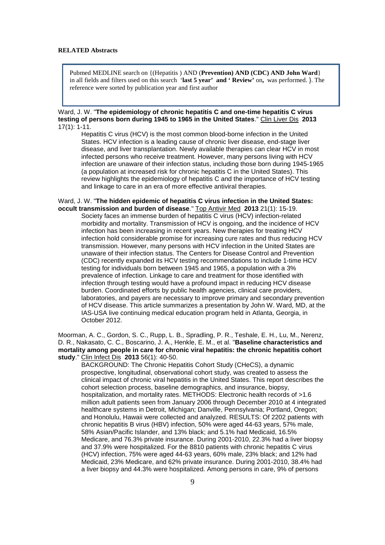Pubmed MEDLINE search on {(Hepatitis ) AND (**Prevention) AND (CDC) AND John Ward**} in all fields and filters used on this search '**last 5 year' and ' Review'** on**,** was performed. }. The reference were sorted by publication year and first author

Ward, J. W. "**The epidemiology of chronic hepatitis C and one-time hepatitis C virus testing of persons born during 1945 to 1965 in the United States**." Clin Liver Dis **2013** 17(1): 1-11.

Hepatitis C virus (HCV) is the most common blood-borne infection in the United States. HCV infection is a leading cause of chronic liver disease, end-stage liver disease, and liver transplantation. Newly available therapies can clear HCV in most infected persons who receive treatment. However, many persons living with HCV infection are unaware of their infection status, including those born during 1945-1965 (a population at increased risk for chronic hepatitis C in the United States). This review highlights the epidemiology of hepatitis C and the importance of HCV testing and linkage to care in an era of more effective antiviral therapies.

Ward, J. W. "**The hidden epidemic of hepatitis C virus infection in the United States: occult transmission and burden of disease**." Top Antivir Med **2013** 21(1): 15-19.

Society faces an immense burden of hepatitis C virus (HCV) infection-related morbidity and mortality. Transmission of HCV is ongoing, and the incidence of HCV infection has been increasing in recent years. New therapies for treating HCV infection hold considerable promise for increasing cure rates and thus reducing HCV transmission. However, many persons with HCV infection in the United States are unaware of their infection status. The Centers for Disease Control and Prevention (CDC) recently expanded its HCV testing recommendations to include 1-time HCV testing for individuals born between 1945 and 1965, a population with a 3% prevalence of infection. Linkage to care and treatment for those identified with infection through testing would have a profound impact in reducing HCV disease burden. Coordinated efforts by public health agencies, clinical care providers, laboratories, and payers are necessary to improve primary and secondary prevention of HCV disease. This article summarizes a presentation by John W. Ward, MD, at the IAS-USA live continuing medical education program held in Atlanta, Georgia, in October 2012.

Moorman, A. C., Gordon, S. C., Rupp, L. B., Spradling, P. R., Teshale, E. H., Lu, M., Nerenz, D. R., Nakasato, C. C., Boscarino, J. A., Henkle, E. M., et al. "**Baseline characteristics and mortality among people in care for chronic viral hepatitis: the chronic hepatitis cohort study**." Clin Infect Dis **2013** 56(1): 40-50.

BACKGROUND: The Chronic Hepatitis Cohort Study (CHeCS), a dynamic prospective, longitudinal, observational cohort study, was created to assess the clinical impact of chronic viral hepatitis in the United States. This report describes the cohort selection process, baseline demographics, and insurance, biopsy, hospitalization, and mortality rates. METHODS: Electronic health records of >1.6 million adult patients seen from January 2006 through December 2010 at 4 integrated healthcare systems in Detroit, Michigan; Danville, Pennsylvania; Portland, Oregon; and Honolulu, Hawaii were collected and analyzed. RESULTS: Of 2202 patients with chronic hepatitis B virus (HBV) infection, 50% were aged 44-63 years, 57% male, 58% Asian/Pacific Islander, and 13% black; and 5.1% had Medicaid, 16.5% Medicare, and 76.3% private insurance. During 2001-2010, 22.3% had a liver biopsy and 37.9% were hospitalized. For the 8810 patients with chronic hepatitis C virus (HCV) infection, 75% were aged 44-63 years, 60% male, 23% black; and 12% had Medicaid, 23% Medicare, and 62% private insurance. During 2001-2010, 38.4% had a liver biopsy and 44.3% were hospitalized. Among persons in care, 9% of persons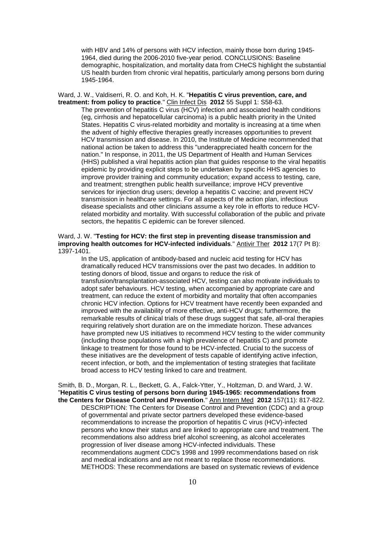with HBV and 14% of persons with HCV infection, mainly those born during 1945- 1964, died during the 2006-2010 five-year period. CONCLUSIONS: Baseline demographic, hospitalization, and mortality data from CHeCS highlight the substantial US health burden from chronic viral hepatitis, particularly among persons born during 1945-1964.

Ward, J. W., Valdiserri, R. O. and Koh, H. K. "**Hepatitis C virus prevention, care, and treatment: from policy to practice**." Clin Infect Dis **2012** 55 Suppl 1: S58-63. The prevention of hepatitis C virus (HCV) infection and associated health conditions (eg, cirrhosis and hepatocellular carcinoma) is a public health priority in the United States. Hepatitis C virus-related morbidity and mortality is increasing at a time when the advent of highly effective therapies greatly increases opportunities to prevent HCV transmission and disease. In 2010, the Institute of Medicine recommended that national action be taken to address this "underappreciated health concern for the nation." In response, in 2011, the US Department of Health and Human Services (HHS) published a viral hepatitis action plan that guides response to the viral hepatitis epidemic by providing explicit steps to be undertaken by specific HHS agencies to improve provider training and community education; expand access to testing, care, and treatment; strengthen public health surveillance; improve HCV preventive services for injection drug users; develop a hepatitis C vaccine; and prevent HCV transmission in healthcare settings. For all aspects of the action plan, infectious disease specialists and other clinicians assume a key role in efforts to reduce HCVrelated morbidity and mortality. With successful collaboration of the public and private sectors, the hepatitis C epidemic can be forever silenced.

Ward, J. W. "**Testing for HCV: the first step in preventing disease transmission and improving health outcomes for HCV-infected individuals**." Antivir Ther **2012** 17(7 Pt B): 1397-1401.

In the US, application of antibody-based and nucleic acid testing for HCV has dramatically reduced HCV transmissions over the past two decades. In addition to testing donors of blood, tissue and organs to reduce the risk of transfusion/transplantation-associated HCV, testing can also motivate individuals to adopt safer behaviours. HCV testing, when accompanied by appropriate care and treatment, can reduce the extent of morbidity and mortality that often accompanies chronic HCV infection. Options for HCV treatment have recently been expanded and improved with the availability of more effective, anti-HCV drugs; furthermore, the remarkable results of clinical trials of these drugs suggest that safe, all-oral therapies requiring relatively short duration are on the immediate horizon. These advances have prompted new US initiatives to recommend HCV testing to the wider community (including those populations with a high prevalence of hepatitis C) and promote linkage to treatment for those found to be HCV-infected. Crucial to the success of these initiatives are the development of tests capable of identifying active infection, recent infection, or both, and the implementation of testing strategies that facilitate broad access to HCV testing linked to care and treatment.

Smith, B. D., Morgan, R. L., Beckett, G. A., Falck-Ytter, Y., Holtzman, D. and Ward, J. W. "**Hepatitis C virus testing of persons born during 1945-1965: recommendations from the Centers for Disease Control and Prevention**." Ann Intern Med **2012** 157(11): 817-822. DESCRIPTION: The Centers for Disease Control and Prevention (CDC) and a group of governmental and private sector partners developed these evidence-based recommendations to increase the proportion of hepatitis C virus (HCV)-infected persons who know their status and are linked to appropriate care and treatment. The recommendations also address brief alcohol screening, as alcohol accelerates progression of liver disease among HCV-infected individuals. These recommendations augment CDC's 1998 and 1999 recommendations based on risk and medical indications and are not meant to replace those recommendations. METHODS: These recommendations are based on systematic reviews of evidence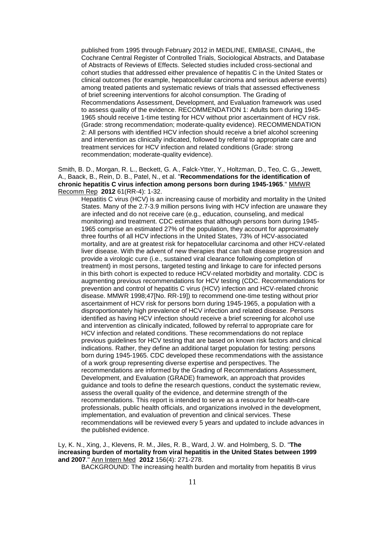published from 1995 through February 2012 in MEDLINE, EMBASE, CINAHL, the Cochrane Central Register of Controlled Trials, Sociological Abstracts, and Database of Abstracts of Reviews of Effects. Selected studies included cross-sectional and cohort studies that addressed either prevalence of hepatitis C in the United States or clinical outcomes (for example, hepatocellular carcinoma and serious adverse events) among treated patients and systematic reviews of trials that assessed effectiveness of brief screening interventions for alcohol consumption. The Grading of Recommendations Assessment, Development, and Evaluation framework was used to assess quality of the evidence. RECOMMENDATION 1: Adults born during 1945- 1965 should receive 1-time testing for HCV without prior ascertainment of HCV risk. (Grade: strong recommendation; moderate-quality evidence). RECOMMENDATION 2: All persons with identified HCV infection should receive a brief alcohol screening and intervention as clinically indicated, followed by referral to appropriate care and treatment services for HCV infection and related conditions (Grade: strong recommendation; moderate-quality evidence).

Smith, B. D., Morgan, R. L., Beckett, G. A., Falck-Ytter, Y., Holtzman, D., Teo, C. G., Jewett, A., Baack, B., Rein, D. B., Patel, N., et al. "**Recommendations for the identification of chronic hepatitis C virus infection among persons born during 1945-1965**." MMWR Recomm Rep **2012** 61(RR-4): 1-32.

Hepatitis C virus (HCV) is an increasing cause of morbidity and mortality in the United States. Many of the 2.7-3.9 million persons living with HCV infection are unaware they are infected and do not receive care (e.g., education, counseling, and medical monitoring) and treatment. CDC estimates that although persons born during 1945- 1965 comprise an estimated 27% of the population, they account for approximately three fourths of all HCV infections in the United States, 73% of HCV-associated mortality, and are at greatest risk for hepatocellular carcinoma and other HCV-related liver disease. With the advent of new therapies that can halt disease progression and provide a virologic cure (i.e., sustained viral clearance following completion of treatment) in most persons, targeted testing and linkage to care for infected persons in this birth cohort is expected to reduce HCV-related morbidity and mortality. CDC is augmenting previous recommendations for HCV testing (CDC. Recommendations for prevention and control of hepatitis C virus (HCV) infection and HCV-related chronic disease. MMWR 1998;47[No. RR-19]) to recommend one-time testing without prior ascertainment of HCV risk for persons born during 1945-1965, a population with a disproportionately high prevalence of HCV infection and related disease. Persons identified as having HCV infection should receive a brief screening for alcohol use and intervention as clinically indicated, followed by referral to appropriate care for HCV infection and related conditions. These recommendations do not replace previous guidelines for HCV testing that are based on known risk factors and clinical indications. Rather, they define an additional target population for testing: persons born during 1945-1965. CDC developed these recommendations with the assistance of a work group representing diverse expertise and perspectives. The recommendations are informed by the Grading of Recommendations Assessment, Development, and Evaluation (GRADE) framework, an approach that provides guidance and tools to define the research questions, conduct the systematic review, assess the overall quality of the evidence, and determine strength of the recommendations. This report is intended to serve as a resource for health-care professionals, public health officials, and organizations involved in the development, implementation, and evaluation of prevention and clinical services. These recommendations will be reviewed every 5 years and updated to include advances in the published evidence.

Ly, K. N., Xing, J., Klevens, R. M., Jiles, R. B., Ward, J. W. and Holmberg, S. D. "**The increasing burden of mortality from viral hepatitis in the United States between 1999 and 2007**." Ann Intern Med **2012** 156(4): 271-278.

BACKGROUND: The increasing health burden and mortality from hepatitis B virus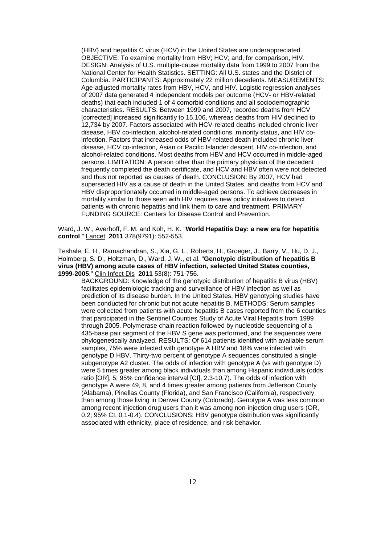(HBV) and hepatitis C virus (HCV) in the United States are underappreciated. OBJECTIVE: To examine mortality from HBV; HCV; and, for comparison, HIV. DESIGN: Analysis of U.S. multiple-cause mortality data from 1999 to 2007 from the National Center for Health Statistics. SETTING: All U.S. states and the District of Columbia. PARTICIPANTS: Approximately 22 million decedents. MEASUREMENTS: Age-adjusted mortality rates from HBV, HCV, and HIV. Logistic regression analyses of 2007 data generated 4 independent models per outcome (HCV- or HBV-related deaths) that each included 1 of 4 comorbid conditions and all sociodemographic characteristics. RESULTS: Between 1999 and 2007, recorded deaths from HCV [corrected] increased significantly to 15,106, whereas deaths from HIV declined to 12,734 by 2007. Factors associated with HCV-related deaths included chronic liver disease, HBV co-infection, alcohol-related conditions, minority status, and HIV coinfection. Factors that increased odds of HBV-related death included chronic liver disease, HCV co-infection, Asian or Pacific Islander descent, HIV co-infection, and alcohol-related conditions. Most deaths from HBV and HCV occurred in middle-aged persons. LIMITATION: A person other than the primary physician of the decedent frequently completed the death certificate, and HCV and HBV often were not detected and thus not reported as causes of death. CONCLUSION: By 2007, HCV had superseded HIV as a cause of death in the United States, and deaths from HCV and HBV disproportionately occurred in middle-aged persons. To achieve decreases in mortality similar to those seen with HIV requires new policy initiatives to detect patients with chronic hepatitis and link them to care and treatment. PRIMARY FUNDING SOURCE: Centers for Disease Control and Prevention.

Ward, J. W., Averhoff, F. M. and Koh, H. K. "**World Hepatitis Day: a new era for hepatitis control**." Lancet **2011** 378(9791): 552-553.

Teshale, E. H., Ramachandran, S., Xia, G. L., Roberts, H., Groeger, J., Barry, V., Hu, D. J., Holmberg, S. D., Holtzman, D., Ward, J. W., et al. "**Genotypic distribution of hepatitis B virus (HBV) among acute cases of HBV infection, selected United States counties, 1999-2005**." Clin Infect Dis **2011** 53(8): 751-756.

BACKGROUND: Knowledge of the genotypic distribution of hepatitis B virus (HBV) facilitates epidemiologic tracking and surveillance of HBV infection as well as prediction of its disease burden. In the United States, HBV genotyping studies have been conducted for chronic but not acute hepatitis B. METHODS: Serum samples were collected from patients with acute hepatitis B cases reported from the 6 counties that participated in the Sentinel Counties Study of Acute Viral Hepatitis from 1999 through 2005. Polymerase chain reaction followed by nucleotide sequencing of a 435-base pair segment of the HBV S gene was performed, and the sequences were phylogenetically analyzed. RESULTS: Of 614 patients identified with available serum samples, 75% were infected with genotype A HBV and 18% were infected with genotype D HBV. Thirty-two percent of genotype A sequences constituted a single subgenotype A2 cluster. The odds of infection with genotype A (vs with genotype D) were 5 times greater among black individuals than among Hispanic individuals (odds ratio [OR], 5; 95% confidence interval [CI], 2.3-10.7). The odds of infection with genotype A were 49, 8, and 4 times greater among patients from Jefferson County (Alabama), Pinellas County (Florida), and San Francisco (California), respectively, than among those living in Denver County (Colorado). Genotype A was less common among recent injection drug users than it was among non-injection drug users (OR, 0.2; 95% CI, 0.1-0.4). CONCLUSIONS: HBV genotype distribution was significantly associated with ethnicity, place of residence, and risk behavior.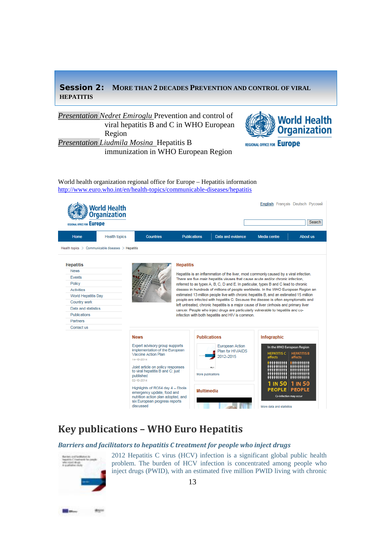**Session 2: MORE THAN 2 DECADES PREVENTION AND CONTROL OF VIRAL HEPATITIS**

*Presentation Nedret Emiroglu* Prevention and control of viral hepatitis B and C in WHO European Region *Presentation Liudmila Mosina* Hepatitis B immunization in WHO European Region



World health organization regional office for Europe – Hepatitis information <http://www.euro.who.int/en/health-topics/communicable-diseases/hepatitis>

| REGIONAL OFFICE FOR EUrope                                                                                                                                                                                   | <b>Norld Health</b><br><b>Organization</b>        |                                                                                                                                                                                                                                                              |                     |                                                        |                                                                                                                                                                                                                                                                                                                                                                                                                                                                                                                                                                                                                                                                                                                                                                            |                                                                                 | English Français Deutsch Русский<br>Search                                         |
|--------------------------------------------------------------------------------------------------------------------------------------------------------------------------------------------------------------|---------------------------------------------------|--------------------------------------------------------------------------------------------------------------------------------------------------------------------------------------------------------------------------------------------------------------|---------------------|--------------------------------------------------------|----------------------------------------------------------------------------------------------------------------------------------------------------------------------------------------------------------------------------------------------------------------------------------------------------------------------------------------------------------------------------------------------------------------------------------------------------------------------------------------------------------------------------------------------------------------------------------------------------------------------------------------------------------------------------------------------------------------------------------------------------------------------------|---------------------------------------------------------------------------------|------------------------------------------------------------------------------------|
| Home                                                                                                                                                                                                         | <b>Health topics</b>                              | Countries                                                                                                                                                                                                                                                    | <b>Publications</b> |                                                        | Data and evidence                                                                                                                                                                                                                                                                                                                                                                                                                                                                                                                                                                                                                                                                                                                                                          | Media centre                                                                    | About us                                                                           |
|                                                                                                                                                                                                              | Health topics > Communicable diseases > Hepatitis |                                                                                                                                                                                                                                                              |                     |                                                        |                                                                                                                                                                                                                                                                                                                                                                                                                                                                                                                                                                                                                                                                                                                                                                            |                                                                                 |                                                                                    |
| <b>Hepatitis</b><br><b>News</b><br><b>Events</b><br>Policy<br><b>Activities</b><br><b>World Hepatitis Day</b><br>Country work<br>Data and statistics<br><b>Publications</b><br><b>Partners</b><br>Contact us |                                                   |                                                                                                                                                                                                                                                              | <b>Hepatitis</b>    |                                                        | Hepatitis is an inflammation of the liver, most commonly caused by a viral infection.<br>There are five main hepatitis viruses that cause acute and/or chronic infection.<br>referred to as types A, B, C, D and E. In particular, types B and C lead to chronic<br>disease in hundreds of millions of people worldwide. In the WHO European Region an<br>estimated 13 million people live with chronic hepatitis B, and an estimated 15 million<br>people are infected with hepatitis C. Because the disease is often asymptomatic and<br>left untreated, chronic hepatitis is a major cause of liver cirrhosis and primary liver<br>cancer. People who inject drugs are particularly vulnerable to hepatitis and co-<br>infection with both hepatitis and HIV is common. |                                                                                 |                                                                                    |
|                                                                                                                                                                                                              |                                                   | <b>News</b><br>Expert advisory group supports<br>implementation of the European<br>Vaccine Action Plan<br>14-10-2014<br>Joint article on policy responses<br>to viral hepatitis B and C: just<br>published<br>02-10-2014<br>Highlights of RC64 day 4 - Ebola |                     | <b>Publications</b><br><b>BUY</b><br>More publications | European Action<br>Plan for HIV/AIDS<br>2012-2015                                                                                                                                                                                                                                                                                                                                                                                                                                                                                                                                                                                                                                                                                                                          | <b>Infographic</b><br><b>HEPATITIS C</b><br>affects<br>1 IN 50<br><b>PEOPLE</b> | In the WHO European Region<br><b>HEPATITIS B</b><br>affects<br>50<br><b>PEOPLE</b> |
|                                                                                                                                                                                                              |                                                   | emergency update, food and<br>nutrition action plan adopted, and<br>six European progress reports<br>discussed                                                                                                                                               |                     | Multimedia                                             |                                                                                                                                                                                                                                                                                                                                                                                                                                                                                                                                                                                                                                                                                                                                                                            | More data and statistics                                                        | Co-infection may occur                                                             |

# **Key publications – WHO Euro Hepatitis**

# *[Barriers and facilitators to hepatitis C treatment for people who inject drugs](http://www.euro.who.int/en/health-topics/communicable-diseases/hepatitis/publications/barriers-and-facilitators-to-hepatitis-c-treatment-for-people-who-inject-drugs)*



[2012 Hepatitis C virus \(HCV\) infection is a significant global public health](http://www.euro.who.int/en/health-topics/communicable-diseases/hepatitis/publications/barriers-and-facilitators-to-hepatitis-c-treatment-for-people-who-inject-drugs)  [problem. The burden of HCV infection is concentrated among people who](http://www.euro.who.int/en/health-topics/communicable-diseases/hepatitis/publications/barriers-and-facilitators-to-hepatitis-c-treatment-for-people-who-inject-drugs)  [inject drugs \(PWID\), with an estimated five million PWID living with chronic](http://www.euro.who.int/en/health-topics/communicable-diseases/hepatitis/publications/barriers-and-facilitators-to-hepatitis-c-treatment-for-people-who-inject-drugs)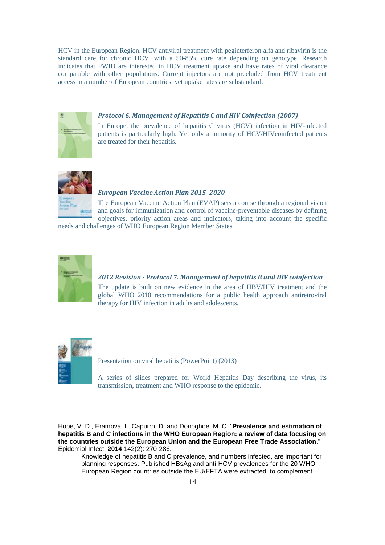[HCV in the European Region. HCV antiviral treatment with peginterferon alfa and ribavirin is the](http://www.euro.who.int/en/health-topics/communicable-diseases/hepatitis/publications/barriers-and-facilitators-to-hepatitis-c-treatment-for-people-who-inject-drugs)  [standard care for chronic HCV, with a 50-85% cure rate depending on genotype. Research](http://www.euro.who.int/en/health-topics/communicable-diseases/hepatitis/publications/barriers-and-facilitators-to-hepatitis-c-treatment-for-people-who-inject-drugs)  [indicates that PWID are interested in HCV treatment uptake and have rates of viral clearance](http://www.euro.who.int/en/health-topics/communicable-diseases/hepatitis/publications/barriers-and-facilitators-to-hepatitis-c-treatment-for-people-who-inject-drugs)  [comparable with other populations. Current injectors are not precluded from HCV treatment](http://www.euro.who.int/en/health-topics/communicable-diseases/hepatitis/publications/barriers-and-facilitators-to-hepatitis-c-treatment-for-people-who-inject-drugs)  [access in a number of European countries, yet uptake rates are substandard.](http://www.euro.who.int/en/health-topics/communicable-diseases/hepatitis/publications/barriers-and-facilitators-to-hepatitis-c-treatment-for-people-who-inject-drugs)

#### *[Protocol 6. Management of Hepatitis C and HIV Coinfection \(2007\)](http://www.euro.who.int/en/health-topics/communicable-diseases/hepatitis/publications/protocol-6.-management-of-hepatitis-c-and-hiv-coinfection-2007)*



[In Europe, the prevalence of hepatitis C virus \(HCV\) infection in HIV-infected](http://www.euro.who.int/en/health-topics/communicable-diseases/hepatitis/publications/protocol-6.-management-of-hepatitis-c-and-hiv-coinfection-2007)  patients is particularly high. Yet only [a minority of HCV/HIVcoinfected patients](http://www.euro.who.int/en/health-topics/communicable-diseases/hepatitis/publications/protocol-6.-management-of-hepatitis-c-and-hiv-coinfection-2007)  [are treated for their hepatitis.](http://www.euro.who.int/en/health-topics/communicable-diseases/hepatitis/publications/protocol-6.-management-of-hepatitis-c-and-hiv-coinfection-2007)



#### *[European Vaccine Action Plan 2015–2020](http://www.euro.who.int/en/health-topics/communicable-diseases/hepatitis/publications/european-vaccine-action-plan-20152020)*

[The European Vaccine Action Plan \(EVAP\) sets a course through a regional vision](http://www.euro.who.int/en/health-topics/communicable-diseases/hepatitis/publications/european-vaccine-action-plan-20152020)  [and goals for immunization and control of vaccine-preventable diseases by defining](http://www.euro.who.int/en/health-topics/communicable-diseases/hepatitis/publications/european-vaccine-action-plan-20152020)  [objectives, priority action areas and indicators, taking into account the specific](http://www.euro.who.int/en/health-topics/communicable-diseases/hepatitis/publications/european-vaccine-action-plan-20152020)  needs and [challenges of WHO European Region Member States.](http://www.euro.who.int/en/health-topics/communicable-diseases/hepatitis/publications/european-vaccine-action-plan-20152020)



*2012 Revision - [Protocol 7. Management of hepatitis B and HIV coinfection](http://www.euro.who.int/en/health-topics/communicable-diseases/hepatitis/publications/2012-revision-protocol-7.-management-of-hepatitis-b-and-hiv-coinfection)* [The update is built on new evidence in the area of HBV/HIV treatment and the](http://www.euro.who.int/en/health-topics/communicable-diseases/hepatitis/publications/2012-revision-protocol-7.-management-of-hepatitis-b-and-hiv-coinfection)  [global WHO 2010 recommendations for a public health approach antiretroviral](http://www.euro.who.int/en/health-topics/communicable-diseases/hepatitis/publications/2012-revision-protocol-7.-management-of-hepatitis-b-and-hiv-coinfection)  [therapy for HIV infection in adults and adolescents.](http://www.euro.who.int/en/health-topics/communicable-diseases/hepatitis/publications/2012-revision-protocol-7.-management-of-hepatitis-b-and-hiv-coinfection)



[•](http://www.euro.who.int/en/health-topics/communicable-diseases/hepatitis/publications/presentation-on-viral-hepatitis-powerpoint-2013) [Presentation on viral hepatitis \(PowerPoint\) \(2013\)](http://www.euro.who.int/en/health-topics/communicable-diseases/hepatitis/publications/presentation-on-viral-hepatitis-powerpoint-2013)

[A series of slides prepared for World Hepatitis Day describing the virus, its](http://www.euro.who.int/en/health-topics/communicable-diseases/hepatitis/publications/presentation-on-viral-hepatitis-powerpoint-2013)  [transmission, treatment and WHO response to the epidemic.](http://www.euro.who.int/en/health-topics/communicable-diseases/hepatitis/publications/presentation-on-viral-hepatitis-powerpoint-2013)

Hope, V. D., Eramova, I., Capurro, D. and Donoghoe, M. C. "**Prevalence and estimation of hepatitis B and C infections in the WHO European Region: a review of data focusing on the countries outside the European Union and the European Free Trade Association**." Epidemiol Infect **2014** 142(2): 270-286.

Knowledge of hepatitis B and C prevalence, and numbers infected, are important for planning responses. Published HBsAg and anti-HCV prevalences for the 20 WHO European Region countries outside the EU/EFTA were extracted, to complement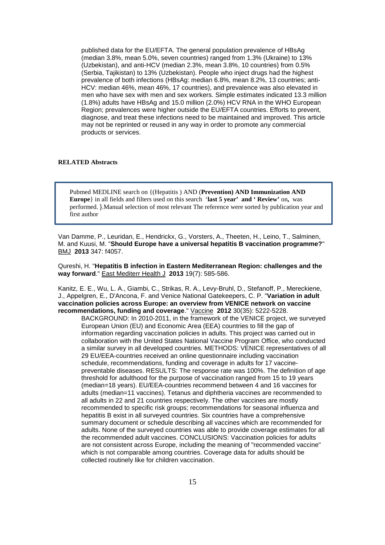published data for the EU/EFTA. The general population prevalence of HBsAg (median 3.8%, mean 5.0%, seven countries) ranged from 1.3% (Ukraine) to 13% (Uzbekistan), and anti-HCV (median 2.3%, mean 3.8%, 10 countries) from 0.5% (Serbia, Tajikistan) to 13% (Uzbekistan). People who inject drugs had the highest prevalence of both infections (HBsAg: median 6.8%, mean 8.2%, 13 countries; anti-HCV: median 46%, mean 46%, 17 countries), and prevalence was also elevated in men who have sex with men and sex workers. Simple estimates indicated 13.3 million (1.8%) adults have HBsAg and 15.0 million (2.0%) HCV RNA in the WHO European Region; prevalences were higher outside the EU/EFTA countries. Efforts to prevent, diagnose, and treat these infections need to be maintained and improved. This article may not be reprinted or reused in any way in order to promote any commercial products or services.

### **RELATED Abstracts**

Pubmed MEDLINE search on {(Hepatitis ) AND (**Prevention) AND Immunization AND Europe**} in all fields and filters used on this search '**last 5 year' and ' Review'** on**,** was performed. }.Manual selection of most relevant The reference were sorted by publication year and first author

Van Damme, P., Leuridan, E., Hendrickx, G., Vorsters, A., Theeten, H., Leino, T., Salminen, M. and Kuusi, M. "**Should Europe have a universal hepatitis B vaccination programme?**" BMJ **2013** 347: f4057.

Qureshi, H. "**Hepatitis B infection in Eastern Mediterranean Region: challenges and the way forward**." East Mediterr Health J **2013** 19(7): 585-586.

Kanitz, E. E., Wu, L. A., Giambi, C., Strikas, R. A., Levy-Bruhl, D., Stefanoff, P., Mereckiene, J., Appelgren, E., D'Ancona, F. and Venice National Gatekeepers, C. P. "**Variation in adult vaccination policies across Europe: an overview from VENICE network on vaccine recommendations, funding and coverage**." Vaccine **2012** 30(35): 5222-5228.

BACKGROUND: In 2010-2011, in the framework of the VENICE project, we surveyed European Union (EU) and Economic Area (EEA) countries to fill the gap of information regarding vaccination policies in adults. This project was carried out in collaboration with the United States National Vaccine Program Office, who conducted a similar survey in all developed countries. METHODS: VENICE representatives of all 29 EU/EEA-countries received an online questionnaire including vaccination schedule, recommendations, funding and coverage in adults for 17 vaccinepreventable diseases. RESULTS: The response rate was 100%. The definition of age threshold for adulthood for the purpose of vaccination ranged from 15 to 19 years (median=18 years). EU/EEA-countries recommend between 4 and 16 vaccines for adults (median=11 vaccines). Tetanus and diphtheria vaccines are recommended to all adults in 22 and 21 countries respectively. The other vaccines are mostly recommended to specific risk groups; recommendations for seasonal influenza and hepatitis B exist in all surveyed countries. Six countries have a comprehensive summary document or schedule describing all vaccines which are recommended for adults. None of the surveyed countries was able to provide coverage estimates for all the recommended adult vaccines. CONCLUSIONS: Vaccination policies for adults are not consistent across Europe, including the meaning of "recommended vaccine" which is not comparable among countries. Coverage data for adults should be collected routinely like for children vaccination.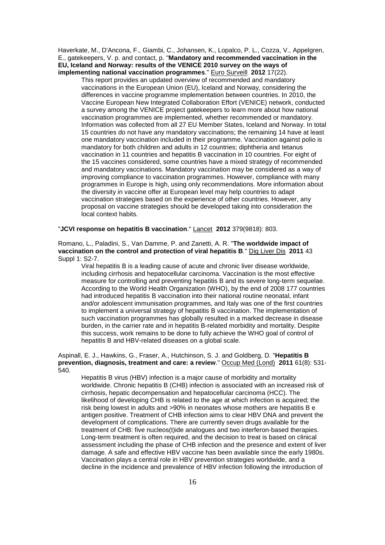Haverkate, M., D'Ancona, F., Giambi, C., Johansen, K., Lopalco, P. L., Cozza, V., Appelgren, E., gatekeepers, V. p. and contact, p. "**Mandatory and recommended vaccination in the EU, Iceland and Norway: results of the VENICE 2010 survey on the ways of implementing national vaccination programmes**." Euro Surveill **2012** 17(22).

This report provides an updated overview of recommended and mandatory vaccinations in the European Union (EU), Iceland and Norway, considering the differences in vaccine programme implementation between countries. In 2010, the Vaccine European New Integrated Collaboration Effort (VENICE) network, conducted a survey among the VENICE project gatekeepers to learn more about how national vaccination programmes are implemented, whether recommended or mandatory. Information was collected from all 27 EU Member States, Iceland and Norway. In total 15 countries do not have any mandatory vaccinations; the remaining 14 have at least one mandatory vaccination included in their programme. Vaccination against polio is mandatory for both children and adults in 12 countries; diphtheria and tetanus vaccination in 11 countries and hepatitis B vaccination in 10 countries. For eight of the 15 vaccines considered, some countries have a mixed strategy of recommended and mandatory vaccinations. Mandatory vaccination may be considered as a way of improving compliance to vaccination programmes. However, compliance with many programmes in Europe is high, using only recommendations. More information about the diversity in vaccine offer at European level may help countries to adapt vaccination strategies based on the experience of other countries. However, any proposal on vaccine strategies should be developed taking into consideration the local context habits.

"**JCVI response on hepatitis B vaccination**." Lancet **2012** 379(9818): 803.

Romano, L., Paladini, S., Van Damme, P. and Zanetti, A. R. "**The worldwide impact of vaccination on the control and protection of viral hepatitis B**." Dig Liver Dis **2011** 43 Suppl 1: S2-7.

Viral hepatitis B is a leading cause of acute and chronic liver disease worldwide, including cirrhosis and hepatocellular carcinoma. Vaccination is the most effective measure for controlling and preventing hepatitis B and its severe long-term sequelae. According to the World Health Organization (WHO), by the end of 2008 177 countries had introduced hepatitis B vaccination into their national routine neonatal, infant and/or adolescent immunisation programmes, and Italy was one of the first countries to implement a universal strategy of hepatitis B vaccination. The implementation of such vaccination programmes has globally resulted in a marked decrease in disease burden, in the carrier rate and in hepatitis B-related morbidity and mortality. Despite this success, work remains to be done to fully achieve the WHO goal of control of hepatitis B and HBV-related diseases on a global scale.

Aspinall, E. J., Hawkins, G., Fraser, A., Hutchinson, S. J. and Goldberg, D. "**Hepatitis B prevention, diagnosis, treatment and care: a review**." Occup Med (Lond) **2011** 61(8): 531- 540.

Hepatitis B virus (HBV) infection is a major cause of morbidity and mortality worldwide. Chronic hepatitis B (CHB) infection is associated with an increased risk of cirrhosis, hepatic decompensation and hepatocellular carcinoma (HCC). The likelihood of developing CHB is related to the age at which infection is acquired; the risk being lowest in adults and >90% in neonates whose mothers are hepatitis B e antigen positive. Treatment of CHB infection aims to clear HBV DNA and prevent the development of complications. There are currently seven drugs available for the treatment of CHB: five nucleos(t)ide analogues and two interferon-based therapies. Long-term treatment is often required, and the decision to treat is based on clinical assessment including the phase of CHB infection and the presence and extent of liver damage. A safe and effective HBV vaccine has been available since the early 1980s. Vaccination plays a central role in HBV prevention strategies worldwide, and a decline in the incidence and prevalence of HBV infection following the introduction of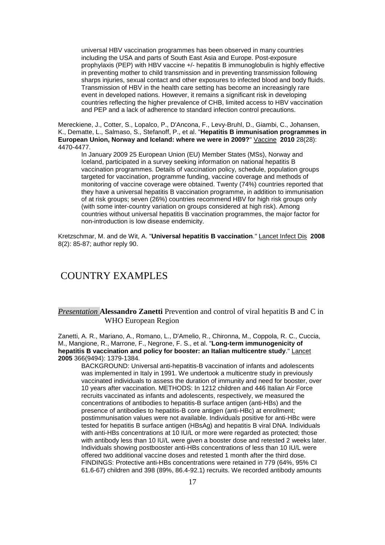universal HBV vaccination programmes has been observed in many countries including the USA and parts of South East Asia and Europe. Post-exposure prophylaxis (PEP) with HBV vaccine +/- hepatitis B immunoglobulin is highly effective in preventing mother to child transmission and in preventing transmission following sharps injuries, sexual contact and other exposures to infected blood and body fluids. Transmission of HBV in the health care setting has become an increasingly rare event in developed nations. However, it remains a significant risk in developing countries reflecting the higher prevalence of CHB, limited access to HBV vaccination and PEP and a lack of adherence to standard infection control precautions.

Mereckiene, J., Cotter, S., Lopalco, P., D'Ancona, F., Levy-Bruhl, D., Giambi, C., Johansen, K., Dematte, L., Salmaso, S., Stefanoff, P., et al. "**Hepatitis B immunisation programmes in European Union, Norway and Iceland: where we were in 2009?**" Vaccine **2010** 28(28): 4470-4477.

In January 2009 25 European Union (EU) Member States (MSs), Norway and Iceland, participated in a survey seeking information on national hepatitis B vaccination programmes. Details of vaccination policy, schedule, population groups targeted for vaccination, programme funding, vaccine coverage and methods of monitoring of vaccine coverage were obtained. Twenty (74%) countries reported that they have a universal hepatitis B vaccination programme, in addition to immunisation of at risk groups; seven (26%) countries recommend HBV for high risk groups only (with some inter-country variation on groups considered at high risk). Among countries without universal hepatitis B vaccination programmes, the major factor for non-introduction is low disease endemicity.

Kretzschmar, M. and de Wit, A. "**Universal hepatitis B vaccination**." Lancet Infect Dis **2008** 8(2): 85-87; author reply 90.

# COUNTRY EXAMPLES

# *Presentation* **Alessandro Zanetti** Prevention and control of viral hepatitis B and C in WHO European Region

Zanetti, A. R., Mariano, A., Romano, L., D'Amelio, R., Chironna, M., Coppola, R. C., Cuccia, M., Mangione, R., Marrone, F., Negrone, F. S., et al. "**Long-term immunogenicity of hepatitis B vaccination and policy for booster: an Italian multicentre study**." Lancet **2005** 366(9494): 1379-1384.

BACKGROUND: Universal anti-hepatitis-B vaccination of infants and adolescents was implemented in Italy in 1991. We undertook a multicentre study in previously vaccinated individuals to assess the duration of immunity and need for booster, over 10 years after vaccination. METHODS: In 1212 children and 446 Italian Air Force recruits vaccinated as infants and adolescents, respectively, we measured the concentrations of antibodies to hepatitis-B surface antigen (anti-HBs) and the presence of antibodies to hepatitis-B core antigen (anti-HBc) at enrollment; postimmunisation values were not available. Individuals positive for anti-HBc were tested for hepatitis B surface antigen (HBsAg) and hepatitis B viral DNA. Individuals with anti-HBs concentrations at 10 IU/L or more were regarded as protected; those with antibody less than 10 IU/L were given a booster dose and retested 2 weeks later. Individuals showing postbooster anti-HBs concentrations of less than 10 IU/L were offered two additional vaccine doses and retested 1 month after the third dose. FINDINGS: Protective anti-HBs concentrations were retained in 779 (64%, 95% CI 61.6-67) children and 398 (89%, 86.4-92.1) recruits. We recorded antibody amounts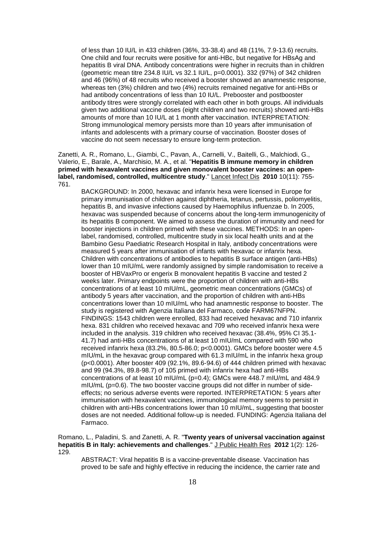of less than 10 IU/L in 433 children (36%, 33-38.4) and 48 (11%, 7.9-13.6) recruits. One child and four recruits were positive for anti-HBc, but negative for HBsAg and hepatitis B viral DNA. Antibody concentrations were higher in recruits than in children (geometric mean titre 234.8 IU/L vs 32.1 IU/L, p=0.0001). 332 (97%) of 342 children and 46 (96%) of 48 recruits who received a booster showed an anamnestic response, whereas ten (3%) children and two (4%) recruits remained negative for anti-HBs or had antibody concentrations of less than 10 IU/L. Prebooster and postbooster antibody titres were strongly correlated with each other in both groups. All individuals given two additional vaccine doses (eight children and two recruits) showed anti-HBs amounts of more than 10 IU/L at 1 month after vaccination. INTERPRETATION: Strong immunological memory persists more than 10 years after immunisation of infants and adolescents with a primary course of vaccination. Booster doses of vaccine do not seem necessary to ensure long-term protection.

Zanetti, A. R., Romano, L., Giambi, C., Pavan, A., Carnelli, V., Baitelli, G., Malchiodi, G., Valerio, E., Barale, A., Marchisio, M. A., et al. "**Hepatitis B immune memory in children primed with hexavalent vaccines and given monovalent booster vaccines: an openlabel, randomised, controlled, multicentre study**." Lancet Infect Dis **2010** 10(11): 755- 761.

BACKGROUND: In 2000, hexavac and infanrix hexa were licensed in Europe for primary immunisation of children against diphtheria, tetanus, pertussis, poliomyelitis, hepatitis B, and invasive infections caused by Haemophilus influenzae b. In 2005, hexavac was suspended because of concerns about the long-term immunogenicity of its hepatitis B component. We aimed to assess the duration of immunity and need for booster injections in children primed with these vaccines. METHODS: In an openlabel, randomised, controlled, multicentre study in six local health units and at the Bambino Gesu Paediatric Research Hospital in Italy, antibody concentrations were measured 5 years after immunisation of infants with hexavac or infanrix hexa. Children with concentrations of antibodies to hepatitis B surface antigen (anti-HBs) lower than 10 mIU/mL were randomly assigned by simple randomisation to receive a booster of HBVaxPro or engerix B monovalent hepatitis B vaccine and tested 2 weeks later. Primary endpoints were the proportion of children with anti-HBs concentrations of at least 10 mIU/mL, geometric mean concentrations (GMCs) of antibody 5 years after vaccination, and the proportion of children with anti-HBs concentrations lower than 10 mIU/mL who had anamnestic response to booster. The study is registered with Agenzia Italiana del Farmaco, code FARM67NFPN. FINDINGS: 1543 children were enrolled, 833 had received hexavac and 710 infanrix hexa. 831 children who received hexavac and 709 who received infanrix hexa were included in the analysis. 319 children who received hexavac (38.4%, 95% CI 35.1- 41.7) had anti-HBs concentrations of at least 10 mIU/mL compared with 590 who received infanrix hexa (83.2%, 80.5-86.0; p<0.0001). GMCs before booster were 4.5 mIU/mL in the hexavac group compared with 61.3 mIU/mL in the infanrix hexa group (p<0.0001). After booster 409 (92.1%, 89.6-94.6) of 444 children primed with hexavac and 99 (94.3%, 89.8-98.7) of 105 primed with infanrix hexa had anti-HBs concentrations of at least 10 mIU/mL (p=0.4); GMCs were 448.7 mIU/mL and 484.9 mIU/mL (p=0.6). The two booster vaccine groups did not differ in number of sideeffects; no serious adverse events were reported. INTERPRETATION: 5 years after immunisation with hexavalent vaccines, immunological memory seems to persist in children with anti-HBs concentrations lower than 10 mIU/mL, suggesting that booster doses are not needed. Additional follow-up is needed. FUNDING: Agenzia Italiana del Farmaco.

Romano, L., Paladini, S. and Zanetti, A. R. "**Twenty years of universal vaccination against hepatitis B in Italy: achievements and challenges**." J Public Health Res **2012** 1(2): 126- 129.

ABSTRACT: Viral hepatitis B is a vaccine-preventable disease. Vaccination has proved to be safe and highly effective in reducing the incidence, the carrier rate and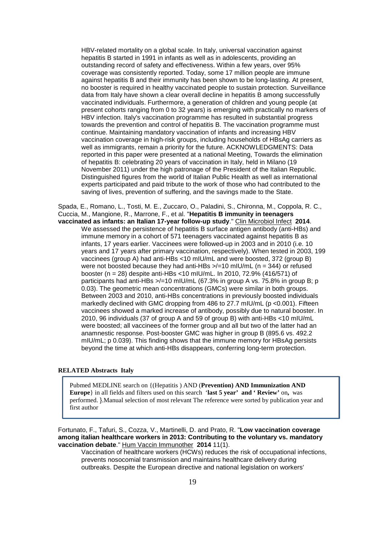HBV-related mortality on a global scale. In Italy, universal vaccination against hepatitis B started in 1991 in infants as well as in adolescents, providing an outstanding record of safety and effectiveness. Within a few years, over 95% coverage was consistently reported. Today, some 17 million people are immune against hepatitis B and their immunity has been shown to be long-lasting. At present, no booster is required in healthy vaccinated people to sustain protection. Surveillance data from Italy have shown a clear overall decline in hepatitis B among successfully vaccinated individuals. Furthermore, a generation of children and young people (at present cohorts ranging from 0 to 32 years) is emerging with practically no markers of HBV infection. Italy's vaccination programme has resulted in substantial progress towards the prevention and control of hepatitis B. The vaccination programme must continue. Maintaining mandatory vaccination of infants and increasing HBV vaccination coverage in high-risk groups, including households of HBsAg carriers as well as immigrants, remain a priority for the future. ACKNOWLEDGMENTS: Data reported in this paper were presented at a national Meeting, Towards the elimination of hepatitis B: celebrating 20 years of vaccination in Italy, held in Milano (19 November 2011) under the high patronage of the President of the Italian Republic. Distinguished figures from the world of Italian Public Health as well as international experts participated and paid tribute to the work of those who had contributed to the saving of lives, prevention of suffering, and the savings made to the State.

Spada, E., Romano, L., Tosti, M. E., Zuccaro, O., Paladini, S., Chironna, M., Coppola, R. C., Cuccia, M., Mangione, R., Marrone, F., et al. "**Hepatitis B immunity in teenagers vaccinated as infants: an Italian 17-year follow-up study**." Clin Microbiol Infect **2014**. We assessed the persistence of hepatitis B surface antigen antibody (anti-HBs) and immune memory in a cohort of 571 teenagers vaccinated against hepatitis B as infants, 17 years earlier. Vaccinees were followed-up in 2003 and in 2010 (i.e. 10 years and 17 years after primary vaccination, respectively). When tested in 2003, 199 vaccinees (group A) had anti-HBs <10 mIU/mL and were boosted, 372 (group B) were not boosted because they had anti-HBs  $\ge$ /=10 mIU/mL (n = 344) or refused booster (n = 28) despite anti-HBs <10 mIU/mL. In 2010, 72.9% (416/571) of participants had anti-HBs >/=10 mIU/mL (67.3% in group A vs. 75.8% in group B; p 0.03). The geometric mean concentrations (GMCs) were similar in both groups. Between 2003 and 2010, anti-HBs concentrations in previously boosted individuals markedly declined with GMC dropping from 486 to 27.7 mIU/mL ( $p \le 0.001$ ). Fifteen vaccinees showed a marked increase of antibody, possibly due to natural booster. In 2010, 96 individuals (37 of group A and 59 of group B) with anti-HBs <10 mIU/mL were boosted; all vaccinees of the former group and all but two of the latter had an anamnestic response. Post-booster GMC was higher in group B (895.6 vs. 492.2 mIU/mL; p 0.039). This finding shows that the immune memory for HBsAg persists beyond the time at which anti-HBs disappears, conferring long-term protection.

#### **RELATED Abstracts Italy**

Pubmed MEDLINE search on {(Hepatitis ) AND (**Prevention) AND Immunization AND Europe**} in all fields and filters used on this search '**last 5 year' and ' Review'** on**,** was performed. }.Manual selection of most relevant The reference were sorted by publication year and first author

Fortunato, F., Tafuri, S., Cozza, V., Martinelli, D. and Prato, R. "**Low vaccination coverage among italian healthcare workers in 2013: Contributing to the voluntary vs. mandatory vaccination debate**." Hum Vaccin Immunother **2014** 11(1).

Vaccination of healthcare workers (HCWs) reduces the risk of occupational infections, prevents nosocomial transmission and maintains healthcare delivery during outbreaks. Despite the European directive and national legislation on workers'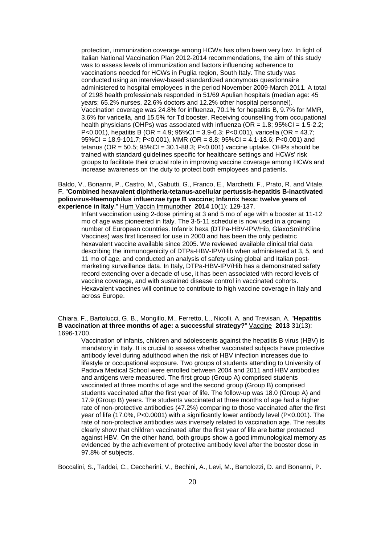protection, immunization coverage among HCWs has often been very low. In light of Italian National Vaccination Plan 2012-2014 recommendations, the aim of this study was to assess levels of immunization and factors influencing adherence to vaccinations needed for HCWs in Puglia region, South Italy. The study was conducted using an interview-based standardized anonymous questionnaire administered to hospital employees in the period November 2009-March 2011. A total of 2198 health professionals responded in 51/69 Apulian hospitals (median age: 45 years; 65.2% nurses, 22.6% doctors and 12.2% other hospital personnel). Vaccination coverage was 24.8% for influenza, 70.1% for hepatitis B, 9.7% for MMR, 3.6% for varicella, and 15.5% for Td booster. Receiving counselling from occupational health physicians (OHPs) was associated with influenza (OR = 1.8; 95%CI = 1.5-2.2; P<0.001), hepatitis B (OR = 4.9; 95%CI = 3.9-6.3; P<0.001), varicella (OR = 43.7; 95%CI = 18.9-101.7; P<0.001), MMR (OR = 8.8; 95%CI = 4.1-18.6; P<0.001) and tetanus (OR = 50.5; 95%CI = 30.1-88.3; P<0.001) vaccine uptake. OHPs should be trained with standard guidelines specific for healthcare settings and HCWs' risk groups to facilitate their crucial role in improving vaccine coverage among HCWs and increase awareness on the duty to protect both employees and patients.

Baldo, V., Bonanni, P., Castro, M., Gabutti, G., Franco, E., Marchetti, F., Prato, R. and Vitale, F. "**Combined hexavalent diphtheria-tetanus-acellular pertussis-hepatitis B-inactivated poliovirus-Haemophilus influenzae type B vaccine; Infanrix hexa: twelve years of experience in Italy**." Hum Vaccin Immunother **2014** 10(1): 129-137.

Infant vaccination using 2-dose priming at 3 and 5 mo of age with a booster at 11-12 mo of age was pioneered in Italy. The 3-5-11 schedule is now used in a growing number of European countries. Infanrix hexa (DTPa-HBV-IPV/Hib, GlaxoSmithKline Vaccines) was first licensed for use in 2000 and has been the only pediatric hexavalent vaccine available since 2005. We reviewed available clinical trial data describing the immunogenicity of DTPa-HBV-IPV/Hib when administered at 3, 5, and 11 mo of age, and conducted an analysis of safety using global and Italian postmarketing surveillance data. In Italy, DTPa-HBV-IPV/Hib has a demonstrated safety record extending over a decade of use, it has been associated with record levels of vaccine coverage, and with sustained disease control in vaccinated cohorts. Hexavalent vaccines will continue to contribute to high vaccine coverage in Italy and across Europe.

Chiara, F., Bartolucci, G. B., Mongillo, M., Ferretto, L., Nicolli, A. and Trevisan, A. "**Hepatitis B vaccination at three months of age: a successful strategy?**" Vaccine **2013** 31(13): 1696-1700.

Vaccination of infants, children and adolescents against the hepatitis B virus (HBV) is mandatory in Italy. It is crucial to assess whether vaccinated subjects have protective antibody level during adulthood when the risk of HBV infection increases due to lifestyle or occupational exposure. Two groups of students attending to University of Padova Medical School were enrolled between 2004 and 2011 and HBV antibodies and antigens were measured. The first group (Group A) comprised students vaccinated at three months of age and the second group (Group B) comprised students vaccinated after the first year of life. The follow-up was 18.0 (Group A) and 17.9 (Group B) years. The students vaccinated at three months of age had a higher rate of non-protective antibodies (47.2%) comparing to those vaccinated after the first year of life (17.0%, P<0.0001) with a significantly lower antibody level (P<0.001). The rate of non-protective antibodies was inversely related to vaccination age. The results clearly show that children vaccinated after the first year of life are better protected against HBV. On the other hand, both groups show a good immunological memory as evidenced by the achievement of protective antibody level after the booster dose in 97.8% of subjects.

Boccalini, S., Taddei, C., Ceccherini, V., Bechini, A., Levi, M., Bartolozzi, D. and Bonanni, P.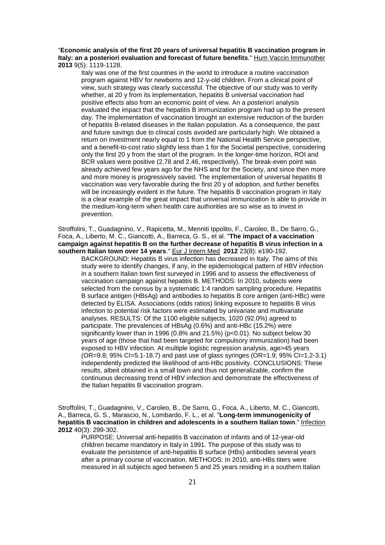"**Economic analysis of the first 20 years of universal hepatitis B vaccination program in Italy: an a posteriori evaluation and forecast of future benefits**." Hum Vaccin Immunother **2013** 9(5): 1119-1128.

Italy was one of the first countries in the world to introduce a routine vaccination program against HBV for newborns and 12-y-old children. From a clinical point of view, such strategy was clearly successful. The objective of our study was to verify whether, at 20 y from its implementation, hepatitis B universal vaccination had positive effects also from an economic point of view. An a posteriori analysis evaluated the impact that the hepatitis B immunization program had up to the present day. The implementation of vaccination brought an extensive reduction of the burden of hepatitis B-related diseases in the Italian population. As a consequence, the past and future savings due to clinical costs avoided are particularly high. We obtained a return on investment nearly equal to 1 from the National Health Service perspective, and a benefit-to-cost ratio slightly less than 1 for the Societal perspective, considering only the first 20 y from the start of the program. In the longer-time horizon, ROI and BCR values were positive (2.78 and 2.46, respectively). The break-even point was already achieved few years ago for the NHS and for the Society, and since then more and more money is progressively saved. The implementation of universal hepatitis B vaccination was very favorable during the first 20 y of adoption, and further benefits will be increasingly evident in the future. The hepatitis B vaccination program in Italy is a clear example of the great impact that universal immunization is able to provide in the medium-long-term when health care authorities are so wise as to invest in prevention.

Stroffolini, T., Guadagnino, V., Rapicetta, M., Menniti Ippolito, F., Caroleo, B., De Sarro, G., Foca, A., Liberto, M. C., Giancotti, A., Barreca, G. S., et al. "**The impact of a vaccination campaign against hepatitis B on the further decrease of hepatitis B virus infection in a southern Italian town over 14 years**." Eur J Intern Med **2012** 23(8): e190-192.

BACKGROUND: Hepatitis B virus infection has decreased in Italy. The aims of this study were to identify changes, if any, in the epidemiological pattern of HBV infection in a southern Italian town first surveyed in 1996 and to assess the effectiveness of vaccination campaign against hepatitis B. METHODS: In 2010, subjects were selected from the census by a systematic 1:4 random sampling procedure. Hepatitis B surface antigen (HBsAg) and antibodies to hepatitis B core antigen (anti-HBc) were detected by ELISA. Associations (odds ratios) linking exposure to hepatitis B virus infection to potential risk factors were estimated by univariate and multivariate analyses. RESULTS: Of the 1100 eligible subjects, 1020 (92.0%) agreed to participate. The prevalences of HBsAg (0.6%) and anti-HBc (15.2%) were significantly lower than in 1996 (0.8% and 21.5%) (p<0.01). No subject below 30 years of age (those that had been targeted for compulsory immunization) had been exposed to HBV infection. At multiple logistic regression analysis, age>45 years (OR=9.8; 95% CI=5.1-18.7) and past use of glass syringes (OR=1.9; 95% CI=1.2-3.1) independently predicted the likelihood of anti-HBc positivity. CONCLUSIONS: These results, albeit obtained in a small town and thus not generalizable, confirm the continuous decreasing trend of HBV infection and demonstrate the effectiveness of the Italian hepatitis B vaccination program.

Stroffolini, T., Guadagnino, V., Caroleo, B., De Sarro, G., Foca, A., Liberto, M. C., Giancotti, A., Barreca, G. S., Marascio, N., Lombardo, F. L., et al. "**Long-term immunogenicity of hepatitis B vaccination in children and adolescents in a southern Italian town**." Infection **2012** 40(3): 299-302.

PURPOSE: Universal anti-hepatitis B vaccination of infants and of 12-year-old children became mandatory in Italy in 1991. The purpose of this study was to evaluate the persistence of anti-hepatitis B surface (HBs) antibodies several years after a primary course of vaccination. METHODS: In 2010, anti-HBs titers were measured in all subjects aged between 5 and 25 years residing in a southern Italian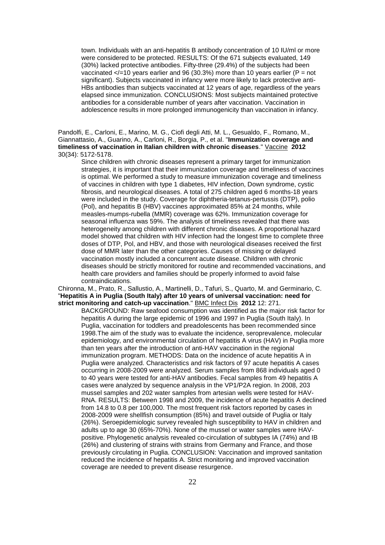town. Individuals with an anti-hepatitis B antibody concentration of 10 IU/ml or more were considered to be protected. RESULTS: Of the 671 subjects evaluated, 149 (30%) lacked protective antibodies. Fifty-three (29.4%) of the subjects had been vaccinated  $\lt$  =10 years earlier and 96 (30.3%) more than 10 years earlier (P = not significant). Subjects vaccinated in infancy were more likely to lack protective anti-HBs antibodies than subjects vaccinated at 12 years of age, regardless of the years elapsed since immunization. CONCLUSIONS: Most subjects maintained protective antibodies for a considerable number of years after vaccination. Vaccination in adolescence results in more prolonged immunogenicity than vaccination in infancy.

Pandolfi, E., Carloni, E., Marino, M. G., Ciofi degli Atti, M. L., Gesualdo, F., Romano, M., Giannattasio, A., Guarino, A., Carloni, R., Borgia, P., et al. "**Immunization coverage and timeliness of vaccination in Italian children with chronic diseases**." Vaccine **2012** 30(34): 5172-5178.

Since children with chronic diseases represent a primary target for immunization strategies, it is important that their immunization coverage and timeliness of vaccines is optimal. We performed a study to measure immunization coverage and timeliness of vaccines in children with type 1 diabetes, HIV infection, Down syndrome, cystic fibrosis, and neurological diseases. A total of 275 children aged 6 months-18 years were included in the study. Coverage for diphtheria-tetanus-pertussis (DTP), polio (Pol), and hepatitis B (HBV) vaccines approximated 85% at 24 months, while measles-mumps-rubella (MMR) coverage was 62%. Immunization coverage for seasonal influenza was 59%. The analysis of timeliness revealed that there was heterogeneity among children with different chronic diseases. A proportional hazard model showed that children with HIV infection had the longest time to complete three doses of DTP, Pol, and HBV, and those with neurological diseases received the first dose of MMR later than the other categories. Causes of missing or delayed vaccination mostly included a concurrent acute disease. Children with chronic diseases should be strictly monitored for routine and recommended vaccinations, and health care providers and families should be properly informed to avoid false contraindications.

Chironna, M., Prato, R., Sallustio, A., Martinelli, D., Tafuri, S., Quarto, M. and Germinario, C. "**Hepatitis A in Puglia (South Italy) after 10 years of universal vaccination: need for strict monitoring and catch-up vaccination**." BMC Infect Dis **2012** 12: 271.

BACKGROUND: Raw seafood consumption was identified as the major risk factor for hepatitis A during the large epidemic of 1996 and 1997 in Puglia (South Italy). In Puglia, vaccination for toddlers and preadolescents has been recommended since 1998.The aim of the study was to evaluate the incidence, seroprevalence, molecular epidemiology, and environmental circulation of hepatitis A virus (HAV) in Puglia more than ten years after the introduction of anti-HAV vaccination in the regional immunization program. METHODS: Data on the incidence of acute hepatitis A in Puglia were analyzed. Characteristics and risk factors of 97 acute hepatitis A cases occurring in 2008-2009 were analyzed. Serum samples from 868 individuals aged 0 to 40 years were tested for anti-HAV antibodies. Fecal samples from 49 hepatitis A cases were analyzed by sequence analysis in the VP1/P2A region. In 2008, 203 mussel samples and 202 water samples from artesian wells were tested for HAV-RNA. RESULTS: Between 1998 and 2009, the incidence of acute hepatitis A declined from 14.8 to 0.8 per 100,000. The most frequent risk factors reported by cases in 2008-2009 were shellfish consumption (85%) and travel outside of Puglia or Italy (26%). Seroepidemiologic survey revealed high susceptibility to HAV in children and adults up to age 30 (65%-70%). None of the mussel or water samples were HAVpositive. Phylogenetic analysis revealed co-circulation of subtypes IA (74%) and IB (26%) and clustering of strains with strains from Germany and France, and those previously circulating in Puglia. CONCLUSION: Vaccination and improved sanitation reduced the incidence of hepatitis A. Strict monitoring and improved vaccination coverage are needed to prevent disease resurgence.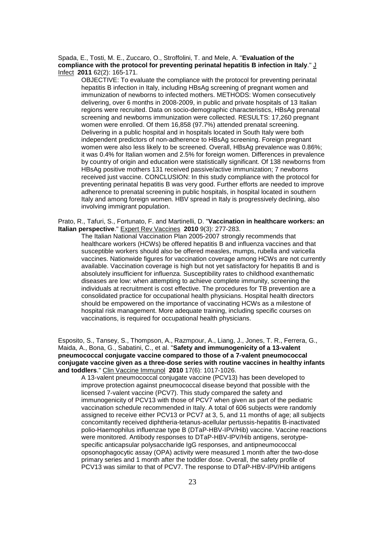Spada, E., Tosti, M. E., Zuccaro, O., Stroffolini, T. and Mele, A. "**Evaluation of the compliance with the protocol for preventing perinatal hepatitis B infection in Italy**." J Infect **2011** 62(2): 165-171.

OBJECTIVE: To evaluate the compliance with the protocol for preventing perinatal hepatitis B infection in Italy, including HBsAg screening of pregnant women and immunization of newborns to infected mothers. METHODS: Women consecutively delivering, over 6 months in 2008-2009, in public and private hospitals of 13 Italian regions were recruited. Data on socio-demographic characteristics, HBsAg prenatal screening and newborns immunization were collected. RESULTS: 17,260 pregnant women were enrolled. Of them 16,858 (97.7%) attended prenatal screening. Delivering in a public hospital and in hospitals located in South Italy were both independent predictors of non-adherence to HBsAg screening. Foreign pregnant women were also less likely to be screened. Overall, HBsAg prevalence was 0.86%; it was 0.4% for Italian women and 2.5% for foreign women. Differences in prevalence by country of origin and education were statistically significant. Of 138 newborns from HBsAg positive mothers 131 received passive/active immunization; 7 newborns received just vaccine. CONCLUSION: In this study compliance with the protocol for preventing perinatal hepatitis B was very good. Further efforts are needed to improve adherence to prenatal screening in public hospitals, in hospital located in southern Italy and among foreign women. HBV spread in Italy is progressively declining, also involving immigrant population.

Prato, R., Tafuri, S., Fortunato, F. and Martinelli, D. "**Vaccination in healthcare workers: an Italian perspective**." Expert Rev Vaccines **2010** 9(3): 277-283.

The Italian National Vaccination Plan 2005-2007 strongly recommends that healthcare workers (HCWs) be offered hepatitis B and influenza vaccines and that susceptible workers should also be offered measles, mumps, rubella and varicella vaccines. Nationwide figures for vaccination coverage among HCWs are not currently available. Vaccination coverage is high but not yet satisfactory for hepatitis B and is absolutely insufficient for influenza. Susceptibility rates to childhood exanthematic diseases are low: when attempting to achieve complete immunity, screening the individuals at recruitment is cost effective. The procedures for TB prevention are a consolidated practice for occupational health physicians. Hospital health directors should be empowered on the importance of vaccinating HCWs as a milestone of hospital risk management. More adequate training, including specific courses on vaccinations, is required for occupational health physicians.

Esposito, S., Tansey, S., Thompson, A., Razmpour, A., Liang, J., Jones, T. R., Ferrera, G., Maida, A., Bona, G., Sabatini, C., et al. "**Safety and immunogenicity of a 13-valent pneumococcal conjugate vaccine compared to those of a 7-valent pneumococcal conjugate vaccine given as a three-dose series with routine vaccines in healthy infants and toddlers**." Clin Vaccine Immunol **2010** 17(6): 1017-1026.

A 13-valent pneumococcal conjugate vaccine (PCV13) has been developed to improve protection against pneumococcal disease beyond that possible with the licensed 7-valent vaccine (PCV7). This study compared the safety and immunogenicity of PCV13 with those of PCV7 when given as part of the pediatric vaccination schedule recommended in Italy. A total of 606 subjects were randomly assigned to receive either PCV13 or PCV7 at 3, 5, and 11 months of age; all subjects concomitantly received diphtheria-tetanus-acellular pertussis-hepatitis B-inactivated polio-Haemophilus influenzae type B (DTaP-HBV-IPV/Hib) vaccine. Vaccine reactions were monitored. Antibody responses to DTaP-HBV-IPV/Hib antigens, serotypespecific anticapsular polysaccharide IgG responses, and antipneumococcal opsonophagocytic assay (OPA) activity were measured 1 month after the two-dose primary series and 1 month after the toddler dose. Overall, the safety profile of PCV13 was similar to that of PCV7. The response to DTaP-HBV-IPV/Hib antigens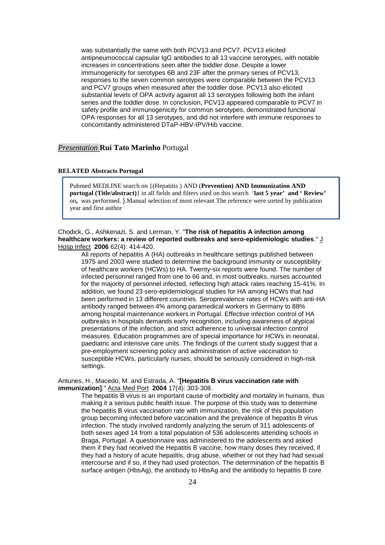was substantially the same with both PCV13 and PCV7. PCV13 elicited antipneumococcal capsular IgG antibodies to all 13 vaccine serotypes, with notable increases in concentrations seen after the toddler dose. Despite a lower immunogenicity for serotypes 6B and 23F after the primary series of PCV13, responses to the seven common serotypes were comparable between the PCV13 and PCV7 groups when measured after the toddler dose. PCV13 also elicited substantial levels of OPA activity against all 13 serotypes following both the infant series and the toddler dose. In conclusion, PCV13 appeared comparable to PCV7 in safety profile and immunogenicity for common serotypes, demonstrated functional OPA responses for all 13 serotypes, and did not interfere with immune responses to concomitantly administered DTaP-HBV-IPV/Hib vaccine.

# *Presentation* **Rui Tato Marinho** Portugal

#### **RELATED Abstracts Portugal**

Pubmed MEDLINE search on {(Hepatitis ) AND (**Prevention) AND Immunization AND portugal (Title/abstract)**} in all fields and filters used on this search '**last 5 year' and ' Review'**  on**,** was performed. }.Manual selection of most relevant The reference were sorted by publication year and first author

Chodick, G., Ashkenazi, S. and Lerman, Y. "**The risk of hepatitis A infection among healthcare workers: a review of reported outbreaks and sero-epidemiologic studies**." J Hosp Infect **2006** 62(4): 414-420.

All reports of hepatitis A (HA) outbreaks in healthcare settings published between 1975 and 2003 were studied to determine the background immunity or susceptibility of healthcare workers (HCWs) to HA. Twenty-six reports were found. The number of infected personnel ranged from one to 66 and, in most outbreaks, nurses accounted for the majority of personnel infected, reflecting high attack rates reaching 15-41%. In addition, we found 23 sero-epidemiological studies for HA among HCWs that had been performed in 13 different countries. Seroprevalence rates of HCWs with anti-HA antibody ranged between 4% among paramedical workers in Germany to 88% among hospital maintenance workers in Portugal. Effective infection control of HA outbreaks in hospitals demands early recognition, including awareness of atypical presentations of the infection, and strict adherence to universal infection control measures. Education programmes are of special importance for HCWs in neonatal, paediatric and intensive care units. The findings of the current study suggest that a pre-employment screening policy and administration of active vaccination to susceptible HCWs, particularly nurses, should be seriously considered in high-risk settings.

### Antunes, H., Macedo, M. and Estrada, A. "**[Hepatitis B virus vaccination rate with immunization]**." Acta Med Port **2004** 17(4): 303-308.

The hepatitis B virus is an important cause of morbidity and mortality in humans, thus making it a serious public health issue. The purpose of this study was to determine the hepatitis B virus vaccination rate with immunization, the risk of this population group becoming infected before vaccination and the prevalence of hepatitis B virus infection. The study involved randomly analyzing the serum of 311 adolescents of both sexes aged 14 from a total population of 536 adolescents attending schools in Braga, Portugal. A questionnaire was administered to the adolescents and asked them if they had received the Hepatitis B vaccine, how many doses they received, if they had a history of acute hepatitis, drug abuse, whether or not they had had sexual intercourse and if so, if they had used protection. The determination of the hepatitis B surface antigen (HbsAg), the antibody to HbsAg and the antibody to hepatitis B core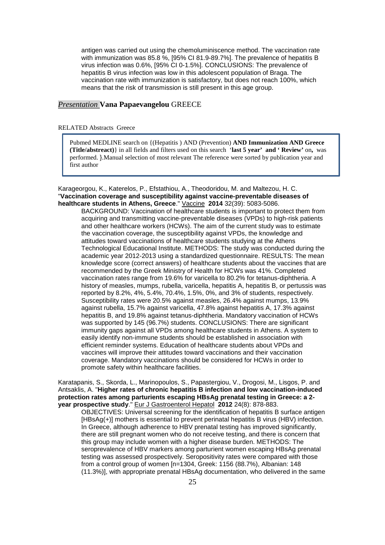antigen was carried out using the chemoluminiscence method. The vaccination rate with immunization was 85.8 %, [95% CI 81.9-89.7%]. The prevalence of hepatitis B virus infection was 0.6%, [95% CI 0-1.5%]. CONCLUSIONS: The prevalence of hepatitis B virus infection was low in this adolescent population of Braga. The vaccination rate with immunization is satisfactory, but does not reach 100%, which means that the risk of transmission is still present in this age group.

### *Presentation* **Vana Papaevangelou** GREECE

RELATED Abstracts Greece

Pubmed MEDLINE search on {(Hepatitis ) AND (Prevention) **AND Immunization AND Greece (Title/abstreact)**} in all fields and filters used on this search '**last 5 year' and ' Review'** on**,** was performed. }.Manual selection of most relevant The reference were sorted by publication year and first author

Karageorgou, K., Katerelos, P., Efstathiou, A., Theodoridou, M. and Maltezou, H. C. "**Vaccination coverage and susceptibility against vaccine-preventable diseases of healthcare students in Athens, Greece**." Vaccine **2014** 32(39): 5083-5086.

BACKGROUND: Vaccination of healthcare students is important to protect them from acquiring and transmitting vaccine-preventable diseases (VPDs) to high-risk patients and other healthcare workers (HCWs). The aim of the current study was to estimate the vaccination coverage, the susceptibility against VPDs, the knowledge and attitudes toward vaccinations of healthcare students studying at the Athens Technological Educational Institute. METHODS: The study was conducted during the academic year 2012-2013 using a standardized questionnaire. RESULTS: The mean knowledge score (correct answers) of healthcare students about the vaccines that are recommended by the Greek Ministry of Health for HCWs was 41%. Completed vaccination rates range from 19.6% for varicella to 80.2% for tetanus-diphtheria. A history of measles, mumps, rubella, varicella, hepatitis A, hepatitis B, or pertussis was reported by 8.2%, 4%, 5.4%, 70.4%, 1.5%, 0%, and 3% of students, respectively. Susceptibility rates were 20.5% against measles, 26.4% against mumps, 13.9% against rubella, 15.7% against varicella, 47.8% against hepatitis A, 17.3% against hepatitis B, and 19.8% against tetanus-diphtheria. Mandatory vaccination of HCWs was supported by 145 (96.7%) students. CONCLUSIONS: There are significant immunity gaps against all VPDs among healthcare students in Athens. A system to easily identify non-immune students should be established in association with efficient reminder systems. Education of healthcare students about VPDs and vaccines will improve their attitudes toward vaccinations and their vaccination coverage. Mandatory vaccinations should be considered for HCWs in order to promote safety within healthcare facilities.

Karatapanis, S., Skorda, L., Marinopoulos, S., Papastergiou, V., Drogosi, M., Lisgos, P. and Antsaklis, A. "**Higher rates of chronic hepatitis B infection and low vaccination-induced protection rates among parturients escaping HBsAg prenatal testing in Greece: a 2 year prospective study**." Eur J Gastroenterol Hepatol **2012** 24(8): 878-883.

OBJECTIVES: Universal screening for the identification of hepatitis B surface antigen [HBsAg(+)] mothers is essential to prevent perinatal hepatitis B virus (HBV) infection. In Greece, although adherence to HBV prenatal testing has improved significantly, there are still pregnant women who do not receive testing, and there is concern that this group may include women with a higher disease burden. METHODS: The seroprevalence of HBV markers among parturient women escaping HBsAg prenatal testing was assessed prospectively. Seropositivity rates were compared with those from a control group of women [n=1304, Greek: 1156 (88.7%), Albanian: 148 (11.3%)], with appropriate prenatal HBsAg documentation, who delivered in the same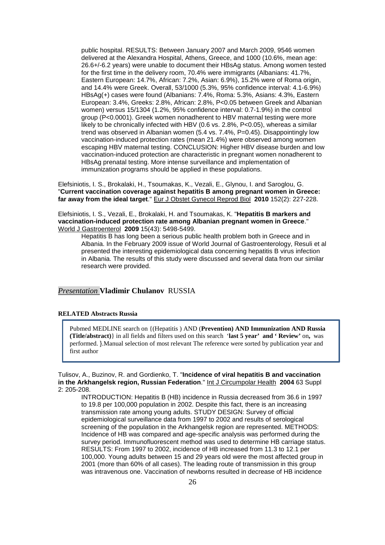public hospital. RESULTS: Between January 2007 and March 2009, 9546 women delivered at the Alexandra Hospital, Athens, Greece, and 1000 (10.6%, mean age: 26.6+/-6.2 years) were unable to document their HBsAg status. Among women tested for the first time in the delivery room, 70.4% were immigrants (Albanians: 41.7%, Eastern European: 14.7%, African: 7.2%, Asian: 6.9%), 15.2% were of Roma origin, and 14.4% were Greek. Overall, 53/1000 (5.3%, 95% confidence interval: 4.1-6.9%) HBsAg(+) cases were found (Albanians: 7.4%, Roma: 5.3%, Asians: 4.3%, Eastern European: 3.4%, Greeks: 2.8%, African: 2.8%, P<0.05 between Greek and Albanian women) versus 15/1304 (1.2%, 95% confidence interval: 0.7-1.9%) in the control group (P<0.0001). Greek women nonadherent to HBV maternal testing were more likely to be chronically infected with HBV (0.6 vs. 2.8%, P<0.05), whereas a similar trend was observed in Albanian women (5.4 vs. 7.4%, P=0.45). Disappointingly low vaccination-induced protection rates (mean 21.4%) were observed among women escaping HBV maternal testing. CONCLUSION: Higher HBV disease burden and low vaccination-induced protection are characteristic in pregnant women nonadherent to HBsAg prenatal testing. More intense surveillance and implementation of immunization programs should be applied in these populations.

Elefsiniotis, I. S., Brokalaki, H., Tsoumakas, K., Vezali, E., Glynou, I. and Saroglou, G. "**Current vaccination coverage against hepatitis B among pregnant women in Greece: far away from the ideal target**." Eur J Obstet Gynecol Reprod Biol **2010** 152(2): 227-228.

Elefsiniotis, I. S., Vezali, E., Brokalaki, H. and Tsoumakas, K. "**Hepatitis B markers and vaccination-induced protection rate among Albanian pregnant women in Greece**." World J Gastroenterol **2009** 15(43): 5498-5499.

Hepatitis B has long been a serious public health problem both in Greece and in Albania. In the February 2009 issue of World Journal of Gastroenterology, Resuli et al presented the interesting epidemiological data concerning hepatitis B virus infection in Albania. The results of this study were discussed and several data from our similar research were provided.

### *Presentation* **Vladimir Chulanov** RUSSIA

#### **RELATED Abstracts Russia**

Pubmed MEDLINE search on {(Hepatitis ) AND (**Prevention) AND Immunization AND Russia (Title/abstract)**} in all fields and filters used on this search '**last 5 year' and ' Review'** on**,** was performed. }.Manual selection of most relevant The reference were sorted by publication year and first author

Tulisov, A., Buzinov, R. and Gordienko, T. "**Incidence of viral hepatitis B and vaccination in the Arkhangelsk region, Russian Federation**." Int J Circumpolar Health **2004** 63 Suppl 2: 205-208.

INTRODUCTION: Hepatitis B (HB) incidence in Russia decreased from 36.6 in 1997 to 19.8 per 100,000 population in 2002. Despite this fact, there is an increasing transmission rate among young adults. STUDY DESIGN: Survey of official epidemiological surveillance data from 1997 to 2002 and results of serological screening of the population in the Arkhangelsk region are represented. METHODS: Incidence of HB was compared and age-specific analysis was performed during the survey period. Immunofluorescent method was used to determine HB carriage status. RESULTS: From 1997 to 2002, incidence of HB increased from 11.3 to 12.1 per 100,000. Young adults between 15 and 29 years old were the most affected group in 2001 (more than 60% of all cases). The leading route of transmission in this group was intravenous one. Vaccination of newborns resulted in decrease of HB incidence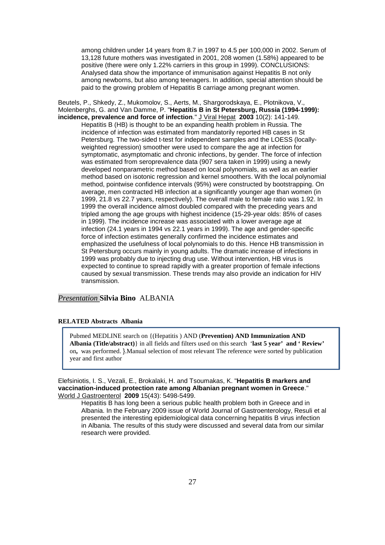among children under 14 years from 8.7 in 1997 to 4.5 per 100,000 in 2002. Serum of 13,128 future mothers was investigated in 2001, 208 women (1.58%) appeared to be positive (there were only 1.22% carriers in this group in 1999). CONCLUSIONS: Analysed data show the importance of immunisation against Hepatitis B not only among newborns, but also among teenagers. In addition, special attention should be paid to the growing problem of Hepatitis B carriage among pregnant women.

Beutels, P., Shkedy, Z., Mukomolov, S., Aerts, M., Shargorodskaya, E., Plotnikova, V., Molenberghs, G. and Van Damme, P. "**Hepatitis B in St Petersburg, Russia (1994-1999): incidence, prevalence and force of infection**." J Viral Hepat **2003** 10(2): 141-149. Hepatitis B (HB) is thought to be an expanding health problem in Russia. The incidence of infection was estimated from mandatorily reported HB cases in St Petersburg. The two-sided t-test for independent samples and the LOESS (locallyweighted regression) smoother were used to compare the age at infection for symptomatic, asymptomatic and chronic infections, by gender. The force of infection was estimated from seroprevalence data (907 sera taken in 1999) using a newly developed nonparametric method based on local polynomials, as well as an earlier method based on isotonic regression and kernel smoothers. With the local polynomial method, pointwise confidence intervals (95%) were constructed by bootstrapping. On average, men contracted HB infection at a significantly younger age than women (in 1999, 21.8 vs 22.7 years, respectively). The overall male to female ratio was 1.92. In 1999 the overall incidence almost doubled compared with the preceding years and tripled among the age groups with highest incidence (15-29-year olds: 85% of cases in 1999). The incidence increase was associated with a lower average age at infection (24.1 years in 1994 vs 22.1 years in 1999). The age and gender-specific force of infection estimates generally confirmed the incidence estimates and emphasized the usefulness of local polynomials to do this. Hence HB transmission in St Petersburg occurs mainly in young adults. The dramatic increase of infections in 1999 was probably due to injecting drug use. Without intervention, HB virus is expected to continue to spread rapidly with a greater proportion of female infections caused by sexual transmission. These trends may also provide an indication for HIV transmission.

#### *Presentation* **Silvia Bino** ALBANIA

#### **RELATED Abstracts Albania**

Pubmed MEDLINE search on {(Hepatitis ) AND (**Prevention) AND Immunization AND Albania (Title/abstract)**} in all fields and filters used on this search '**last 5 year' and ' Review'**  on**,** was performed. }.Manual selection of most relevant The reference were sorted by publication year and first author

Elefsiniotis, I. S., Vezali, E., Brokalaki, H. and Tsoumakas, K. "**Hepatitis B markers and vaccination-induced protection rate among Albanian pregnant women in Greece**." World J Gastroenterol **2009** 15(43): 5498-5499.

Hepatitis B has long been a serious public health problem both in Greece and in Albania. In the February 2009 issue of World Journal of Gastroenterology, Resuli et al presented the interesting epidemiological data concerning hepatitis B virus infection in Albania. The results of this study were discussed and several data from our similar research were provided.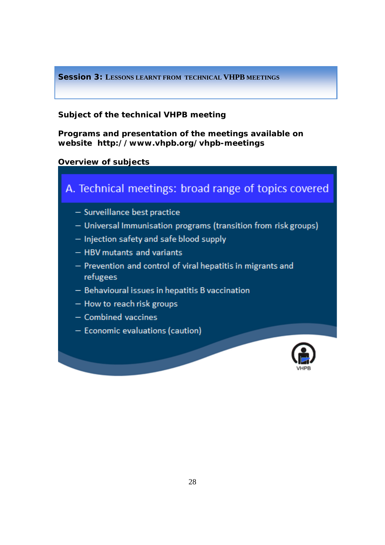**Session 3: LESSONS LEARNT FROM TECHNICAL VHPB MEETINGS**

**Subject of the technical VHPB meeting** 

**Programs and presentation of the meetings available on website http://www.vhpb.org/vhpb-meetings**

**Overview of subjects**

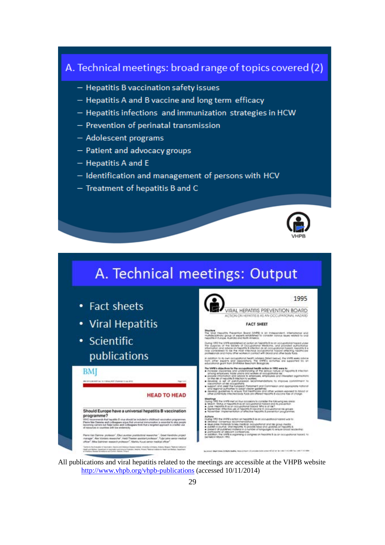# A. Technical meetings: broad range of topics covered (2)

- Hepatitis B vaccination safety issues
- Hepatitis A and B vaccine and long term efficacy
- Hepatitis infections and immunization strategies in HCW
- Prevention of perinatal transmission
- Adolescent programs
- Patient and advocacy groups
- Hepatitis A and E
- Identification and management of persons with HCV
- Treatment of hepatitis B and C

States monocher", Hock Theater assistant rechterer", Tulja Laino senze<br>Hinel research professor: ", Markiu Kuusi sende medicar officer" markat at the product film on a contract channel restaur. Crowds, at Armes, Stamp, Support Theoretical Corp.<br>A stationary and product application in the product film and the product film on a substant than the activities



# A. Technical meetings: Output 1995 **Fact sheets** ٠ VIRAL HEPATITIS PREVENTION BOARD ATTIS B AS AN OCC • Viral Hepatitis **FACT SHEET** • Scientific publications BMI **HEAD TO HEAD** ve use of reports \$ voca one in occupio<br>come il preven Should Europe have a universal hepatitis B vaccination programme? 3 secomewords that has<br>in Vien Dienvine and in<br>enong camers but Reije omersions resumersions and constant and his google me<br>humati shal Hepoffe, to provide news and updates on hepo<br>published material in a number of languages to ensure bro

All publications and viral hepatitis related to the meetings are accessible at the VHPB website <http://www.vhpb.org/vhpb-publications> (accessed 10/11/2014)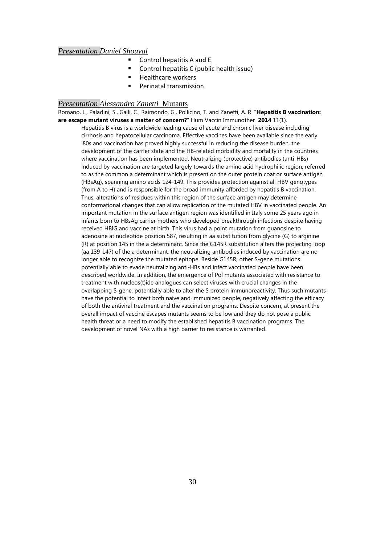### *Presentation Daniel Shouval*

- Control hepatitis A and E
- **Control hepatitis C (public health issue)**
- **Healthcare workers**
- Perinatal transmission

#### *Presentation Alessandro Zanetti* Mutants

Romano, L., Paladini, S., Galli, C., Raimondo, G., Pollicino, T. and Zanetti, A. R. "**Hepatitis B vaccination: are escape mutant viruses a matter of concern?**" Hum Vaccin Immunother **2014** 11(1). Hepatitis B virus is a worldwide leading cause of acute and chronic liver disease including cirrhosis and hepatocellular carcinoma. Effective vaccines have been available since the early '80s and vaccination has proved highly successful in reducing the disease burden, the development of the carrier state and the HB-related morbidity and mortality in the countries where vaccination has been implemented. Neutralizing (protective) antibodies (anti-HBs) induced by vaccination are targeted largely towards the amino acid hydrophilic region, referred to as the common a determinant which is present on the outer protein coat or surface antigen (HBsAg), spanning amino acids 124-149. This provides protection against all HBV genotypes (from A to H) and is responsible for the broad immunity afforded by hepatitis B vaccination. Thus, alterations of residues within this region of the surface antigen may determine conformational changes that can allow replication of the mutated HBV in vaccinated people. An important mutation in the surface antigen region was identified in Italy some 25 years ago in infants born to HBsAg carrier mothers who developed breakthrough infections despite having received HBIG and vaccine at birth. This virus had a point mutation from guanosine to adenosine at nucleotide position 587, resulting in aa substitution from glycine (G) to arginine (R) at position 145 in the a determinant. Since the G145R substitution alters the projecting loop (aa 139-147) of the a determinant, the neutralizing antibodies induced by vaccination are no longer able to recognize the mutated epitope. Beside G145R, other S-gene mutations potentially able to evade neutralizing anti-HBs and infect vaccinated people have been described worldwide. In addition, the emergence of Pol mutants associated with resistance to treatment with nucleos(t)ide analogues can select viruses with crucial changes in the overlapping S-gene, potentially able to alter the S protein immunoreactivity. Thus such mutants have the potential to infect both naive and immunized people, negatively affecting the efficacy of both the antiviral treatment and the vaccination programs. Despite concern, at present the overall impact of vaccine escapes mutants seems to be low and they do not pose a public health threat or a need to modify the established hepatitis B vaccination programs. The development of novel NAs with a high barrier to resistance is warranted.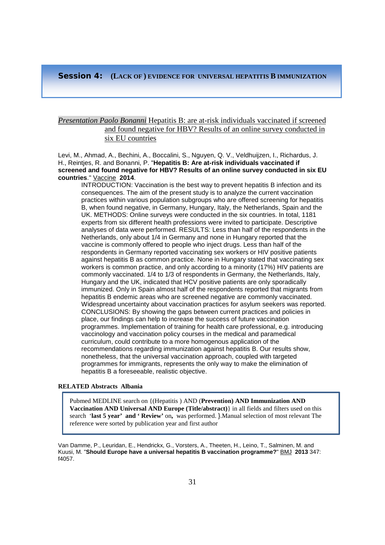# **Session 4: (LACK OF ) EVIDENCE FOR UNIVERSAL HEPATITIS B IMMUNIZATION**

# *Presentation Paolo Bonanni* Hepatitis B: are at-risk individuals vaccinated if screened and found negative for HBV? Results of an online survey conducted in six EU countries

Levi, M., Ahmad, A., Bechini, A., Boccalini, S., Nguyen, Q. V., Veldhuijzen, I., Richardus, J. H., Reintjes, R. and Bonanni, P. "**Hepatitis B: Are at-risk individuals vaccinated if screened and found negative for HBV? Results of an online survey conducted in six EU countries**." Vaccine **2014**.

INTRODUCTION: Vaccination is the best way to prevent hepatitis B infection and its consequences. The aim of the present study is to analyze the current vaccination practices within various population subgroups who are offered screening for hepatitis B, when found negative, in Germany, Hungary, Italy, the Netherlands, Spain and the UK. METHODS: Online surveys were conducted in the six countries. In total, 1181 experts from six different health professions were invited to participate. Descriptive analyses of data were performed. RESULTS: Less than half of the respondents in the Netherlands, only about 1/4 in Germany and none in Hungary reported that the vaccine is commonly offered to people who inject drugs. Less than half of the respondents in Germany reported vaccinating sex workers or HIV positive patients against hepatitis B as common practice. None in Hungary stated that vaccinating sex workers is common practice, and only according to a minority (17%) HIV patients are commonly vaccinated. 1/4 to 1/3 of respondents in Germany, the Netherlands, Italy, Hungary and the UK, indicated that HCV positive patients are only sporadically immunized. Only in Spain almost half of the respondents reported that migrants from hepatitis B endemic areas who are screened negative are commonly vaccinated. Widespread uncertainty about vaccination practices for asylum seekers was reported. CONCLUSIONS: By showing the gaps between current practices and policies in place, our findings can help to increase the success of future vaccination programmes. Implementation of training for health care professional, e.g. introducing vaccinology and vaccination policy courses in the medical and paramedical curriculum, could contribute to a more homogenous application of the recommendations regarding immunization against hepatitis B. Our results show, nonetheless, that the universal vaccination approach, coupled with targeted programmes for immigrants, represents the only way to make the elimination of hepatitis B a foreseeable, realistic objective.

#### **RELATED Abstracts Albania**

Pubmed MEDLINE search on {(Hepatitis ) AND (**Prevention) AND Immunization AND Vaccination AND Universal AND Europe (Title/abstract)**} in all fields and filters used on this search '**last 5 year' and ' Review'** on**,** was performed. }.Manual selection of most relevant The reference were sorted by publication year and first author

Van Damme, P., Leuridan, E., Hendrickx, G., Vorsters, A., Theeten, H., Leino, T., Salminen, M. and Kuusi, M. "**Should Europe have a universal hepatitis B vaccination programme?**" BMJ **2013** 347: f4057.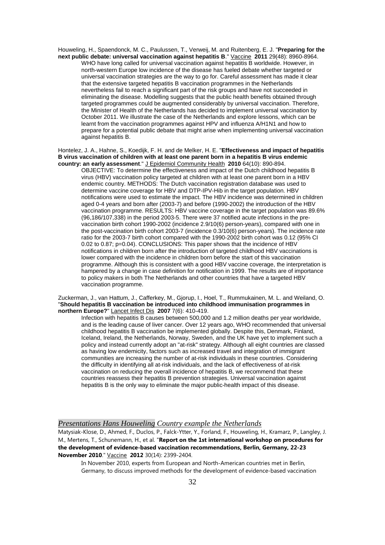Houweling, H., Spaendonck, M. C., Paulussen, T., Verweij, M. and Ruitenberg, E. J. "**Preparing for the next public debate: universal vaccination against hepatitis B**." Vaccine **2011** 29(48): 8960-8964. WHO have long called for universal vaccination against hepatitis B worldwide. However, in north-western Europe low incidence of the disease has fueled debate whether targeted or universal vaccination strategies are the way to go for. Careful assessment has made it clear that the extensive targeted hepatitis B vaccination programmes in the Netherlands nevertheless fail to reach a significant part of the risk groups and have not succeeded in eliminating the disease. Modelling suggests that the public health benefits obtained through targeted programmes could be augmented considerably by universal vaccination. Therefore, the Minister of Health of the Netherlands has decided to implement universal vaccination by October 2011. We illustrate the case of the Netherlands and explore lessons, which can be learnt from the vaccination programmes against HPV and influenza A/H1N1 and how to prepare for a potential public debate that might arise when implementing universal vaccination against hepatitis B.

Hontelez, J. A., Hahne, S., Koedijk, F. H. and de Melker, H. E. "**Effectiveness and impact of hepatitis B virus vaccination of children with at least one parent born in a hepatitis B virus endemic country: an early assessment**." J Epidemiol Community Health **2010** 64(10): 890-894.

OBJECTIVE: To determine the effectiveness and impact of the Dutch childhood hepatitis B virus (HBV) vaccination policy targeted at children with at least one parent born in a HBV endemic country. METHODS: The Dutch vaccination registration database was used to determine vaccine coverage for HBV and DTP-IPV-Hib in the target population. HBV notifications were used to estimate the impact. The HBV incidence was determined in children aged 0-4 years and born after (2003-7) and before (1990-2002) the introduction of the HBV vaccination programme. RESULTS: HBV vaccine coverage in the target population was 89.6% (96,186/107,338) in the period 2003-5. There were 37 notified acute infections in the prevaccination birth cohort 1990-2002 (incidence 2.9/10(6) person-years), compared with one in the post-vaccination birth cohort 2003-7 (incidence 0.3/10(6) person-years). The incidence rate ratio for the 2003-7 birth cohort compared with the 1990-2002 birth cohort was 0.12 (95% CI 0.02 to 0.87; p=0.04). CONCLUSIONS: This paper shows that the incidence of HBV notifications in children born after the introduction of targeted childhood HBV vaccinations is lower compared with the incidence in children born before the start of this vaccination programme. Although this is consistent with a good HBV vaccine coverage, the interpretation is hampered by a change in case definition for notification in 1999. The results are of importance to policy makers in both The Netherlands and other countries that have a targeted HBV vaccination programme.

Zuckerman, J., van Hattum, J., Cafferkey, M., Gjorup, I., Hoel, T., Rummukainen, M. L. and Weiland, O. "**Should hepatitis B vaccination be introduced into childhood immunisation programmes in northern Europe?**" Lancet Infect Dis **2007** 7(6): 410-419.

Infection with hepatitis B causes between 500,000 and 1.2 million deaths per year worldwide, and is the leading cause of liver cancer. Over 12 years ago, WHO recommended that universal childhood hepatitis B vaccination be implemented globally. Despite this, Denmark, Finland, Iceland, Ireland, the Netherlands, Norway, Sweden, and the UK have yet to implement such a policy and instead currently adopt an "at-risk" strategy. Although all eight countries are classed as having low endemicity, factors such as increased travel and integration of immigrant communities are increasing the number of at-risk individuals in these countries. Considering the difficulty in identifying all at-risk individuals, and the lack of effectiveness of at-risk vaccination on reducing the overall incidence of hepatitis B, we recommend that these countries reassess their hepatitis B prevention strategies. Universal vaccination against hepatitis B is the only way to eliminate the major public-health impact of this disease.

#### *Presentations Hans Houweling Country example the Netherlands*

Matysiak-Klose, D., Ahmed, F., Duclos, P., Falck-Ytter, Y., Forland, F., Houweling, H., Kramarz, P., Langley, J. M., Mertens, T., Schunemann, H., et al. "**Report on the 1st international workshop on procedures for the development of evidence-based vaccination recommendations, Berlin, Germany, 22-23 November 2010**." Vaccine **2012** 30(14): 2399-2404.

In November 2010, experts from European and North-American countries met in Berlin, Germany, to discuss improved methods for the development of evidence-based vaccination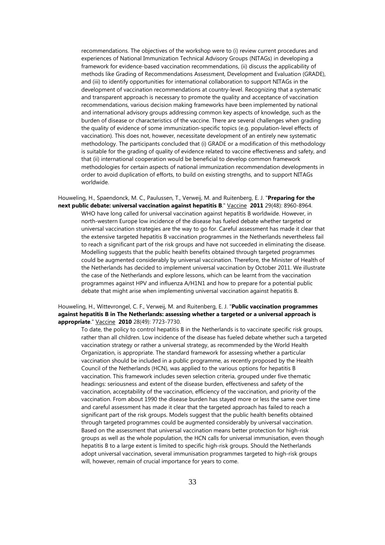recommendations. The objectives of the workshop were to (i) review current procedures and experiences of National Immunization Technical Advisory Groups (NITAGs) in developing a framework for evidence-based vaccination recommendations, (ii) discuss the applicability of methods like Grading of Recommendations Assessment, Development and Evaluation (GRADE), and (iii) to identify opportunities for international collaboration to support NITAGs in the development of vaccination recommendations at country-level. Recognizing that a systematic and transparent approach is necessary to promote the quality and acceptance of vaccination recommendations, various decision making frameworks have been implemented by national and international advisory groups addressing common key aspects of knowledge, such as the burden of disease or characteristics of the vaccine. There are several challenges when grading the quality of evidence of some immunization-specific topics (e.g. population-level effects of vaccination). This does not, however, necessitate development of an entirely new systematic methodology. The participants concluded that (i) GRADE or a modification of this methodology is suitable for the grading of quality of evidence related to vaccine effectiveness and safety, and that (ii) international cooperation would be beneficial to develop common framework methodologies for certain aspects of national immunization recommendation developments in order to avoid duplication of efforts, to build on existing strengths, and to support NITAGs worldwide.

Houweling, H., Spaendonck, M. C., Paulussen, T., Verweij, M. and Ruitenberg, E. J. "**Preparing for the next public debate: universal vaccination against hepatitis B**." Vaccine **2011** 29(48): 8960-8964. WHO have long called for universal vaccination against hepatitis B worldwide. However, in north-western Europe low incidence of the disease has fueled debate whether targeted or universal vaccination strategies are the way to go for. Careful assessment has made it clear that the extensive targeted hepatitis B vaccination programmes in the Netherlands nevertheless fail to reach a significant part of the risk groups and have not succeeded in eliminating the disease. Modelling suggests that the public health benefits obtained through targeted programmes could be augmented considerably by universal vaccination. Therefore, the Minister of Health of the Netherlands has decided to implement universal vaccination by October 2011. We illustrate the case of the Netherlands and explore lessons, which can be learnt from the vaccination programmes against HPV and influenza A/H1N1 and how to prepare for a potential public debate that might arise when implementing universal vaccination against hepatitis B.

#### Houweling, H., Wittevrongel, C. F., Verweij, M. and Ruitenberg, E. J. "**Public vaccination programmes against hepatitis B in The Netherlands: assessing whether a targeted or a universal approach is appropriate**." Vaccine **2010** 28(49): 7723-7730.

To date, the policy to control hepatitis B in the Netherlands is to vaccinate specific risk groups, rather than all children. Low incidence of the disease has fueled debate whether such a targeted vaccination strategy or rather a universal strategy, as recommended by the World Health Organization, is appropriate. The standard framework for assessing whether a particular vaccination should be included in a public programme, as recently proposed by the Health Council of the Netherlands (HCN), was applied to the various options for hepatitis B vaccination. This framework includes seven selection criteria, grouped under five thematic headings: seriousness and extent of the disease burden, effectiveness and safety of the vaccination, acceptability of the vaccination, efficiency of the vaccination, and priority of the vaccination. From about 1990 the disease burden has stayed more or less the same over time and careful assessment has made it clear that the targeted approach has failed to reach a significant part of the risk groups. Models suggest that the public health benefits obtained through targeted programmes could be augmented considerably by universal vaccination. Based on the assessment that universal vaccination means better protection for high-risk groups as well as the whole population, the HCN calls for universal immunisation, even though hepatitis B to a large extent is limited to specific high-risk groups. Should the Netherlands adopt universal vaccination, several immunisation programmes targeted to high-risk groups will, however, remain of crucial importance for years to come.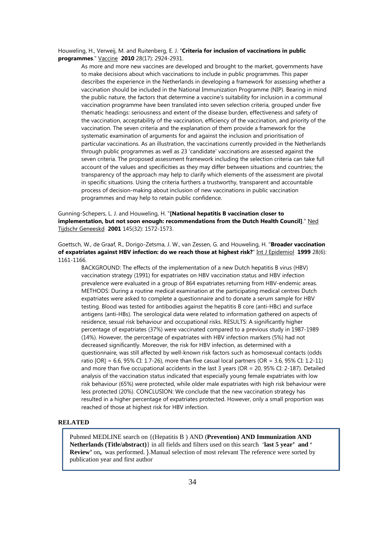Houweling, H., Verweij, M. and Ruitenberg, E. J. "**Criteria for inclusion of vaccinations in public programmes**." Vaccine **2010** 28(17): 2924-2931.

As more and more new vaccines are developed and brought to the market, governments have to make decisions about which vaccinations to include in public programmes. This paper describes the experience in the Netherlands in developing a framework for assessing whether a vaccination should be included in the National Immunization Programme (NIP). Bearing in mind the public nature, the factors that determine a vaccine's suitability for inclusion in a communal vaccination programme have been translated into seven selection criteria, grouped under five thematic headings: seriousness and extent of the disease burden, effectiveness and safety of the vaccination, acceptability of the vaccination, efficiency of the vaccination, and priority of the vaccination. The seven criteria and the explanation of them provide a framework for the systematic examination of arguments for and against the inclusion and prioritisation of particular vaccinations. As an illustration, the vaccinations currently provided in the Netherlands through public programmes as well as 23 'candidate' vaccinations are assessed against the seven criteria. The proposed assessment framework including the selection criteria can take full account of the values and specificities as they may differ between situations and countries; the transparency of the approach may help to clarify which elements of the assessment are pivotal in specific situations. Using the criteria furthers a trustworthy, transparent and accountable process of decision-making about inclusion of new vaccinations in public vaccination programmes and may help to retain public confidence.

Gunning-Schepers, L. J. and Houweling, H. "**[National hepatitis B vaccination closer to implementation, but not soon enough: recommendations from the Dutch Health Council]**." Ned Tijdschr Geneeskd **2001** 145(32): 1572-1573.

Goettsch, W., de Graaf, R., Dorigo-Zetsma, J. W., van Zessen, G. and Houweling, H. "**Broader vaccination of expatriates against HBV infection: do we reach those at highest risk?**" Int J Epidemiol **1999** 28(6): 1161-1166.

BACKGROUND: The effects of the implementation of a new Dutch hepatitis B virus (HBV) vaccination strategy (1991) for expatriates on HBV vaccination status and HBV infection prevalence were evaluated in a group of 864 expatriates returning from HBV-endemic areas. METHODS: During a routine medical examination at the participating medical centres Dutch expatriates were asked to complete a questionnaire and to donate a serum sample for HBV testing. Blood was tested for antibodies against the hepatitis B core (anti-HBc) and surface antigens (anti-HBs). The serological data were related to information gathered on aspects of residence, sexual risk behaviour and occupational risks. RESULTS: A significantly higher percentage of expatriates (37%) were vaccinated compared to a previous study in 1987-1989 (14%). However, the percentage of expatriates with HBV infection markers (5%) had not decreased significantly. Moreover, the risk for HBV infection, as determined with a questionnaire, was still affected by well-known risk factors such as homosexual contacts (odds ratio  $[OR] = 6.6, 95\%$  CI: 1.7-26), more than five casual local partners ( $OR = 3.6, 95\%$  CI: 1.2-11) and more than five occupational accidents in the last 3 years (OR = 20, 95% CI: 2-187). Detailed analysis of the vaccination status indicated that especially young female expatriates with low risk behaviour (65%) were protected, while older male expatriates with high risk behaviour were less protected (20%). CONCLUSION: We conclude that the new vaccination strategy has resulted in a higher percentage of expatriates protected. However, only a small proportion was reached of those at highest risk for HBV infection.

# **RELATED**

Pubmed MEDLINE search on {(Hepatitis B ) AND (**Prevention) AND Immunization AND Netherlands (Title/abstract)**} in all fields and filters used on this search '**last 5 year' and ' Review'** on, was performed. }.Manual selection of most relevant The reference were sorted by publication year and first author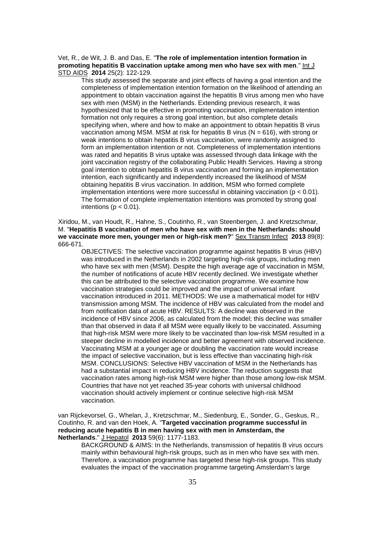Vet, R., de Wit, J. B. and Das, E. "**The role of implementation intention formation in promoting hepatitis B vaccination uptake among men who have sex with men**." Int J STD AIDS **2014** 25(2): 122-129.

This study assessed the separate and joint effects of having a goal intention and the completeness of implementation intention formation on the likelihood of attending an appointment to obtain vaccination against the hepatitis B virus among men who have sex with men (MSM) in the Netherlands. Extending previous research, it was hypothesized that to be effective in promoting vaccination, implementation intention formation not only requires a strong goal intention, but also complete details specifying when, where and how to make an appointment to obtain hepatitis B virus vaccination among MSM. MSM at risk for hepatitis B virus ( $N = 616$ ), with strong or weak intentions to obtain hepatitis B virus vaccination, were randomly assigned to form an implementation intention or not. Completeness of implementation intentions was rated and hepatitis B virus uptake was assessed through data linkage with the joint vaccination registry of the collaborating Public Health Services. Having a strong goal intention to obtain hepatitis B virus vaccination and forming an implementation intention, each significantly and independently increased the likelihood of MSM obtaining hepatitis B virus vaccination. In addition, MSM who formed complete implementation intentions were more successful in obtaining vaccination (p < 0.01). The formation of complete implementation intentions was promoted by strong goal intentions ( $p < 0.01$ ).

Xiridou, M., van Houdt, R., Hahne, S., Coutinho, R., van Steenbergen, J. and Kretzschmar, M. "**Hepatitis B vaccination of men who have sex with men in the Netherlands: should we vaccinate more men, younger men or high-risk men?**" Sex Transm Infect **2013** 89(8): 666-671.

OBJECTIVES: The selective vaccination programme against hepatitis B virus (HBV) was introduced in the Netherlands in 2002 targeting high-risk groups, including men who have sex with men (MSM). Despite the high average age of vaccination in MSM, the number of notifications of acute HBV recently declined. We investigate whether this can be attributed to the selective vaccination programme. We examine how vaccination strategies could be improved and the impact of universal infant vaccination introduced in 2011. METHODS: We use a mathematical model for HBV transmission among MSM. The incidence of HBV was calculated from the model and from notification data of acute HBV. RESULTS: A decline was observed in the incidence of HBV since 2006, as calculated from the model; this decline was smaller than that observed in data if all MSM were equally likely to be vaccinated. Assuming that high-risk MSM were more likely to be vaccinated than low-risk MSM resulted in a steeper decline in modelled incidence and better agreement with observed incidence. Vaccinating MSM at a younger age or doubling the vaccination rate would increase the impact of selective vaccination, but is less effective than vaccinating high-risk MSM. CONCLUSIONS: Selective HBV vaccination of MSM in the Netherlands has had a substantial impact in reducing HBV incidence. The reduction suggests that vaccination rates among high-risk MSM were higher than those among low-risk MSM. Countries that have not yet reached 35-year cohorts with universal childhood vaccination should actively implement or continue selective high-risk MSM vaccination.

van Rijckevorsel, G., Whelan, J., Kretzschmar, M., Siedenburg, E., Sonder, G., Geskus, R., Coutinho, R. and van den Hoek, A. "**Targeted vaccination programme successful in reducing acute hepatitis B in men having sex with men in Amsterdam, the Netherlands**." J Hepatol **2013** 59(6): 1177-1183.

BACKGROUND & AIMS: In the Netherlands, transmission of hepatitis B virus occurs mainly within behavioural high-risk groups, such as in men who have sex with men. Therefore, a vaccination programme has targeted these high-risk groups. This study evaluates the impact of the vaccination programme targeting Amsterdam's large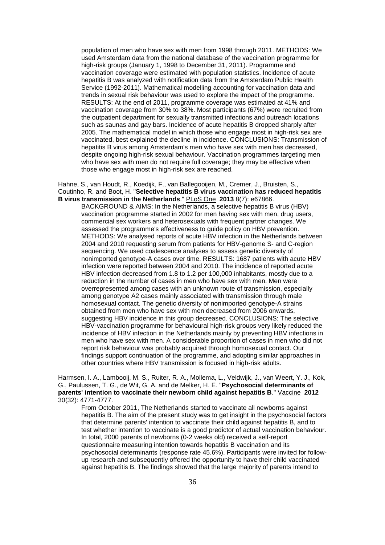population of men who have sex with men from 1998 through 2011. METHODS: We used Amsterdam data from the national database of the vaccination programme for high-risk groups (January 1, 1998 to December 31, 2011). Programme and vaccination coverage were estimated with population statistics. Incidence of acute hepatitis B was analyzed with notification data from the Amsterdam Public Health Service (1992-2011). Mathematical modelling accounting for vaccination data and trends in sexual risk behaviour was used to explore the impact of the programme. RESULTS: At the end of 2011, programme coverage was estimated at 41% and vaccination coverage from 30% to 38%. Most participants (67%) were recruited from the outpatient department for sexually transmitted infections and outreach locations such as saunas and gay bars. Incidence of acute hepatitis B dropped sharply after 2005. The mathematical model in which those who engage most in high-risk sex are vaccinated, best explained the decline in incidence. CONCLUSIONS: Transmission of hepatitis B virus among Amsterdam's men who have sex with men has decreased, despite ongoing high-risk sexual behaviour. Vaccination programmes targeting men who have sex with men do not require full coverage; they may be effective when those who engage most in high-risk sex are reached.

Hahne, S., van Houdt, R., Koedijk, F., van Ballegooijen, M., Cremer, J., Bruisten, S., Coutinho, R. and Boot, H. "**Selective hepatitis B virus vaccination has reduced hepatitis B virus transmission in the Netherlands**." PLoS One **2013** 8(7): e67866.

BACKGROUND & AIMS: In the Netherlands, a selective hepatitis B virus (HBV) vaccination programme started in 2002 for men having sex with men, drug users, commercial sex workers and heterosexuals with frequent partner changes. We assessed the programme's effectiveness to guide policy on HBV prevention. METHODS: We analysed reports of acute HBV infection in the Netherlands between 2004 and 2010 requesting serum from patients for HBV-genome S- and C-region sequencing. We used coalescence analyses to assess genetic diversity of nonimported genotype-A cases over time. RESULTS: 1687 patients with acute HBV infection were reported between 2004 and 2010. The incidence of reported acute HBV infection decreased from 1.8 to 1.2 per 100,000 inhabitants, mostly due to a reduction in the number of cases in men who have sex with men. Men were overrepresented among cases with an unknown route of transmission, especially among genotype A2 cases mainly associated with transmission through male homosexual contact. The genetic diversity of nonimported genotype-A strains obtained from men who have sex with men decreased from 2006 onwards, suggesting HBV incidence in this group decreased. CONCLUSIONS: The selective HBV-vaccination programme for behavioural high-risk groups very likely reduced the incidence of HBV infection in the Netherlands mainly by preventing HBV infections in men who have sex with men. A considerable proportion of cases in men who did not report risk behaviour was probably acquired through homosexual contact. Our findings support continuation of the programme, and adopting similar approaches in other countries where HBV transmission is focused in high-risk adults.

Harmsen, I. A., Lambooij, M. S., Ruiter, R. A., Mollema, L., Veldwijk, J., van Weert, Y. J., Kok, G., Paulussen, T. G., de Wit, G. A. and de Melker, H. E. "**Psychosocial determinants of parents' intention to vaccinate their newborn child against hepatitis B**." Vaccine **2012** 30(32): 4771-4777.

From October 2011, The Netherlands started to vaccinate all newborns against hepatitis B. The aim of the present study was to get insight in the psychosocial factors that determine parents' intention to vaccinate their child against hepatitis B, and to test whether intention to vaccinate is a good predictor of actual vaccination behaviour. In total, 2000 parents of newborns (0-2 weeks old) received a self-report questionnaire measuring intention towards hepatitis B vaccination and its psychosocial determinants (response rate 45.6%). Participants were invited for followup research and subsequently offered the opportunity to have their child vaccinated against hepatitis B. The findings showed that the large majority of parents intend to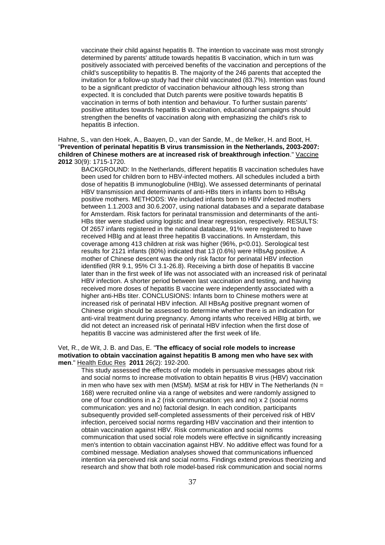vaccinate their child against hepatitis B. The intention to vaccinate was most strongly determined by parents' attitude towards hepatitis B vaccination, which in turn was positively associated with perceived benefits of the vaccination and perceptions of the child's susceptibility to hepatitis B. The majority of the 246 parents that accepted the invitation for a follow-up study had their child vaccinated (83.7%). Intention was found to be a significant predictor of vaccination behaviour although less strong than expected. It is concluded that Dutch parents were positive towards hepatitis B vaccination in terms of both intention and behaviour. To further sustain parents' positive attitudes towards hepatitis B vaccination, educational campaigns should strengthen the benefits of vaccination along with emphasizing the child's risk to hepatitis B infection.

Hahne, S., van den Hoek, A., Baayen, D., van der Sande, M., de Melker, H. and Boot, H. "**Prevention of perinatal hepatitis B virus transmission in the Netherlands, 2003-2007: children of Chinese mothers are at increased risk of breakthrough infection**." Vaccine **2012** 30(9): 1715-1720.

BACKGROUND: In the Netherlands, different hepatitis B vaccination schedules have been used for children born to HBV-infected mothers. All schedules included a birth dose of hepatitis B immunoglobuline (HBIg). We assessed determinants of perinatal HBV transmission and determinants of anti-HBs titers in infants born to HBsAg positive mothers. METHODS: We included infants born to HBV infected mothers between 1.1.2003 and 30.6.2007, using national databases and a separate database for Amsterdam. Risk factors for perinatal transmission and determinants of the anti-HBs titer were studied using logistic and linear regression, respectively. RESULTS: Of 2657 infants registered in the national database, 91% were registered to have received HBIg and at least three hepatitis B vaccinations. In Amsterdam, this coverage among 413 children at risk was higher (96%, p<0.01). Serological test results for 2121 infants (80%) indicated that 13 (0.6%) were HBsAg positive. A mother of Chinese descent was the only risk factor for perinatal HBV infection identified (RR 9.1, 95% CI 3.1-26.8). Receiving a birth dose of hepatitis B vaccine later than in the first week of life was not associated with an increased risk of perinatal HBV infection. A shorter period between last vaccination and testing, and having received more doses of hepatitis B vaccine were independently associated with a higher anti-HBs titer. CONCLUSIONS: Infants born to Chinese mothers were at increased risk of perinatal HBV infection. All HBsAg positive pregnant women of Chinese origin should be assessed to determine whether there is an indication for anti-viral treatment during pregnancy. Among infants who received HBIg at birth, we did not detect an increased risk of perinatal HBV infection when the first dose of hepatitis B vaccine was administered after the first week of life.

#### Vet, R., de Wit, J. B. and Das, E. "**The efficacy of social role models to increase motivation to obtain vaccination against hepatitis B among men who have sex with men**." Health Educ Res **2011** 26(2): 192-200.

This study assessed the effects of role models in persuasive messages about risk and social norms to increase motivation to obtain hepatitis B virus (HBV) vaccination in men who have sex with men (MSM). MSM at risk for HBV in The Netherlands ( $N =$ 168) were recruited online via a range of websites and were randomly assigned to one of four conditions in a 2 (risk communication: yes and no) x 2 (social norms communication: yes and no) factorial design. In each condition, participants subsequently provided self-completed assessments of their perceived risk of HBV infection, perceived social norms regarding HBV vaccination and their intention to obtain vaccination against HBV. Risk communication and social norms communication that used social role models were effective in significantly increasing men's intention to obtain vaccination against HBV. No additive effect was found for a combined message. Mediation analyses showed that communications influenced intention via perceived risk and social norms. Findings extend previous theorizing and research and show that both role model-based risk communication and social norms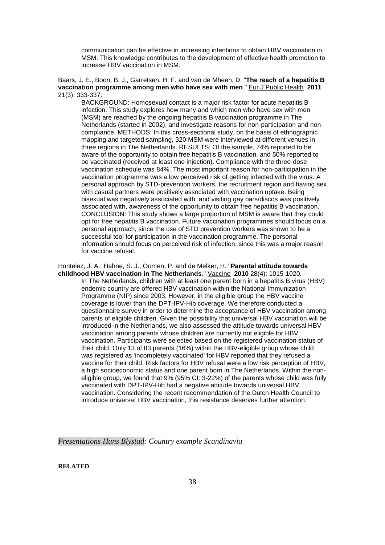communication can be effective in increasing intentions to obtain HBV vaccination in MSM. This knowledge contributes to the development of effective health promotion to increase HBV vaccination in MSM.

Baars, J. E., Boon, B. J., Garretsen, H. F. and van de Mheen, D. "**The reach of a hepatitis B vaccination programme among men who have sex with men**." Eur J Public Health **2011** 21(3): 333-337.

BACKGROUND: Homosexual contact is a major risk factor for acute hepatitis B infection. This study explores how many and which men who have sex with men (MSM) are reached by the ongoing hepatitis B vaccination programme in The Netherlands (started in 2002), and investigate reasons for non-participation and noncompliance. METHODS: In this cross-sectional study, on the basis of ethnographic mapping and targeted sampling, 320 MSM were interviewed at different venues in three regions in The Netherlands. RESULTS: Of the sample, 74% reported to be aware of the opportunity to obtain free hepatitis B vaccination, and 50% reported to be vaccinated (received at least one injection). Compliance with the three-dose vaccination schedule was 84%. The most important reason for non-participation in the vaccination programme was a low perceived risk of getting infected with the virus. A personal approach by STD-prevention workers, the recruitment region and having sex with casual partners were positively associated with vaccination uptake. Being bisexual was negatively associated with, and visiting gay bars/discos was positively associated with, awareness of the opportunity to obtain free hepatitis B vaccination. CONCLUSION: This study shows a large proportion of MSM is aware that they could opt for free hepatitis B vaccination. Future vaccination programmes should focus on a personal approach, since the use of STD prevention workers was shown to be a successful tool for participation in the vaccination programme. The personal information should focus on perceived risk of infection, since this was a major reason for vaccine refusal.

Hontelez, J. A., Hahne, S. J., Oomen, P. and de Melker, H. "**Parental attitude towards childhood HBV vaccination in The Netherlands**." Vaccine **2010** 28(4): 1015-1020. In The Netherlands, children with at least one parent born in a hepatitis B virus (HBV) endemic country are offered HBV vaccination within the National Immunization Programme (NIP) since 2003. However, in the eligible group the HBV vaccine coverage is lower than the DPT-IPV-Hib coverage. We therefore conducted a questionnaire survey in order to determine the acceptance of HBV vaccination among parents of eligible children. Given the possibility that universal HBV vaccination will be introduced in the Netherlands, we also assessed the attitude towards universal HBV vaccination among parents whose children are currently not eligible for HBV vaccination. Participants were selected based on the registered vaccination status of their child. Only 13 of 83 parents (16%) within the HBV-eligible group whose child was registered as 'incompletely vaccinated' for HBV reported that they refused a vaccine for their child. Risk factors for HBV refusal were a low risk perception of HBV, a high socioeconomic status and one parent born in The Netherlands. Within the noneligible group, we found that 9% (95% CI: 3-22%) of the parents whose child was fully vaccinated with DPT-IPV-Hib had a negative attitude towards universal HBV vaccination. Considering the recent recommendation of the Dutch Health Council to introduce universal HBV vaccination, this resistance deserves further attention.

*Presentations Hans Blystad: Country example Scandinavia*

**RELATED**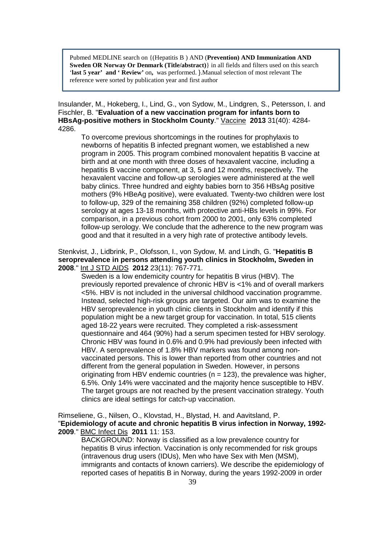Pubmed MEDLINE search on {(Hepatitis B ) AND (**Prevention) AND Immunization AND Sweden OR Norway Or Denmark (Title/abstract)** in all fields and filters used on this search '**last 5 year' and ' Review'** on**,** was performed. }.Manual selection of most relevant The reference were sorted by publication year and first author

Insulander, M., Hokeberg, I., Lind, G., von Sydow, M., Lindgren, S., Petersson, I. and Fischler, B. "**Evaluation of a new vaccination program for infants born to HBsAg-positive mothers in Stockholm County**." Vaccine **2013** 31(40): 4284- 4286.

To overcome previous shortcomings in the routines for prophylaxis to newborns of hepatitis B infected pregnant women, we established a new program in 2005. This program combined monovalent hepatitis B vaccine at birth and at one month with three doses of hexavalent vaccine, including a hepatitis B vaccine component, at 3, 5 and 12 months, respectively. The hexavalent vaccine and follow-up serologies were administered at the well baby clinics. Three hundred and eighty babies born to 356 HBsAg positive mothers (9% HBeAg positive), were evaluated. Twenty-two children were lost to follow-up, 329 of the remaining 358 children (92%) completed follow-up serology at ages 13-18 months, with protective anti-HBs levels in 99%. For comparison, in a previous cohort from 2000 to 2001, only 63% completed follow-up serology. We conclude that the adherence to the new program was good and that it resulted in a very high rate of protective antibody levels.

Stenkvist, J., Lidbrink, P., Olofsson, I., von Sydow, M. and Lindh, G. "**Hepatitis B seroprevalence in persons attending youth clinics in Stockholm, Sweden in 2008**." Int J STD AIDS **2012** 23(11): 767-771.

Sweden is a low endemicity country for hepatitis B virus (HBV). The previously reported prevalence of chronic HBV is <1% and of overall markers <5%. HBV is not included in the universal childhood vaccination programme. Instead, selected high-risk groups are targeted. Our aim was to examine the HBV seroprevalence in youth clinic clients in Stockholm and identify if this population might be a new target group for vaccination. In total, 515 clients aged 18-22 years were recruited. They completed a risk-assessment questionnaire and 464 (90%) had a serum specimen tested for HBV serology. Chronic HBV was found in 0.6% and 0.9% had previously been infected with HBV. A seroprevalence of 1.8% HBV markers was found among nonvaccinated persons. This is lower than reported from other countries and not different from the general population in Sweden. However, in persons originating from HBV endemic countries ( $n = 123$ ), the prevalence was higher, 6.5%. Only 14% were vaccinated and the majority hence susceptible to HBV. The target groups are not reached by the present vaccination strategy. Youth clinics are ideal settings for catch-up vaccination.

Rimseliene, G., Nilsen, O., Klovstad, H., Blystad, H. and Aavitsland, P. "**Epidemiology of acute and chronic hepatitis B virus infection in Norway, 1992- 2009**." BMC Infect Dis **2011** 11: 153.

BACKGROUND: Norway is classified as a low prevalence country for hepatitis B virus infection. Vaccination is only recommended for risk groups (intravenous drug users (IDUs), Men who have Sex with Men (MSM), immigrants and contacts of known carriers). We describe the epidemiology of reported cases of hepatitis B in Norway, during the years 1992-2009 in order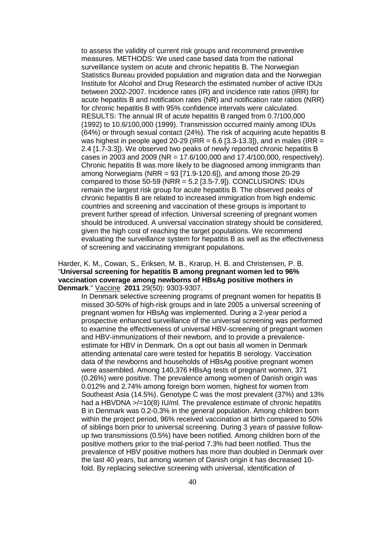to assess the validity of current risk groups and recommend preventive measures. METHODS: We used case based data from the national surveillance system on acute and chronic hepatitis B. The Norwegian Statistics Bureau provided population and migration data and the Norwegian Institute for Alcohol and Drug Research the estimated number of active IDUs between 2002-2007. Incidence rates (IR) and incidence rate ratios (IRR) for acute hepatitis B and notification rates (NR) and notification rate ratios (NRR) for chronic hepatitis B with 95% confidence intervals were calculated. RESULTS: The annual IR of acute hepatitis B ranged from 0.7/100,000 (1992) to 10.6/100,000 (1999). Transmission occurred mainly among IDUs (64%) or through sexual contact (24%). The risk of acquiring acute hepatitis B was highest in people aged 20-29 (IRR =  $6.6$  [3.3-13.3]), and in males (IRR = 2.4 [1.7-3.3]). We observed two peaks of newly reported chronic hepatitis B cases in 2003 and 2009 (NR = 17.6/100,000 and 17.4/100,000, respectively). Chronic hepatitis B was more likely to be diagnosed among immigrants than among Norwegians (NRR =  $93$  [71.9-120.6]), and among those 20-29 compared to those  $50-59$  (NRR =  $5.2$  [3.5-7.9]). CONCLUSIONS: IDUs remain the largest risk group for acute hepatitis B. The observed peaks of chronic hepatitis B are related to increased immigration from high endemic countries and screening and vaccination of these groups is important to prevent further spread of infection. Universal screening of pregnant women should be introduced. A universal vaccination strategy should be considered, given the high cost of reaching the target populations. We recommend evaluating the surveillance system for hepatitis B as well as the effectiveness of screening and vaccinating immigrant populations.

Harder, K. M., Cowan, S., Eriksen, M. B., Krarup, H. B. and Christensen, P. B. "**Universal screening for hepatitis B among pregnant women led to 96% vaccination coverage among newborns of HBsAg positive mothers in Denmark**." Vaccine **2011** 29(50): 9303-9307.

In Denmark selective screening programs of pregnant women for hepatitis B missed 30-50% of high-risk groups and in late 2005 a universal screening of pregnant women for HBsAg was implemented. During a 2-year period a prospective enhanced surveillance of the universal screening was performed to examine the effectiveness of universal HBV-screening of pregnant women and HBV-immunizations of their newborn, and to provide a prevalenceestimate for HBV in Denmark. On a opt out basis all women in Denmark attending antenatal care were tested for hepatitis B serology. Vaccination data of the newborns and households of HBsAg positive pregnant women were assembled. Among 140,376 HBsAg tests of pregnant women, 371 (0.26%) were positive. The prevalence among women of Danish origin was 0.012% and 2.74% among foreign born women, highest for women from Southeast Asia (14.5%). Genotype C was the most prevalent (37%) and 13% had a HBVDNA >/=10(8) IU/ml. The prevalence estimate of chronic hepatitis B in Denmark was 0.2-0.3% in the general population. Among children born within the project period, 96% received vaccination at birth compared to 50% of siblings born prior to universal screening. During 3 years of passive followup two transmissions (0.5%) have been notified. Among children born of the positive mothers prior to the trial-period 7.3% had been notified. Thus the prevalence of HBV positive mothers has more than doubled in Denmark over the last 40 years, but among women of Danish origin it has decreased 10 fold. By replacing selective screening with universal, identification of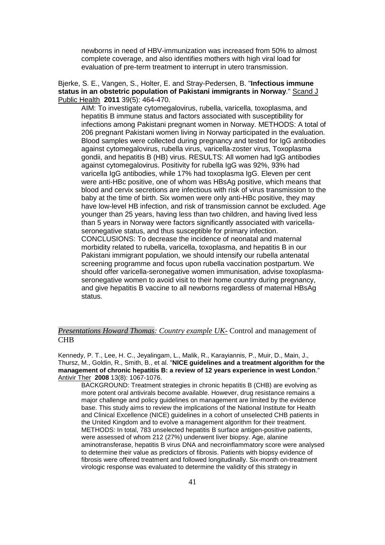newborns in need of HBV-immunization was increased from 50% to almost complete coverage, and also identifies mothers with high viral load for evaluation of pre-term treatment to interrupt in utero transmission.

Bjerke, S. E., Vangen, S., Holter, E. and Stray-Pedersen, B. "**Infectious immune status in an obstetric population of Pakistani immigrants in Norway**." Scand J Public Health **2011** 39(5): 464-470.

AIM: To investigate cytomegalovirus, rubella, varicella, toxoplasma, and hepatitis B immune status and factors associated with susceptibility for infections among Pakistani pregnant women in Norway. METHODS: A total of 206 pregnant Pakistani women living in Norway participated in the evaluation. Blood samples were collected during pregnancy and tested for IgG antibodies against cytomegalovirus, rubella virus, varicella-zoster virus, Toxoplasma gondii, and hepatitis B (HB) virus. RESULTS: All women had IgG antibodies against cytomegalovirus. Positivity for rubella IgG was 92%, 93% had varicella IgG antibodies, while 17% had toxoplasma IgG. Eleven per cent were anti-HBc positive, one of whom was HBsAg positive, which means that blood and cervix secretions are infectious with risk of virus transmission to the baby at the time of birth. Six women were only anti-HBc positive, they may have low-level HB infection, and risk of transmission cannot be excluded. Age younger than 25 years, having less than two children, and having lived less than 5 years in Norway were factors significantly associated with varicellaseronegative status, and thus susceptible for primary infection. CONCLUSIONS: To decrease the incidence of neonatal and maternal morbidity related to rubella, varicella, toxoplasma, and hepatitis B in our Pakistani immigrant population, we should intensify our rubella antenatal screening programme and focus upon rubella vaccination postpartum. We should offer varicella-seronegative women immunisation, advise toxoplasmaseronegative women to avoid visit to their home country during pregnancy, and give hepatitis B vaccine to all newborns regardless of maternal HBsAg status.

# *Presentations Howard Thomas: Country example UK-* Control and management of CHB

Kennedy, P. T., Lee, H. C., Jeyalingam, L., Malik, R., Karayiannis, P., Muir, D., Main, J., Thursz, M., Goldin, R., Smith, B., et al. "**NICE guidelines and a treatment algorithm for the management of chronic hepatitis B: a review of 12 years experience in west London**." Antivir Ther **2008** 13(8): 1067-1076.

BACKGROUND: Treatment strategies in chronic hepatitis B (CHB) are evolving as more potent oral antivirals become available. However, drug resistance remains a major challenge and policy guidelines on management are limited by the evidence base. This study aims to review the implications of the National Institute for Health and Clinical Excellence (NICE) guidelines in a cohort of unselected CHB patients in the United Kingdom and to evolve a management algorithm for their treatment. METHODS: In total, 783 unselected hepatitis B surface antigen-positive patients, were assessed of whom 212 (27%) underwent liver biopsy. Age, alanine aminotransferase, hepatitis B virus DNA and necroinflammatory score were analysed to determine their value as predictors of fibrosis. Patients with biopsy evidence of fibrosis were offered treatment and followed longitudinally. Six-month on-treatment virologic response was evaluated to determine the validity of this strategy in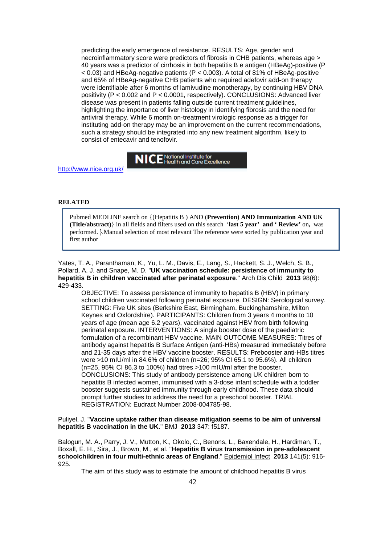predicting the early emergence of resistance. RESULTS: Age, gender and necroinflammatory score were predictors of fibrosis in CHB patients, whereas age > 40 years was a predictor of cirrhosis in both hepatitis B e antigen (HBeAg)-positive (P < 0.03) and HBeAg-negative patients (P < 0.003). A total of 81% of HBeAg-positive and 65% of HBeAg-negative CHB patients who required adefovir add-on therapy were identifiable after 6 months of lamivudine monotherapy, by continuing HBV DNA positivity (P < 0.002 and P < 0.0001, respectively). CONCLUSIONS: Advanced liver disease was present in patients falling outside current treatment guidelines, highlighting the importance of liver histology in identifying fibrosis and the need for antiviral therapy. While 6 month on-treatment virologic response as a trigger for instituting add-on therapy may be an improvement on the current recommendations, such a strategy should be integrated into any new treatment algorithm, likely to consist of entecavir and tenofovir.



<http://www.nice.org.uk/>

#### **RELATED**

Pubmed MEDLINE search on {(Hepatitis B ) AND (**Prevention) AND Immunization AND UK (Title/abstract)**} in all fields and filters used on this search '**last 5 year' and ' Review'** on**,** was performed. }.Manual selection of most relevant The reference were sorted by publication year and first author

Yates, T. A., Paranthaman, K., Yu, L. M., Davis, E., Lang, S., Hackett, S. J., Welch, S. B., Pollard, A. J. and Snape, M. D. "**UK vaccination schedule: persistence of immunity to hepatitis B in children vaccinated after perinatal exposure**." Arch Dis Child **2013** 98(6): 429-433.

OBJECTIVE: To assess persistence of immunity to hepatitis B (HBV) in primary school children vaccinated following perinatal exposure. DESIGN: Serological survey. SETTING: Five UK sites (Berkshire East, Birmingham, Buckinghamshire, Milton Keynes and Oxfordshire). PARTICIPANTS: Children from 3 years 4 months to 10 years of age (mean age 6.2 years), vaccinated against HBV from birth following perinatal exposure. INTERVENTIONS: A single booster dose of the paediatric formulation of a recombinant HBV vaccine. MAIN OUTCOME MEASURES: Titres of antibody against hepatitis B Surface Antigen (anti-HBs) measured immediately before and 21-35 days after the HBV vaccine booster. RESULTS: Prebooster anti-HBs titres were >10 mIU/ml in 84.6% of children (n=26; 95% CI 65.1 to 95.6%). All children (n=25, 95% CI 86.3 to 100%) had titres >100 mIU/ml after the booster. CONCLUSIONS: This study of antibody persistence among UK children born to hepatitis B infected women, immunised with a 3-dose infant schedule with a toddler booster suggests sustained immunity through early childhood. These data should prompt further studies to address the need for a preschool booster. TRIAL REGISTRATION: Eudract Number 2008-004785-98.

Puliyel, J. "**Vaccine uptake rather than disease mitigation seems to be aim of universal hepatitis B vaccination in the UK**." BMJ **2013** 347: f5187.

Balogun, M. A., Parry, J. V., Mutton, K., Okolo, C., Benons, L., Baxendale, H., Hardiman, T., Boxall, E. H., Sira, J., Brown, M., et al. "**Hepatitis B virus transmission in pre-adolescent schoolchildren in four multi-ethnic areas of England**." Epidemiol Infect **2013** 141(5): 916- 925.

The aim of this study was to estimate the amount of childhood hepatitis B virus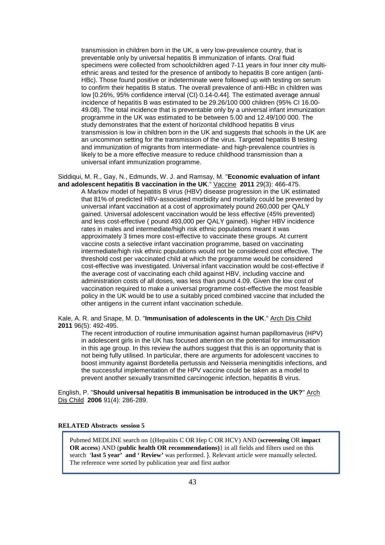transmission in children born in the UK, a very low-prevalence country, that is preventable only by universal hepatitis B immunization of infants. Oral fluid specimens were collected from schoolchildren aged 7-11 years in four inner city multiethnic areas and tested for the presence of antibody to hepatitis B core antigen (anti-HBc). Those found positive or indeterminate were followed up with testing on serum to confirm their hepatitis B status. The overall prevalence of anti-HBc in children was low [0.26%, 95% confidence interval (CI) 0.14-0.44]. The estimated average annual incidence of hepatitis B was estimated to be 29.26/100 000 children (95% CI 16.00- 49.08). The total incidence that is preventable only by a universal infant immunization programme in the UK was estimated to be between 5.00 and 12.49/100 000. The study demonstrates that the extent of horizontal childhood hepatitis B virus transmission is low in children born in the UK and suggests that schools in the UK are an uncommon setting for the transmission of the virus. Targeted hepatitis B testing and immunization of migrants from intermediate- and high-prevalence countries is likely to be a more effective measure to reduce childhood transmission than a universal infant immunization programme.

Siddiqui, M. R., Gay, N., Edmunds, W. J. and Ramsay, M. "**Economic evaluation of infant and adolescent hepatitis B vaccination in the UK**." Vaccine **2011** 29(3): 466-475. A Markov model of hepatitis B virus (HBV) disease progression in the UK estimated that 81% of predicted HBV-associated morbidity and mortality could be prevented by universal infant vaccination at a cost of approximately pound 260,000 per QALY gained. Universal adolescent vaccination would be less effective (45% prevented) and less cost-effective ( pound 493,000 per QALY gained). Higher HBV incidence rates in males and intermediate/high risk ethnic populations meant it was approximately 3 times more cost-effective to vaccinate these groups. At current vaccine costs a selective infant vaccination programme, based on vaccinating intermediate/high risk ethnic populations would not be considered cost effective. The threshold cost per vaccinated child at which the programme would be considered cost-effective was investigated. Universal infant vaccination would be cost-effective if the average cost of vaccinating each child against HBV, including vaccine and administration costs of all doses, was less than pound 4.09. Given the low cost of vaccination required to make a universal programme cost-effective the most feasible policy in the UK would be to use a suitably priced combined vaccine that included the other antigens in the current infant vaccination schedule.

Kale, A. R. and Snape, M. D. "**Immunisation of adolescents in the UK**." Arch Dis Child **2011** 96(5): 492-495.

The recent introduction of routine immunisation against human papillomavirus (HPV) in adolescent girls in the UK has focused attention on the potential for immunisation in this age group. In this review the authors suggest that this is an opportunity that is not being fully utilised. In particular, there are arguments for adolescent vaccines to boost immunity against Bordetella pertussis and Neisseria meningitidis infections, and the successful implementation of the HPV vaccine could be taken as a model to prevent another sexually transmitted carcinogenic infection, hepatitis B virus.

English, P. "**Should universal hepatitis B immunisation be introduced in the UK?**" Arch Dis Child **2006** 91(4): 286-289.

**RELATED Abstracts session 5**

Pubmed MEDLINE search on {(Hepaitits C OR Hep C OR HCV) AND (**screeening** OR **impact OR access**) AND (**public health OR recommendations)**} in all fields and filters used on this search '**last 5 year' and ' Review'** was performed. }. Relevant article were manually selected. The reference were sorted by publication year and first author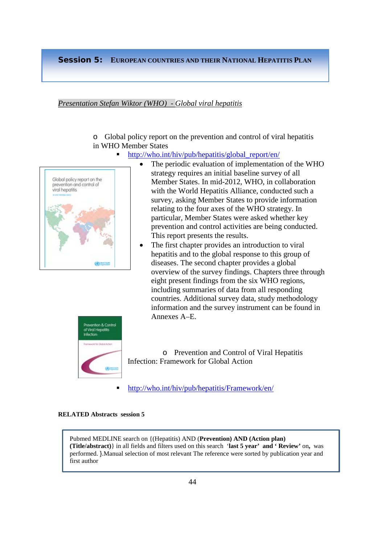# **Session 5: EUROPEAN COUNTRIES AND THEIR NATIONAL HEPATITIS PLAN**

### *Presentation Stefan Wiktor (WHO) - Global viral hepatitis*

- o Global policy report on the prevention and control of viral hepatitis in WHO Member States
	- **[http://who.int/hiv/pub/hepatitis/global\\_report/en/](http://who.int/hiv/pub/hepatitis/global_report/en/)**



- The periodic evaluation of implementation of the WHO strategy requires an initial baseline survey of all Member States. In mid-2012, WHO, in collaboration with the World Hepatitis Alliance, conducted such a survey, asking Member States to provide information relating to the four axes of the WHO strategy. In particular, Member States were asked whether key prevention and control activities are being conducted. This report presents the results.
- The first chapter provides an introduction to viral hepatitis and to the global response to this group of diseases. The second chapter provides a global overview of the survey findings. Chapters three through eight present findings from the six WHO regions, including summaries of data from all responding countries. Additional survey data, study methodology information and the survey instrument can be found in Annexes A–E.



o Prevention and Control of Viral Hepatitis Infection: Framework for Global Action

<http://who.int/hiv/pub/hepatitis/Framework/en/>

#### **RELATED Abstracts session 5**

Pubmed MEDLINE search on {(Hepatitis) AND (**Prevention) AND (Action plan) (Title/abstract)**} in all fields and filters used on this search '**last 5 year' and ' Review'** on**,** was performed. }.Manual selection of most relevant The reference were sorted by publication year and first author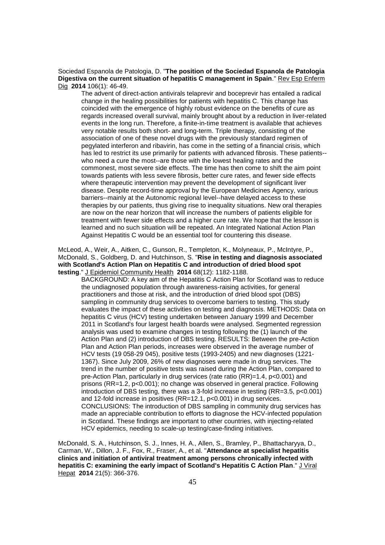Sociedad Espanola de Patologia, D. "**The position of the Sociedad Espanola de Patologia Digestiva on the current situation of hepatitis C management in Spain**." Rev Esp Enferm Dig **2014** 106(1): 46-49.

The advent of direct-action antivirals telaprevir and boceprevir has entailed a radical change in the healing possibilities for patients with hepatitis C. This change has coincided with the emergence of highly robust evidence on the benefits of cure as regards increased overall survival, mainly brought about by a reduction in liver-related events in the long run. Therefore, a finite-in-time treatment is available that achieves very notable results both short- and long-term. Triple therapy, consisting of the association of one of these novel drugs with the previously standard regimen of pegylated interferon and ribavirin, has come in the setting of a financial crisis, which has led to restrict its use primarily for patients with advanced fibrosis. These patients- who need a cure the most--are those with the lowest healing rates and the commonest, most severe side effects. The time has then come to shift the aim point towards patients with less severe fibrosis, better cure rates, and fewer side effects where therapeutic intervention may prevent the development of significant liver disease. Despite record-time approval by the European Medicines Agency, various barriers--mainly at the Autonomic regional level--have delayed access to these therapies by our patients, thus giving rise to inequality situations. New oral therapies are now on the near horizon that will increase the numbers of patients eligible for treatment with fewer side effects and a higher cure rate. We hope that the lesson is learned and no such situation will be repeated. An Integrated National Action Plan Against Hepatitis C would be an essential tool for countering this disease.

McLeod, A., Weir, A., Aitken, C., Gunson, R., Templeton, K., Molyneaux, P., McIntyre, P., McDonald, S., Goldberg, D. and Hutchinson, S. "**Rise in testing and diagnosis associated with Scotland's Action Plan on Hepatitis C and introduction of dried blood spot testing**." J Epidemiol Community Health **2014** 68(12): 1182-1188.

BACKGROUND: A key aim of the Hepatitis C Action Plan for Scotland was to reduce the undiagnosed population through awareness-raising activities, for general practitioners and those at risk, and the introduction of dried blood spot (DBS) sampling in community drug services to overcome barriers to testing. This study evaluates the impact of these activities on testing and diagnosis. METHODS: Data on hepatitis C virus (HCV) testing undertaken between January 1999 and December 2011 in Scotland's four largest health boards were analysed. Segmented regression analysis was used to examine changes in testing following the (1) launch of the Action Plan and (2) introduction of DBS testing. RESULTS: Between the pre-Action Plan and Action Plan periods, increases were observed in the average number of HCV tests (19 058-29 045), positive tests (1993-2405) and new diagnoses (1221- 1367). Since July 2009, 26% of new diagnoses were made in drug services. The trend in the number of positive tests was raised during the Action Plan, compared to pre-Action Plan, particularly in drug services (rate ratio (RR)=1.4, p<0.001) and prisons (RR=1.2, p<0.001); no change was observed in general practice. Following introduction of DBS testing, there was a 3-fold increase in testing (RR=3.5, p<0.001) and 12-fold increase in positives (RR=12.1, p<0.001) in drug services. CONCLUSIONS: The introduction of DBS sampling in community drug services has made an appreciable contribution to efforts to diagnose the HCV-infected population in Scotland. These findings are important to other countries, with injecting-related HCV epidemics, needing to scale-up testing/case-finding initiatives.

McDonald, S. A., Hutchinson, S. J., Innes, H. A., Allen, S., Bramley, P., Bhattacharyya, D., Carman, W., Dillon, J. F., Fox, R., Fraser, A., et al. "**Attendance at specialist hepatitis clinics and initiation of antiviral treatment among persons chronically infected with hepatitis C: examining the early impact of Scotland's Hepatitis C Action Plan**." J Viral Hepat **2014** 21(5): 366-376.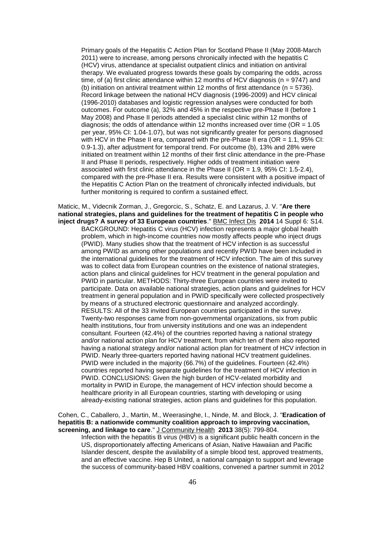Primary goals of the Hepatitis C Action Plan for Scotland Phase II (May 2008-March 2011) were to increase, among persons chronically infected with the hepatitis C (HCV) virus, attendance at specialist outpatient clinics and initiation on antiviral therapy. We evaluated progress towards these goals by comparing the odds, across time, of (a) first clinic attendance within 12 months of HCV diagnosis ( $n = 9747$ ) and (b) initiation on antiviral treatment within 12 months of first attendance ( $n = 5736$ ). Record linkage between the national HCV diagnosis (1996-2009) and HCV clinical (1996-2010) databases and logistic regression analyses were conducted for both outcomes. For outcome (a), 32% and 45% in the respective pre-Phase II (before 1 May 2008) and Phase II periods attended a specialist clinic within 12 months of diagnosis; the odds of attendance within 12 months increased over time ( $OR = 1.05$ ) per year, 95% CI: 1.04-1.07), but was not significantly greater for persons diagnosed with HCV in the Phase II era, compared with the pre-Phase II era ( $OR = 1.1$ ,  $95\%$  CI: 0.9-1.3), after adjustment for temporal trend. For outcome (b), 13% and 28% were initiated on treatment within 12 months of their first clinic attendance in the pre-Phase II and Phase II periods, respectively. Higher odds of treatment initiation were associated with first clinic attendance in the Phase II ( $OR = 1.9$ ,  $95\%$  CI: 1.5-2.4), compared with the pre-Phase II era. Results were consistent with a positive impact of the Hepatitis C Action Plan on the treatment of chronically infected individuals, but further monitoring is required to confirm a sustained effect.

Maticic, M., Videcnik Zorman, J., Gregorcic, S., Schatz, E. and Lazarus, J. V. "**Are there national strategies, plans and guidelines for the treatment of hepatitis C in people who inject drugs? A survey of 33 European countries**." BMC Infect Dis **2014** 14 Suppl 6: S14. BACKGROUND: Hepatitis C virus (HCV) infection represents a major global health problem, which in high-income countries now mostly affects people who inject drugs (PWID). Many studies show that the treatment of HCV infection is as successful among PWID as among other populations and recently PWID have been included in the international guidelines for the treatment of HCV infection. The aim of this survey was to collect data from European countries on the existence of national strategies, action plans and clinical guidelines for HCV treatment in the general population and PWID in particular. METHODS: Thirty-three European countries were invited to participate. Data on available national strategies, action plans and guidelines for HCV treatment in general population and in PWID specifically were collected prospectively by means of a structured electronic questionnaire and analyzed accordingly. RESULTS: All of the 33 invited European countries participated in the survey. Twenty-two responses came from non-governmental organizations, six from public health institutions, four from university institutions and one was an independent consultant. Fourteen (42.4%) of the countries reported having a national strategy and/or national action plan for HCV treatment, from which ten of them also reported having a national strategy and/or national action plan for treatment of HCV infection in PWID. Nearly three-quarters reported having national HCV treatment guidelines. PWID were included in the majority (66.7%) of the guidelines. Fourteen (42.4%) countries reported having separate guidelines for the treatment of HCV infection in PWID. CONCLUSIONS: Given the high burden of HCV-related morbidity and mortality in PWID in Europe, the management of HCV infection should become a healthcare priority in all European countries, starting with developing or using already-existing national strategies, action plans and guidelines for this population.

Cohen, C., Caballero, J., Martin, M., Weerasinghe, I., Ninde, M. and Block, J. "**Eradication of hepatitis B: a nationwide community coalition approach to improving vaccination, screening, and linkage to care**." J Community Health **2013** 38(5): 799-804.

Infection with the hepatitis B virus (HBV) is a significant public health concern in the US, disproportionately affecting Americans of Asian, Native Hawaiian and Pacific Islander descent, despite the availability of a simple blood test, approved treatments, and an effective vaccine. Hep B United, a national campaign to support and leverage the success of community-based HBV coalitions, convened a partner summit in 2012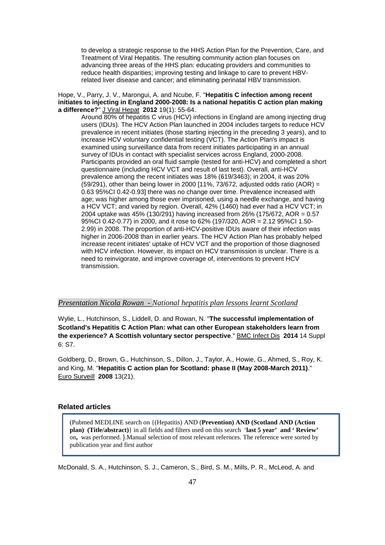to develop a strategic response to the HHS Action Plan for the Prevention, Care, and Treatment of Viral Hepatitis. The resulting community action plan focuses on advancing three areas of the HHS plan: educating providers and communities to reduce health disparities; improving testing and linkage to care to prevent HBVrelated liver disease and cancer; and eliminating perinatal HBV transmission.

#### Hope, V., Parry, J. V., Marongui, A. and Ncube, F. "**Hepatitis C infection among recent initiates to injecting in England 2000-2008: Is a national hepatitis C action plan making a difference?**" J Viral Hepat **2012** 19(1): 55-64.

Around 80% of hepatitis C virus (HCV) infections in England are among injecting drug users (IDUs). The HCV Action Plan launched in 2004 includes targets to reduce HCV prevalence in recent initiates (those starting injecting in the preceding 3 years), and to increase HCV voluntary confidential testing (VCT). The Action Plan's impact is examined using surveillance data from recent initiates participating in an annual survey of IDUs in contact with specialist services across England, 2000-2008. Participants provided an oral fluid sample (tested for anti-HCV) and completed a short questionnaire (including HCV VCT and result of last test). Overall, anti-HCV prevalence among the recent initiates was 18% (619/3463); in 2004, it was 20% (59/291), other than being lower in 2000 [11%, 73/672, adjusted odds ratio (AOR) = 0.63 95%CI 0.42-0.93] there was no change over time. Prevalence increased with age; was higher among those ever imprisoned, using a needle exchange, and having a HCV VCT; and varied by region. Overall, 42% (1460) had ever had a HCV VCT; in 2004 uptake was 45% (130/291) having increased from 26% (175/672, AOR = 0.57 95%CI 0.42-0.77) in 2000, and it rose to 62% (197/320, AOR = 2.12 95%CI 1.50- 2.99) in 2008. The proportion of anti-HCV-positive IDUs aware of their infection was higher in 2006-2008 than in earlier years. The HCV Action Plan has probably helped increase recent initiates' uptake of HCV VCT and the proportion of those diagnosed with HCV infection. However, its impact on HCV transmission is unclear. There is a need to reinvigorate, and improve coverage of, interventions to prevent HCV transmission.

## *Presentation Nicola Rowan - National hepatitis plan lessons learnt Scotland*

Wylie, L., Hutchinson, S., Liddell, D. and Rowan, N. "**The successful implementation of Scotland's Hepatitis C Action Plan: what can other European stakeholders learn from the experience? A Scottish voluntary sector perspective**." BMC Infect Dis **2014** 14 Suppl 6: S7.

Goldberg, D., Brown, G., Hutchinson, S., Dillon, J., Taylor, A., Howie, G., Ahmed, S., Roy, K. and King, M. "**Hepatitis C action plan for Scotland: phase II (May 2008-March 2011)**." Euro Surveill **2008** 13(21).

### **Related articles**

(Pubmed MEDLINE search on {(Hepatitis) AND (**Prevention) AND (Scotland AND (Action plan) (Title/abstract)**} in all fields and filters used on this search '**last 5 year' and ' Review'**  on**,** was performed. }.Manual selection of most relevant refernces. The reference were sorted by publication year and first author

McDonald, S. A., Hutchinson, S. J., Cameron, S., Bird, S. M., Mills, P. R., McLeod, A. and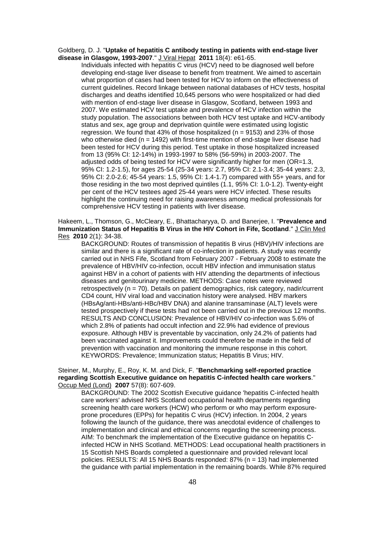Goldberg, D. J. "**Uptake of hepatitis C antibody testing in patients with end-stage liver disease in Glasgow, 1993-2007**." J Viral Hepat **2011** 18(4): e61-65.

Individuals infected with hepatitis C virus (HCV) need to be diagnosed well before developing end-stage liver disease to benefit from treatment. We aimed to ascertain what proportion of cases had been tested for HCV to inform on the effectiveness of current guidelines. Record linkage between national databases of HCV tests, hospital discharges and deaths identified 10,645 persons who were hospitalized or had died with mention of end-stage liver disease in Glasgow, Scotland, between 1993 and 2007. We estimated HCV test uptake and prevalence of HCV infection within the study population. The associations between both HCV test uptake and HCV-antibody status and sex, age group and deprivation quintile were estimated using logistic regression. We found that 43% of those hospitalized ( $n = 9153$ ) and 23% of those who otherwise died ( $n = 1492$ ) with first-time mention of end-stage liver disease had been tested for HCV during this period. Test uptake in those hospitalized increased from 13 (95% CI: 12-14%) in 1993-1997 to 58% (56-59%) in 2003-2007. The adjusted odds of being tested for HCV were significantly higher for men (OR=1.3, 95% CI: 1.2-1.5), for ages 25-54 (25-34 years: 2.7, 95% CI: 2.1-3.4; 35-44 years: 2.3, 95% CI: 2.0-2.6; 45-54 years: 1.5, 95% CI: 1.4-1.7) compared with 55+ years, and for those residing in the two most deprived quintiles (1.1, 95% CI: 1.0-1.2). Twenty-eight per cent of the HCV testees aged 25-44 years were HCV infected. These results highlight the continuing need for raising awareness among medical professionals for comprehensive HCV testing in patients with liver disease.

Hakeem, L., Thomson, G., McCleary, E., Bhattacharyya, D. and Banerjee, I. "**Prevalence and Immunization Status of Hepatitis B Virus in the HIV Cohort in Fife, Scotland**." J Clin Med Res **2010** 2(1): 34-38.

BACKGROUND: Routes of transmission of hepatitis B virus (HBV)/HIV infections are similar and there is a significant rate of co-infection in patients. A study was recently carried out in NHS Fife, Scotland from February 2007 - February 2008 to estimate the prevalence of HBV/HIV co-infection, occult HBV infection and immunisation status against HBV in a cohort of patients with HIV attending the departments of infectious diseases and genitourinary medicine. METHODS: Case notes were reviewed retrospectively ( $n = 70$ ). Details on patient demographics, risk category, nadir/current CD4 count, HIV viral load and vaccination history were analysed. HBV markers (HBsAg/anti-HBs/anti-HBc/HBV DNA) and alanine transaminase (ALT) levels were tested prospectively if these tests had not been carried out in the previous 12 months. RESULTS AND CONCLUSION: Prevalence of HBV/HIV co-infection was 5.6% of which 2.8% of patients had occult infection and 22.9% had evidence of previous exposure. Although HBV is preventable by vaccination, only 24.2% of patients had been vaccinated against it. Improvements could therefore be made in the field of prevention with vaccination and monitoring the immune response in this cohort. KEYWORDS: Prevalence; Immunization status; Hepatitis B Virus; HIV.

#### Steiner, M., Murphy, E., Roy, K. M. and Dick, F. "**Benchmarking self-reported practice regarding Scottish Executive guidance on hepatitis C-infected health care workers**." Occup Med (Lond) **2007** 57(8): 607-609.

BACKGROUND: The 2002 Scottish Executive guidance 'hepatitis C-infected health care workers' advised NHS Scotland occupational health departments regarding screening health care workers (HCW) who perform or who may perform exposureprone procedures (EPPs) for hepatitis C virus (HCV) infection. In 2004, 2 years following the launch of the guidance, there was anecdotal evidence of challenges to implementation and clinical and ethical concerns regarding the screening process. AIM: To benchmark the implementation of the Executive guidance on hepatitis Cinfected HCW in NHS Scotland. METHODS: Lead occupational health practitioners in 15 Scottish NHS Boards completed a questionnaire and provided relevant local policies. RESULTS: All 15 NHS Boards responded: 87% (n = 13) had implemented the guidance with partial implementation in the remaining boards. While 87% required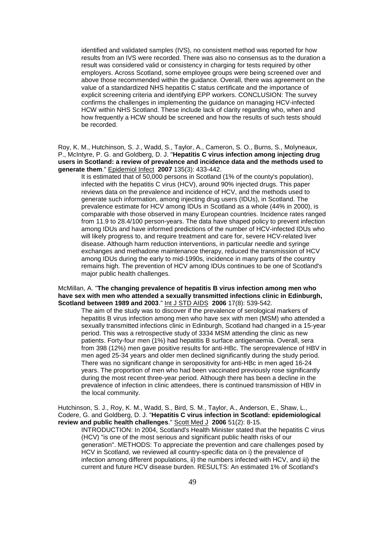identified and validated samples (IVS), no consistent method was reported for how results from an IVS were recorded. There was also no consensus as to the duration a result was considered valid or consistency in charging for tests required by other employers. Across Scotland, some employee groups were being screened over and above those recommended within the guidance. Overall, there was agreement on the value of a standardized NHS hepatitis C status certificate and the importance of explicit screening criteria and identifying EPP workers. CONCLUSION: The survey confirms the challenges in implementing the guidance on managing HCV-infected HCW within NHS Scotland. These include lack of clarity regarding who, when and how frequently a HCW should be screened and how the results of such tests should be recorded.

Roy, K. M., Hutchinson, S. J., Wadd, S., Taylor, A., Cameron, S. O., Burns, S., Molyneaux, P., McIntyre, P. G. and Goldberg, D. J. "**Hepatitis C virus infection among injecting drug users in Scotland: a review of prevalence and incidence data and the methods used to generate them**." Epidemiol Infect **2007** 135(3): 433-442.

It is estimated that of 50,000 persons in Scotland (1% of the county's population), infected with the hepatitis C virus (HCV), around 90% injected drugs. This paper reviews data on the prevalence and incidence of HCV, and the methods used to generate such information, among injecting drug users (IDUs), in Scotland. The prevalence estimate for HCV among IDUs in Scotland as a whole (44% in 2000), is comparable with those observed in many European countries. Incidence rates ranged from 11.9 to 28.4/100 person-years. The data have shaped policy to prevent infection among IDUs and have informed predictions of the number of HCV-infected IDUs who will likely progress to, and require treatment and care for, severe HCV-related liver disease. Although harm reduction interventions, in particular needle and syringe exchanges and methadone maintenance therapy, reduced the transmission of HCV among IDUs during the early to mid-1990s, incidence in many parts of the country remains high. The prevention of HCV among IDUs continues to be one of Scotland's major public health challenges.

#### McMillan, A. "**The changing prevalence of hepatitis B virus infection among men who have sex with men who attended a sexually transmitted infections clinic in Edinburgh, Scotland between 1989 and 2003**." Int J STD AIDS **2006** 17(8): 539-542.

The aim of the study was to discover if the prevalence of serological markers of hepatitis B virus infection among men who have sex with men (MSM) who attended a sexually transmitted infections clinic in Edinburgh, Scotland had changed in a 15-year period. This was a retrospective study of 3334 MSM attending the clinic as new patients. Forty-four men (1%) had hepatitis B surface antigenaemia. Overall, sera from 398 (12%) men gave positive results for anti-HBc. The seroprevalence of HBV in men aged 25-34 years and older men declined significantly during the study period. There was no significant change in seropositivity for anti-HBc in men aged 16-24 years. The proportion of men who had been vaccinated previously rose significantly during the most recent three-year period. Although there has been a decline in the prevalence of infection in clinic attendees, there is continued transmission of HBV in the local community.

Hutchinson, S. J., Roy, K. M., Wadd, S., Bird, S. M., Taylor, A., Anderson, E., Shaw, L., Codere, G. and Goldberg, D. J. "**Hepatitis C virus infection in Scotland: epidemiological review and public health challenges**." Scott Med J **2006** 51(2): 8-15.

INTRODUCTION: In 2004, Scotland's Health Minister stated that the hepatitis C virus (HCV) "is one of the most serious and significant public health risks of our generation". METHODS: To appreciate the prevention and care challenges posed by HCV in Scotland, we reviewed all country-specific data on i) the prevalence of infection among different populations, ii) the numbers infected with HCV, and iii) the current and future HCV disease burden. RESULTS: An estimated 1% of Scotland's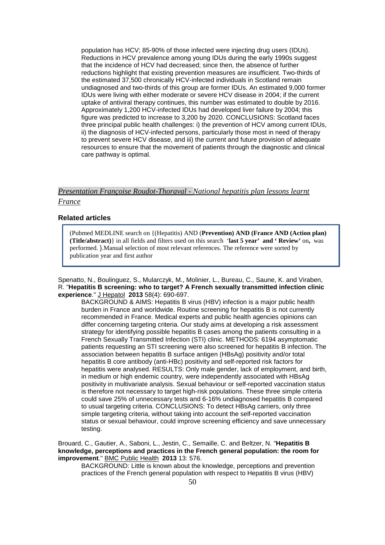population has HCV; 85-90% of those infected were injecting drug users (IDUs). Reductions in HCV prevalence among young IDUs during the early 1990s suggest that the incidence of HCV had decreased; since then, the absence of further reductions highlight that existing prevention measures are insufficient. Two-thirds of the estimated 37,500 chronically HCV-infected individuals in Scotland remain undiagnosed and two-thirds of this group are former IDUs. An estimated 9,000 former IDUs were living with either moderate or severe HCV disease in 2004; if the current uptake of antiviral therapy continues, this number was estimated to double by 2016. Approximately 1,200 HCV-infected IDUs had developed liver failure by 2004; this figure was predicted to increase to 3,200 by 2020. CONCLUSIONS: Scotland faces three principal public health challenges: i) the prevention of HCV among current IDUs, ii) the diagnosis of HCV-infected persons, particularly those most in need of therapy to prevent severe HCV disease, and iii) the current and future provision of adequate resources to ensure that the movement of patients through the diagnostic and clinical care pathway is optimal.

# *Presentation Françoise Roudot-Thoraval - National hepatitis plan lessons learnt France*

### **Related articles**

(Pubmed MEDLINE search on {(Hepatitis) AND (**Prevention) AND (France AND (Action plan) (Title/abstract)**} in all fields and filters used on this search '**last 5 year' and ' Review'** on**,** was performed. }.Manual selection of most relevant references. The reference were sorted by publication year and first author

Spenatto, N., Boulinguez, S., Mularczyk, M., Molinier, L., Bureau, C., Saune, K. and Viraben, R. "**Hepatitis B screening: who to target? A French sexually transmitted infection clinic experience**." J Hepatol **2013** 58(4): 690-697.

BACKGROUND & AIMS: Hepatitis B virus (HBV) infection is a major public health burden in France and worldwide. Routine screening for hepatitis B is not currently recommended in France. Medical experts and public health agencies opinions can differ concerning targeting criteria. Our study aims at developing a risk assessment strategy for identifying possible hepatitis B cases among the patients consulting in a French Sexually Transmitted Infection (STI) clinic. METHODS: 6194 asymptomatic patients requesting an STI screening were also screened for hepatitis B infection. The association between hepatitis B surface antigen (HBsAg) positivity and/or total hepatitis B core antibody (anti-HBc) positivity and self-reported risk factors for hepatitis were analysed. RESULTS: Only male gender, lack of employment, and birth, in medium or high endemic country, were independently associated with HBsAg positivity in multivariate analysis. Sexual behaviour or self-reported vaccination status is therefore not necessary to target high-risk populations. These three simple criteria could save 25% of unnecessary tests and 6-16% undiagnosed hepatitis B compared to usual targeting criteria. CONCLUSIONS: To detect HBsAg carriers, only three simple targeting criteria, without taking into account the self-reported vaccination status or sexual behaviour, could improve screening efficiency and save unnecessary testing.

Brouard, C., Gautier, A., Saboni, L., Jestin, C., Semaille, C. and Beltzer, N. "**Hepatitis B knowledge, perceptions and practices in the French general population: the room for improvement**." BMC Public Health **2013** 13: 576.

BACKGROUND: Little is known about the knowledge, perceptions and prevention practices of the French general population with respect to Hepatitis B virus (HBV)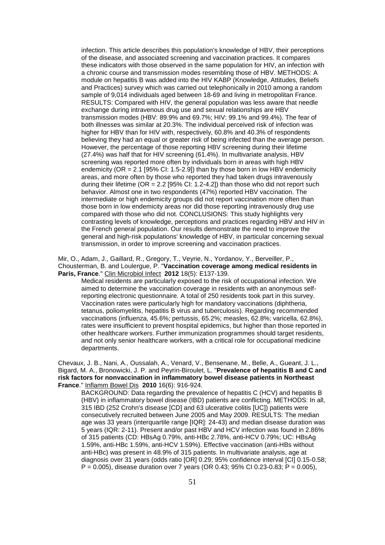infection. This article describes this population's knowledge of HBV, their perceptions of the disease, and associated screening and vaccination practices. It compares these indicators with those observed in the same population for HIV, an infection with a chronic course and transmission modes resembling those of HBV. METHODS: A module on hepatitis B was added into the HIV KABP (Knowledge, Attitudes, Beliefs and Practices) survey which was carried out telephonically in 2010 among a random sample of 9,014 individuals aged between 18-69 and living in metropolitan France. RESULTS: Compared with HIV, the general population was less aware that needle exchange during intravenous drug use and sexual relationships are HBV transmission modes (HBV: 89.9% and 69.7%; HIV: 99.1% and 99.4%). The fear of both illnesses was similar at 20.3%. The individual perceived risk of infection was higher for HBV than for HIV with, respectively, 60.8% and 40.3% of respondents believing they had an equal or greater risk of being infected than the average person. However, the percentage of those reporting HBV screening during their lifetime (27.4%) was half that for HIV screening (61.4%). In multivariate analysis, HBV screening was reported more often by individuals born in areas with high HBV endemicity (OR =  $2.1$  [95% CI: 1.5-2.9]) than by those born in low HBV endemicity areas, and more often by those who reported they had taken drugs intravenously during their lifetime ( $OR = 2.2$  [95% CI: 1.2-4.2]) than those who did not report such behavior. Almost one in two respondents (47%) reported HBV vaccination. The intermediate or high endemicity groups did not report vaccination more often than those born in low endemicity areas nor did those reporting intravenously drug use compared with those who did not. CONCLUSIONS: This study highlights very contrasting levels of knowledge, perceptions and practices regarding HBV and HIV in the French general population. Our results demonstrate the need to improve the general and high-risk populations' knowledge of HBV, in particular concerning sexual transmission, in order to improve screening and vaccination practices.

Mir, O., Adam, J., Gaillard, R., Gregory, T., Veyrie, N., Yordanov, Y., Berveiller, P., Chousterman, B. and Loulergue, P. "**Vaccination coverage among medical residents in Paris, France**." Clin Microbiol Infect **2012** 18(5): E137-139.

Medical residents are particularly exposed to the risk of occupational infection. We aimed to determine the vaccination coverage in residents with an anonymous selfreporting electronic questionnaire. A total of 250 residents took part in this survey. Vaccination rates were particularly high for mandatory vaccinations (diphtheria, tetanus, poliomyelitis, hepatitis B virus and tuberculosis). Regarding recommended vaccinations (influenza, 45.6%; pertussis, 65.2%; measles, 62.8%; varicella, 62.8%), rates were insufficient to prevent hospital epidemics, but higher than those reported in other healthcare workers. Further immunization programmes should target residents, and not only senior healthcare workers, with a critical role for occupational medicine departments.

Chevaux, J. B., Nani, A., Oussalah, A., Venard, V., Bensenane, M., Belle, A., Gueant, J. L., Bigard, M. A., Bronowicki, J. P. and Peyrin-Biroulet, L. "**Prevalence of hepatitis B and C and risk factors for nonvaccination in inflammatory bowel disease patients in Northeast France**." Inflamm Bowel Dis **2010** 16(6): 916-924.

BACKGROUND: Data regarding the prevalence of hepatitis C (HCV) and hepatitis B (HBV) in inflammatory bowel disease (IBD) patients are conflicting. METHODS: In all, 315 IBD (252 Crohn's disease [CD] and 63 ulcerative colitis [UC]) patients were consecutively recruited between June 2005 and May 2009. RESULTS: The median age was 33 years (interquartile range [IQR]: 24-43) and median disease duration was 5 years (IQR: 2-11). Present and/or past HBV and HCV infection was found in 2.86% of 315 patients (CD: HBsAg 0.79%, anti-HBc 2.78%, anti-HCV 0.79%; UC: HBsAg 1.59%, anti-HBc 1.59%, anti-HCV 1.59%). Effective vaccination (anti-HBs without anti-HBc) was present in 48.9% of 315 patients. In multivariate analysis, age at diagnosis over 31 years (odds ratio [OR] 0.29; 95% confidence interval [CI] 0.15-0.58;  $P = 0.005$ ), disease duration over 7 years (OR 0.43; 95% CI 0.23-0.83; P = 0.005),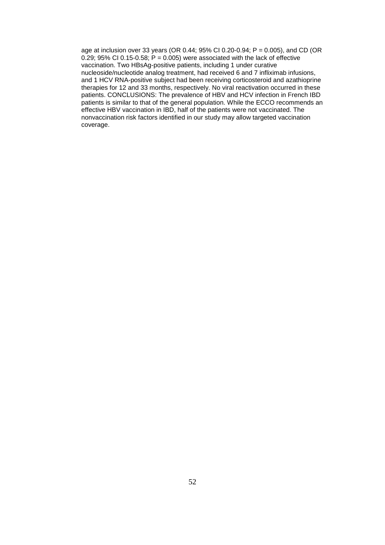age at inclusion over 33 years (OR 0.44; 95% CI 0.20-0.94; P = 0.005), and CD (OR  $0.29$ ; 95% CI 0.15-0.58;  $P = 0.005$ ) were associated with the lack of effective vaccination. Two HBsAg-positive patients, including 1 under curative nucleoside/nucleotide analog treatment, had received 6 and 7 infliximab infusions, and 1 HCV RNA-positive subject had been receiving corticosteroid and azathioprine therapies for 12 and 33 months, respectively. No viral reactivation occurred in these patients. CONCLUSIONS: The prevalence of HBV and HCV infection in French IBD patients is similar to that of the general population. While the ECCO recommends an effective HBV vaccination in IBD, half of the patients were not vaccinated. The nonvaccination risk factors identified in our study may allow targeted vaccination coverage.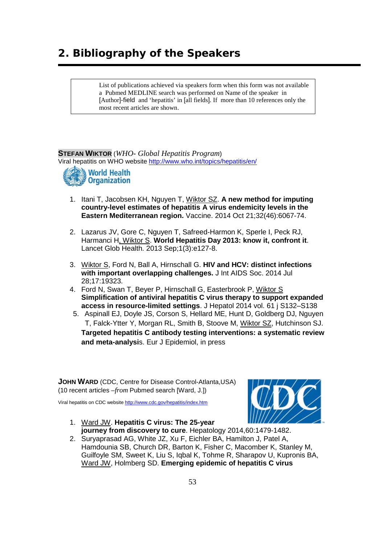# **2. Bibliography of the Speakers**

List of publications achieved via speakers form when this form was not available a Pubmed MEDLINE search was performed on Name of the speaker in [Author]-field and 'hepatitis' in [all fields]. If more than 10 references only the most recent articles are shown.

# **STEFAN WIKTOR** (*WHO- Global Hepatitis Program*)

Viral hepatitis on WHO website<http://www.who.int/topics/hepatitis/en/>



- 1. Itani T, Jacobsen KH, Nguyen T, Wiktor SZ. **A new method for imputing country-level estimates of hepatitis A virus endemicity levels in the Eastern Mediterranean region.** Vaccine. 2014 Oct 21;32(46):6067-74.
- 2. Lazarus JV, Gore C, Nguyen T, Safreed-Harmon K, Sperle I, Peck RJ, Harmanci H, Wiktor S. **World Hepatitis Day 2013: know it, confront it**. Lancet Glob Health. 2013 Sep;1(3):e127-8.
- 3. Wiktor S, Ford N, Ball A, Hirnschall G. **HIV and HCV: distinct infections with important overlapping challenges.** J Int AIDS Soc. 2014 Jul 28;17:19323.
- 4. Ford N, Swan T, Beyer P, Hirnschall G, Easterbrook P, Wiktor S **Simplification of antiviral hepatitis C virus therapy to support expanded access in resource-limited settings**. J Hepatol 2014 vol. 61 j S132–S138
- 5. Aspinall EJ, Doyle JS, Corson S, Hellard ME, Hunt D, Goldberg DJ, Nguyen T, Falck-Ytter Y, Morgan RL, Smith B, Stoove M, Wiktor SZ, Hutchinson SJ. **Targeted hepatitis C antibody testing interventions: a systematic review and meta-analysi**s. Eur J Epidemiol, in press

**JOHN WARD** (CDC, Centre for Disease Control-Atlanta, USA) (10 recent articles –*from* Pubmed search [Ward, J.])

Viral hepatitis on CDC websit[e http://www.cdc.gov/hepatitis/index.htm](http://www.cdc.gov/hepatitis/index.htm)



- 1. Ward JW. **Hepatitis C virus: The 25-year journey from discovery to cure**. Hepatology 2014,60:1479-1482.
- 2. Suryaprasad AG, White JZ, Xu F, Eichler BA, Hamilton J, Patel A, Hamdounia SB, Church DR, Barton K, Fisher C, Macomber K, Stanley M, Guilfoyle SM, Sweet K, Liu S, Iqbal K, Tohme R, Sharapov U, Kupronis BA, Ward JW, Holmberg SD. **Emerging epidemic of hepatitis C virus**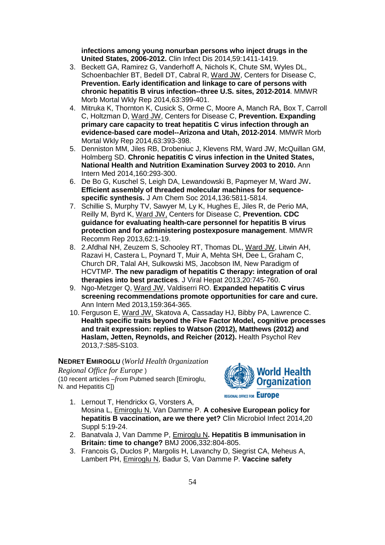**infections among young nonurban persons who inject drugs in the United States, 2006-2012.** Clin Infect Dis 2014,59:1411-1419.

- 3. Beckett GA, Ramirez G, Vanderhoff A, Nichols K, Chute SM, Wyles DL, Schoenbachler BT, Bedell DT, Cabral R, Ward JW, Centers for Disease C, **Prevention. Early identification and linkage to care of persons with chronic hepatitis B virus infection--three U.S. sites, 2012-2014**. MMWR Morb Mortal Wkly Rep 2014,63:399-401.
- 4. Mitruka K, Thornton K, Cusick S, Orme C, Moore A, Manch RA, Box T, Carroll C, Holtzman D, Ward JW, Centers for Disease C, **Prevention. Expanding primary care capacity to treat hepatitis C virus infection through an evidence-based care model--Arizona and Utah, 2012-2014**. MMWR Morb Mortal Wkly Rep 2014,63:393-398.
- 5. Denniston MM, Jiles RB, Drobeniuc J, Klevens RM, Ward JW, McQuillan GM, Holmberg SD. **Chronic hepatitis C virus infection in the United States, National Health and Nutrition Examination Survey 2003 to 2010.** Ann Intern Med 2014,160:293-300.
- 6. De Bo G, Kuschel S, Leigh DA, Lewandowski B, Papmeyer M, Ward JW**. Efficient assembly of threaded molecular machines for sequencespecific synthesis.** J Am Chem Soc 2014,136:5811-5814.
- 7. Schillie S, Murphy TV, Sawyer M, Ly K, Hughes E, Jiles R, de Perio MA, Reilly M, Byrd K, Ward JW, Centers for Disease C, **Prevention. CDC guidance for evaluating health-care personnel for hepatitis B virus protection and for administering postexposure management**. MMWR Recomm Rep 2013,62:1-19.
- 8. 2.Afdhal NH, Zeuzem S, Schooley RT, Thomas DL, Ward JW, Litwin AH, Razavi H, Castera L, Poynard T, Muir A, Mehta SH, Dee L, Graham C, Church DR, Talal AH, Sulkowski MS, Jacobson IM, New Paradigm of HCVTMP. **The new paradigm of hepatitis C therapy: integration of oral therapies into best practices**. J Viral Hepat 2013,20:745-760.
- 9. Ngo-Metzger Q, Ward JW, Valdiserri RO. **Expanded hepatitis C virus screening recommendations promote opportunities for care and cure.** Ann Intern Med 2013,159:364-365.
- 10. Ferguson E, Ward JW, Skatova A, Cassaday HJ, Bibby PA, Lawrence C. **Health specific traits beyond the Five Factor Model, cognitive processes and trait expression: replies to Watson (2012), Matthews (2012) and Haslam, Jetten, Reynolds, and Reicher (2012).** Health Psychol Rev 2013,7:S85-S103.

# **NEDRET EMIROGLU** (*World Health 0rganization*

*Regional Office for Europe* ) (10 recent articles –*from* Pubmed search [Emiroglu, N. and Hepatitis C])



- 1. Lernout T, Hendrickx G, Vorsters A, Mosina L, Emiroglu N, Van Damme P. **A cohesive European policy for hepatitis B vaccination, are we there yet?** Clin Microbiol Infect 2014,20 Suppl 5:19-24.
- 2. Banatvala J, Van Damme P, Emiroglu N**. Hepatitis B immunisation in Britain: time to change?** BMJ 2006,332:804-805.
- 3. Francois G, Duclos P, Margolis H, Lavanchy D, Siegrist CA, Meheus A, Lambert PH, Emiroglu N, Badur S, Van Damme P. **Vaccine safety**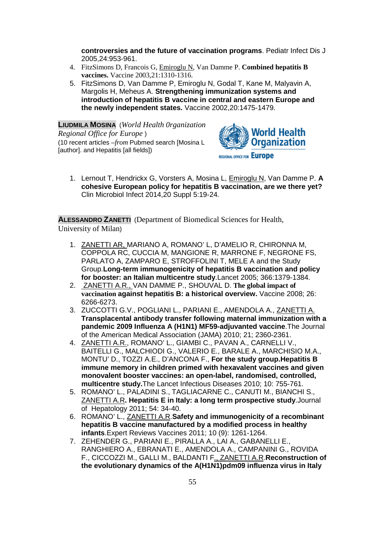**controversies and the future of vaccination programs**. Pediatr Infect Dis J 2005,24:953-961.

- 4. FitzSimons D, Francois G, Emiroglu N, Van Damme P. **Combined hepatitis B vaccines.** Vaccine 2003,21:1310-1316.
- 5. FitzSimons D, Van Damme P, Emiroglu N, Godal T, Kane M, Malyavin A, Margolis H, Meheus A. **Strengthening immunization systems and introduction of hepatitis B vaccine in central and eastern Europe and the newly independent states.** Vaccine 2002,20:1475-1479.

# **LIUDMILA MOSINA** (*World Health 0rganization*

*Regional Office for Europe* ) (10 recent articles –*from* Pubmed search [Mosina L [author]. and Hepatitis [all fields])



**REGIONAL OFFICE FOR EUTODE** 

1. Lernout T, Hendrickx G, Vorsters A, Mosina L, Emiroglu N, Van Damme P. **A cohesive European policy for hepatitis B vaccination, are we there yet?** Clin Microbiol Infect 2014,20 Suppl 5:19-24.

**ALESSANDRO ZANETTI** (Department of Biomedical Sciences for Health, University of Milan)

- 1. ZANETTI AR, MARIANO A, ROMANO' L, D'AMELIO R, CHIRONNA M, COPPOLA RC, CUCCIA M, MANGIONE R, MARRONE F, NEGRONE FS, PARLATO A, ZAMPARO E, STROFFOLINI T, MELE A and the Study Group.**Long-term immunogenicity of hepatitis B vaccination and policy for booster: an Italian multicentre study**.Lancet 2005; 366:1379-1384.
- 2. ZANETTI A.R., VAN DAMME P., SHOUVAL D. **The global impact of vaccination against hepatitis B: a historical overview.** Vaccine 2008; 26: 6266-6273.
- 3. ZUCCOTTI G.V., POGLIANI L., PARIANI E., AMENDOLA A., ZANETTI A. **Transplacental antibody transfer following maternal immunization with a pandemic 2009 Influenza A (H1N1) MF59-adjuvanted vaccine**.The Journal of the American Medical Association (JAMA) 2010; 21; 2360-2361.
- 4. ZANETTI A.R., ROMANO' L., GIAMBI C., PAVAN A., CARNELLI V., BAITELLI G., MALCHIODI G., VALERIO E., BARALE A., MARCHISIO M.A., MONTU' D., TOZZI A.E., D'ANCONA F., **For the study group.Hepatitis B immune memory in children primed with hexavalent vaccines and given monovalent booster vaccines: an open-label, randomised, controlled, multicentre study.**The Lancet Infectious Diseases 2010; 10: 755-761.
- 5. ROMANO' L., PALADINI S., TAGLIACARNE C., CANUTI M., BIANCHI S., ZANETTI A.R**. Hepatitis E in Italy: a long term prospective study**.Journal of Hepatology 2011; 54: 34-40.
- 6. ROMANO' L., ZANETTI A.R.**Safety and immunogenicity of a recombinant hepatitis B vaccine manufactured by a modified process in healthy infants**.Expert Reviews Vaccines 2011; 10 (9): 1261-1264.
- 7. ZEHENDER G., PARIANI E., PIRALLA A., LAI A., GABANELLI E., RANGHIERO A., EBRANATI E., AMENDOLA A., CAMPANINI G., ROVIDA F., CICCOZZI M., GALLI M., BALDANTI F., ZANETTI A.R.**Reconstruction of the evolutionary dynamics of the A(H1N1)pdm09 influenza virus in Italy**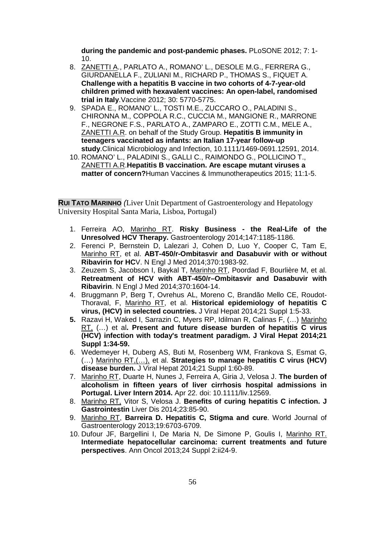**during the pandemic and post-pandemic phases.** PLoSONE 2012; 7: 1- 10.

- 8. ZANETTI A., PARLATO A., ROMANO' L., DESOLE M.G., FERRERA G., GIURDANELLA F., ZULIANI M., RICHARD P., THOMAS S., FIQUET A. **Challenge with a hepatitis B vaccine in two cohorts of 4-7-year-old children primed with hexavalent vaccines: An open-label, randomised trial in Italy**.Vaccine 2012; 30: 5770-5775.
- 9. SPADA E., ROMANO' L., TOSTI M.E., ZUCCARO O., PALADINI S., CHIRONNA M., COPPOLA R.C., CUCCIA M., MANGIONE R., MARRONE F., NEGRONE F.S., PARLATO A., ZAMPARO E., ZOTTI C.M., MELE A., ZANETTI A.R. on behalf of the Study Group. **Hepatitis B immunity in teenagers vaccinated as infants: an Italian 17-year follow-up study**.Clinical Microbiology and Infection, 10.1111/1469-0691.12591, 2014.
- 10. ROMANO' L., PALADINI S., GALLI C., RAIMONDO G., POLLICINO T., ZANETTI A.R.**Hepatitis B vaccination. Are escape mutant viruses a matter of concern?**Human Vaccines & Immunotherapeutics 2015; 11:1-5.

**RUI TATO MARINHO** *(*Liver Unit Department of Gastroenterology and Hepatology University Hospital Santa Maria, Lisboa, Portugal)

- 1. Ferreira AO, Marinho RT. **Risky Business - the Real-Life of the Unresolved HCV Therapy.** Gastroenterology 2014;147:1185-1186.
- 2. Ferenci P, Bernstein D, Lalezari J, Cohen D, Luo Y, Cooper C, Tam E, Marinho RT, et al. **ABT-450/r-Ombitasvir and Dasabuvir with or without Ribavirin for HC**V. N Engl J Med 2014;370:1983-92.
- 3. Zeuzem S, Jacobson I, Baykal T, Marinho RT, Poordad F, Bourlière M, et al. **Retreatment of HCV with ABT-450/r–Ombitasvir and Dasabuvir with Ribavirin**. N Engl J Med 2014;370:1604-14.
- 4. Bruggmann P, Berg T, Ovrehus AL, Moreno C, Brandão Mello CE, Roudot-Thoraval, F, Marinho RT, et al. **Historical epidemiology of hepatitis C virus, (HCV) in selected countries.** J Viral Hepat 2014;21 Suppl 1:5-33.
- **5.** Razavi H, Waked I, Sarrazin C, Myers RP, Idilman R, Calinas F, (…) Marinho RT, (…) et al**. Present and future disease burden of hepatitis C virus (HCV) infection with today's treatment paradigm. J Viral Hepat 2014;21 Suppl 1:34-59.**
- 6. Wedemeyer H, Duberg AS, Buti M, Rosenberg WM, Frankova S, Esmat G, (…) Marinho RT,(…), et al. **Strategies to manage hepatitis C virus (HCV) disease burden.** J Viral Hepat 2014;21 Suppl 1:60-89.
- 7. Marinho RT, Duarte H, Nunes J, Ferreira A, Giria J, Velosa J. **The burden of alcoholism in fifteen years of liver cirrhosis hospital admissions in Portugal. Liver Intern 2014.** Apr 22. doi: 10.1111/liv.12569.
- 8. Marinho RT, Vitor S, Velosa J. **Benefits of curing hepatitis C infection. J Gastrointestin** Liver Dis 2014;23:85-90.
- 9. Marinho RT, **Barreira D. Hepatitis C, Stigma and cure**. World Journal of Gastroenterology 2013;19:6703-6709.
- 10. Dufour JF, Bargellini I, De Maria N, De Simone P, Goulis I, Marinho RT. **Intermediate hepatocellular carcinoma: current treatments and future perspectives**. Ann Oncol 2013;24 Suppl 2:ii24-9.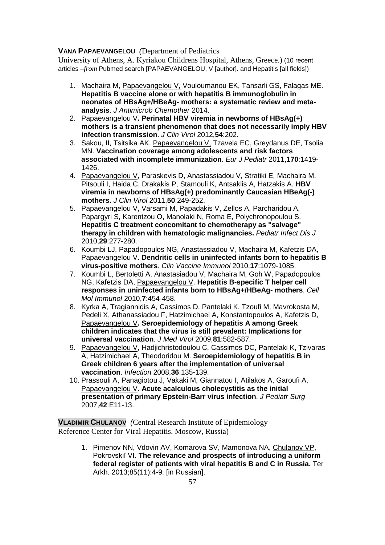# **VANA PAPAEVANGELOU** *(*Department of Pediatrics

University of Athens, A. Kyriakou Childrens Hospital, Athens, Greece.) (10 recent articles –*from* Pubmed search [PAPAEVANGELOU, V [author]. and Hepatitis [all fields])

- 1. Machaira M, Papaevangelou V, Vouloumanou EK, Tansarli GS, Falagas ME. **Hepatitis B vaccine alone or with hepatitis B immunoglobulin in neonates of HBsAg+/HBeAg- mothers: a systematic review and metaanalysis**. *J Antimicrob Chemother* 2014.
- 2. Papaevangelou V**. Perinatal HBV viremia in newborns of HBsAg(+) mothers is a transient phenomenon that does not necessarily imply HBV infection transmission**. *J Clin Virol* 2012,**54**:202.
- 3. Sakou, II, Tsitsika AK, Papaevangelou V, Tzavela EC, Greydanus DE, Tsolia MN. **Vaccination coverage among adolescents and risk factors associated with incomplete immunization**. *Eur J Pediatr* 2011,**170**:1419- 1426.
- 4. Papaevangelou V, Paraskevis D, Anastassiadou V, Stratiki E, Machaira M, Pitsouli I, Haida C, Drakakis P, Stamouli K, Antsaklis A, Hatzakis A. **HBV viremia in newborns of HBsAg(+) predominantly Caucasian HBeAg(-) mothers.** *J Clin Virol* 2011,**50**:249-252.
- 5. Papaevangelou V, Varsami M, Papadakis V, Zellos A, Parcharidou A, Papargyri S, Karentzou O, Manolaki N, Roma E, Polychronopoulou S. **Hepatitis C treatment concomitant to chemotherapy as "salvage" therapy in children with hematologic malignancies.** *Pediatr Infect Dis J*  2010,**29**:277-280.
- 6. Koumbi LJ, Papadopoulos NG, Anastassiadou V, Machaira M, Kafetzis DA, Papaevangelou V. **Dendritic cells in uninfected infants born to hepatitis B virus-positive mothers**. *Clin Vaccine Immunol* 2010,**17**:1079-1085.
- 7. Koumbi L, Bertoletti A, Anastasiadou V, Machaira M, Goh W, Papadopoulos NG, Kafetzis DA, Papaevangelou V. **Hepatitis B-specific T helper cell responses in uninfected infants born to HBsAg+/HBeAg- mothers**. *Cell Mol Immunol* 2010,**7**:454-458.
- 8. Kyrka A, Tragiannidis A, Cassimos D, Pantelaki K, Tzoufi M, Mavrokosta M, Pedeli X, Athanassiadou F, Hatzimichael A, Konstantopoulos A, Kafetzis D, Papaevangelou V**. Seroepidemiology of hepatitis A among Greek children indicates that the virus is still prevalent: Implications for universal vaccination**. *J Med Virol* 2009,**81**:582-587.
- 9. Papaevangelou V, Hadjichristodoulou C, Cassimos DC, Pantelaki K, Tzivaras A, Hatzimichael A, Theodoridou M. **Seroepidemiology of hepatitis B in Greek children 6 years after the implementation of universal vaccination**. *Infection* 2008,**36**:135-139.
- 10. Prassouli A, Panagiotou J, Vakaki M, Giannatou I, Atilakos A, Garoufi A, Papaevangelou V**. Acute acalculous cholecystitis as the initial presentation of primary Epstein-Barr virus infection**. *J Pediatr Surg*  2007,**42**:E11-13.

**VLADIMIR CHULANOV** *(*Central Research Institute of Epidemiology Reference Center for Viral Hepatitis. Moscow, Russia)

> 1. Pimenov NN, Vdovin AV, Komarova SV, Mamonova NA, Chulanov VP, Pokrovskiĭ VI**. The relevance and prospects of introducing a uniform federal register of patients with viral hepatitis B and C in Russia.** Ter Arkh. 2013;85(11):4-9. [in Russian].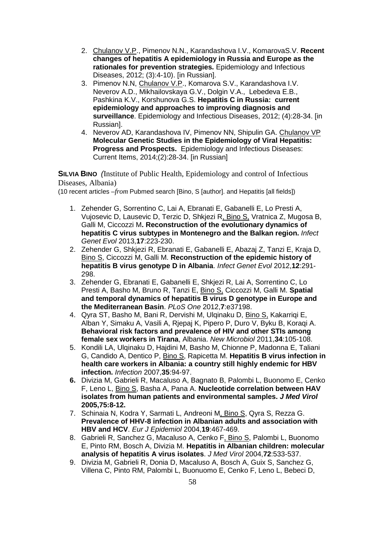- 2. Chulanov V.P., Pimenov N.N., Karandashova I.V., KomarovaS.V. **Recent changes of hepatitis A epidemiology in Russia and Europe as the rationales for prevention strategies.** Epidemiology and Infectious Diseases, 2012; (3):4-10). [in Russian].
- 3. Pimenov N.N, Chulanov V.P., Komarova S.V., Karandashova I.V. Neverov A.D., Mikhailovskaya G.V., Dolgin V.A., Lebedeva E.B., Pashkina K.V., Korshunova G.S. **Hepatitis C in Russia: current epidemiology and approaches to improving diagnosis and surveillance**. Epidemiology and Infectious Diseases, 2012; (4):28-34. [in Russian].
- 4. Neverov AD, Karandashova IV, Pimenov NN, Shipulin GA. Chulanov VP **Molecular Genetic Studies in the Epidemiology of Viral Hepatitis: Progress and Prospects.** Epidemiology and Infectious Diseases: Current Items, 2014;(2):28-34. [in Russian]

**SILVIA BINO** *(*Institute of Public Health, Epidemiology and control of Infectious Diseases, Albania)

(10 recent articles –*from* Pubmed search [Bino, S [author]. and Hepatitis [all fields])

- 1. Zehender G, Sorrentino C, Lai A, Ebranati E, Gabanelli E, Lo Presti A, Vujosevic D, Lausevic D, Terzic D, Shkjezi R, Bino S, Vratnica Z, Mugosa B, Galli M, Ciccozzi M**. Reconstruction of the evolutionary dynamics of hepatitis C virus subtypes in Montenegro and the Balkan region.** *Infect Genet Evol* 2013,**17**:223-230.
- 2. Zehender G, Shkjezi R, Ebranati E, Gabanelli E, Abazaj Z, Tanzi E, Kraja D, Bino S, Ciccozzi M, Galli M. **Reconstruction of the epidemic history of hepatitis B virus genotype D in Albania**. *Infect Genet Evol* 2012,**12**:291- 298.
- 3. Zehender G, Ebranati E, Gabanelli E, Shkjezi R, Lai A, Sorrentino C, Lo Presti A, Basho M, Bruno R, Tanzi E, Bino S, Ciccozzi M, Galli M. **Spatial and temporal dynamics of hepatitis B virus D genotype in Europe and the Mediterranean Basin**. *PLoS One* 2012,**7**:e37198.
- 4. Qyra ST, Basho M, Bani R, Dervishi M, Ulqinaku D, Bino S, Kakarriqi E, Alban Y, Simaku A, Vasili A, Rjepaj K, Pipero P, Duro V, Byku B, Koraqi A. **Behavioral risk factors and prevalence of HIV and other STIs among female sex workers in Tirana**, Albania. *New Microbiol* 2011,**34**:105-108.
- 5. Kondili LA, Ulqinaku D, Hajdini M, Basho M, Chionne P, Madonna E, Taliani G, Candido A, Dentico P, Bino S, Rapicetta M. **Hepatitis B virus infection in health care workers in Albania: a country still highly endemic for HBV infection.** *Infection* 2007,**35**:94-97.
- **6.** Divizia M, Gabrieli R, Macaluso A, Bagnato B, Palombi L, Buonomo E, Cenko F, Leno L, Bino S, Basha A, Pana A. **Nucleotide correlation between HAV isolates from human patients and environmental samples.** *J Med Virol*  **2005,75:8-12.**
- 7. Schinaia N, Kodra Y, Sarmati L, Andreoni M, Bino S, Qyra S, Rezza G. **Prevalence of HHV-8 infection in Albanian adults and association with HBV and HCV**. *Eur J Epidemiol* 2004,**19**:467-469.
- 8. Gabrieli R, Sanchez G, Macaluso A, Cenko F, Bino S, Palombi L, Buonomo E, Pinto RM, Bosch A, Divizia M. **Hepatitis in Albanian children: molecular analysis of hepatitis A virus isolates**. *J Med Virol* 2004,**72**:533-537.
- 9. Divizia M, Gabrieli R, Donia D, Macaluso A, Bosch A, Guix S, Sanchez G, Villena C, Pinto RM, Palombi L, Buonuomo E, Cenko F, Leno L, Bebeci D,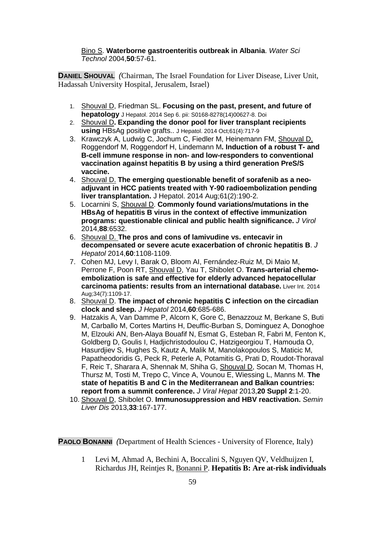### Bino S. **Waterborne gastroenteritis outbreak in Albania**. *Water Sci Technol* 2004,**50**:57-61.

**DANIEL SHOUVAL** *(*Chairman, The Israel Foundation for Liver Disease, Liver Unit, Hadassah University Hospital, Jerusalem, Israel)

- 1. Shouval D, Friedman SL. **Focusing on the past, present, and future of hepatology** J Hepatol. 2014 Sep 6. pii: S0168-8278(14)00627-8. Doi
- 2. Shouval D**. Expanding the donor pool for liver transplant recipients using** HBsAg positive grafts.. J Hepatol. 2014 Oct;61(4):717-9
- 3. Krawczyk A, Ludwig C, Jochum C, Fiedler M, Heinemann FM, Shouval D, Roggendorf M, Roggendorf H, Lindemann M**. Induction of a robust T- and B-cell immune response in non- and low-responders to conventional vaccination against hepatitis B by using a third generation PreS/S vaccine.**
- 4. Shouval D. **The emerging questionable benefit of sorafenib as a neoadjuvant in HCC patients treated with Y-90 radioembolization pending liver transplantation.** J Hepatol. 2014 Aug;61(2):190-2.
- 5. Locarnini S, Shouval D. **Commonly found variations/mutations in the HBsAg of hepatitis B virus in the context of effective immunization programs: questionable clinical and public health significance.** *J Virol*  2014,**88**:6532.
- 6. Shouval D. **The pros and cons of lamivudine vs. entecavir in decompensated or severe acute exacerbation of chronic hepatitis B**. *J Hepatol* 2014,**60**:1108-1109.
- 7. Cohen MJ, Levy I, Barak O, Bloom AI, Fernández-Ruiz M, Di Maio M, Perrone F, Poon RT, Shouval D, Yau T, Shibolet O. **Trans-arterial chemoembolization is safe and effective for elderly advanced hepatocellular carcinoma patients: results from an international database.** Liver Int. 2014 Aug;34(7):1109-17.
- 8. Shouval D. **The impact of chronic hepatitis C infection on the circadian clock and sleep.** *J Hepatol* 2014,**60**:685-686.
- 9. Hatzakis A, Van Damme P, Alcorn K, Gore C, Benazzouz M, Berkane S, Buti M, Carballo M, Cortes Martins H, Deuffic-Burban S, Dominguez A, Donoghoe M, Elzouki AN, Ben-Alaya Bouafif N, Esmat G, Esteban R, Fabri M, Fenton K, Goldberg D, Goulis I, Hadjichristodoulou C, Hatzigeorgiou T, Hamouda O, Hasurdjiev S, Hughes S, Kautz A, Malik M, Manolakopoulos S, Maticic M, Papatheodoridis G, Peck R, Peterle A, Potamitis G, Prati D, Roudot-Thoraval F, Reic T, Sharara A, Shennak M, Shiha G, Shouval D, Socan M, Thomas H, Thursz M, Tosti M, Trepo C, Vince A, Vounou E, Wiessing L, Manns M. **The state of hepatitis B and C in the Mediterranean and Balkan countries: report from a summit conference.** *J Viral Hepat* 2013,**20 Suppl 2**:1-20.
- 10. Shouval D, Shibolet O. **Immunosuppression and HBV reactivation.** *Semin Liver Dis* 2013,**33**:167-177.

**PAOLO BONANNI** *(*Department of Health Sciences - University of Florence, Italy)

1 Levi M, Ahmad A, Bechini A, Boccalini S, Nguyen QV, Veldhuijzen I, Richardus JH, Reintjes R, Bonanni P. **Hepatitis B: Are at-risk individuals**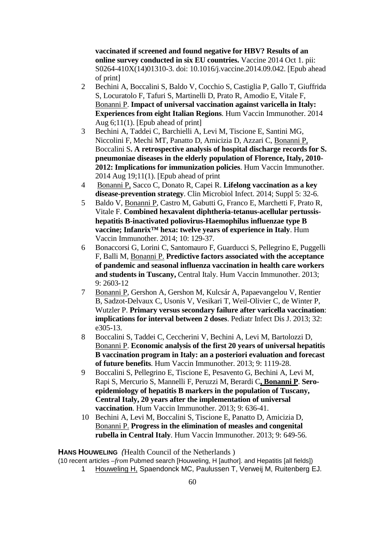**vaccinated if screened and found negative for HBV? Results of an online survey conducted in six EU countries.** Vaccine 2014 Oct 1. pii: S0264-410X(14)01310-3. doi: 10.1016/j.vaccine.2014.09.042. [Epub ahead of print]

- 2 Bechini A, Boccalini S, Baldo V, Cocchio S, Castiglia P, Gallo T, Giuffrida S, Locuratolo F, Tafuri S, Martinelli D, Prato R, Amodio E, Vitale F, Bonanni P. **Impact of universal vaccination against varicella in Italy: Experiences from eight Italian Regions**. Hum Vaccin Immunother. 2014 Aug 6;11(1). [Epub ahead of print]
- 3 Bechini A, Taddei C, Barchielli A, Levi M, Tiscione E, Santini MG, Niccolini F, Mechi MT, Panatto D, Amicizia D, Azzari C, Bonanni P, Boccalini S**. A retrospective analysis of hospital discharge records for S. pneumoniae diseases in the elderly population of Florence, Italy, 2010- 2012: Implications for immunization policies**. Hum Vaccin Immunother. 2014 Aug 19;11(1). [Epub ahead of print
- 4 Bonanni P, Sacco C, Donato R, Capei R. **Lifelong vaccination as a key disease-prevention strategy**. Clin Microbiol Infect. 2014; Suppl 5: 32-6.
- 5 Baldo V, Bonanni P, Castro M, Gabutti G, Franco E, Marchetti F, Prato R, Vitale F. **Combined hexavalent diphtheria-tetanus-acellular pertussishepatitis B-inactivated poliovirus-Haemophilus influenzae type B vaccine; Infanrix™ hexa: twelve years of experience in Italy**. Hum Vaccin Immunother. 2014; 10: 129-37.
- 6 Bonaccorsi G, Lorini C, Santomauro F, Guarducci S, Pellegrino E, Puggelli F, Balli M, Bonanni P. **Predictive factors associated with the acceptance of pandemic and seasonal influenza vaccination in health care workers and students in Tuscany,** Central Italy. Hum Vaccin Immunother. 2013; 9: 2603-12
- 7 Bonanni P, Gershon A, Gershon M, Kulcsár A, Papaevangelou V, Rentier B, Sadzot-Delvaux C, Usonis V, Vesikari T, Weil-Olivier C, de Winter P, Wutzler P. **Primary versus secondary failure after varicella vaccination**: **implications for interval between 2 doses**. Pediatr Infect Dis J. 2013; 32: e305-13.
- 8 Boccalini S, Taddei C, Ceccherini V, Bechini A, Levi M, Bartolozzi D, Bonanni P. **Economic analysis of the first 20 years of universal hepatitis B vaccination program in Italy: an a posteriori evaluation and forecast of future benefits**. Hum Vaccin Immunother. 2013; 9: 1119-28.
- 9 Boccalini S, Pellegrino E, Tiscione E, Pesavento G, Bechini A, Levi M, Rapi S, Mercurio S, Mannelli F, Peruzzi M, Berardi C**, Bonanni P**. **Seroepidemiology of hepatitis B markers in the population of Tuscany, Central Italy, 20 years after the implementation of universal vaccination**. Hum Vaccin Immunother. 2013; 9: 636-41.
- 10 Bechini A, Levi M, Boccalini S, Tiscione E, Panatto D, Amicizia D, Bonanni P. **Progress in the elimination of measles and congenital rubella in Central Italy**. Hum Vaccin Immunother. 2013; 9: 649-56.

**HANS HOUWELING** *(*Health Council of the Netherlands )

(10 recent articles –*from* Pubmed search [Houweling, H [author]. and Hepatitis [all fields])

1 Houweling H, Spaendonck MC, Paulussen T, Verweij M, Ruitenberg EJ.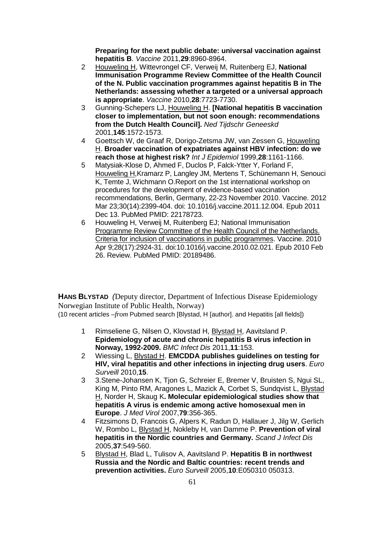**Preparing for the next public debate: universal vaccination against hepatitis B**. *Vaccine* 2011,**29**:8960-8964.

- 2 Houweling H, Wittevrongel CF, Verweij M, Ruitenberg EJ, **National Immunisation Programme Review Committee of the Health Council of the N. Public vaccination programmes against hepatitis B in The Netherlands: assessing whether a targeted or a universal approach is appropriate**. *Vaccine* 2010,**28**:7723-7730.
- 3 Gunning-Schepers LJ, Houweling H. **[National hepatitis B vaccination closer to implementation, but not soon enough: recommendations from the Dutch Health Council].** *Ned Tijdschr Geneeskd*  2001,**145**:1572-1573.
- 4 Goettsch W, de Graaf R, Dorigo-Zetsma JW, van Zessen G, Houweling H. **Broader vaccination of expatriates against HBV infection: do we reach those at highest risk?** *Int J Epidemiol* 1999,**28**:1161-1166.
- 5 Matysiak-Klose D, Ahmed F, Duclos P, Falck-Ytter Y, Forland F, Houweling H,Kramarz P, Langley JM, Mertens T, Schünemann H, Senouci K, Temte J, Wichmann O.Report on the 1st international workshop on procedures for the development of evidence-based vaccination recommendations, Berlin, Germany, 22-23 November 2010. Vaccine. 2012 Mar 23;30(14):2399-404. doi: 10.1016/j.vaccine.2011.12.004. Epub 2011 Dec 13. PubMed PMID: 22178723.
- 6 Houweling H, Verweij M, Ruitenberg EJ; National Immunisation Programme Review Committee of the Health Council of the Netherlands. Criteria for inclusion of vaccinations in public programmes. Vaccine. 2010 Apr 9;28(17):2924-31. doi:10.1016/j.vaccine.2010.02.021. Epub 2010 Feb 26. Review. PubMed PMID: 20189486.

**HANS BLYSTAD** *(*Deputy director, Department of Infectious Disease Epidemiology Norwegian Institute of Public Health, Norway)

(10 recent articles –*from* Pubmed search [Blystad, H [author]. and Hepatitis [all fields])

- 1 Rimseliene G, Nilsen O, Klovstad H, Blystad H, Aavitsland P. **Epidemiology of acute and chronic hepatitis B virus infection in Norway, 1992-2009.** *BMC Infect Dis* 2011,**11**:153.
- 2 Wiessing L, Blystad H. **EMCDDA publishes guidelines on testing for HIV, viral hepatitis and other infections in injecting drug users**. *Euro Surveill* 2010,**15**.
- 3 3.Stene-Johansen K, Tjon G, Schreier E, Bremer V, Bruisten S, Ngui SL, King M, Pinto RM, Aragones L, Mazick A, Corbet S, Sundqvist L, Blystad H, Norder H, Skaug K**. Molecular epidemiological studies show that hepatitis A virus is endemic among active homosexual men in Europe**. *J Med Virol* 2007,**79**:356-365.
- 4 Fitzsimons D, Francois G, Alpers K, Radun D, Hallauer J, Jilg W, Gerlich W, Rombo L, Blystad H, Nokleby H, van Damme P. **Prevention of viral hepatitis in the Nordic countries and Germany.** *Scand J Infect Dis*  2005,**37**:549-560.
- 5 Blystad H, Blad L, Tulisov A, Aavitsland P. **Hepatitis B in northwest Russia and the Nordic and Baltic countries: recent trends and prevention activities.** *Euro Surveill* 2005,**10**:E050310 050313.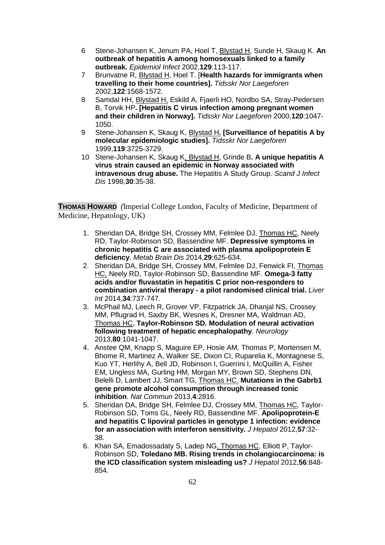- 6 Stene-Johansen K, Jenum PA, Hoel T, Blystad H, Sunde H, Skaug K. **An outbreak of hepatitis A among homosexuals linked to a family outbreak.** *Epidemiol Infect* 2002,**129**:113-117.
- 7 Brunvatne R, Blystad H, Hoel T. [**Health hazards for immigrants when travelling to their home countries].** *Tidsskr Nor Laegeforen*  2002,**122**:1568-1572.
- 8 Samdal HH, Blystad H, Eskild A, Fjaerli HO, Nordbo SA, Stray-Pedersen B, Torvik HP**. [Hepatitis C virus infection among pregnant women and their children in Norway].** *Tidsskr Nor Laegeforen* 2000,**120**:1047- 1050.
- 9 Stene-Johansen K, Skaug K, Blystad H**. [Surveillance of hepatitis A by molecular epidemiologic studies].** *Tidsskr Nor Laegeforen*  1999,**119**:3725-3729.
- 10 Stene-Johansen K, Skaug K, Blystad H, Grinde B**. A unique hepatitis A virus strain caused an epidemic in Norway associated with intravenous drug abuse.** The Hepatitis A Study Group. *Scand J Infect Dis* 1998,**30**:35-38.

**THOMAS HOWARD** *(*Imperial College London, Faculty of Medicine, Department of Medicine, Hepatology, UK)

- 1. Sheridan DA, Bridge SH, Crossey MM, Felmlee DJ, Thomas HC, Neely RD, Taylor-Robinson SD, Bassendine MF. **Depressive symptoms in chronic hepatitis C are associated with plasma apolipoprotein E deficiency**. *Metab Brain Dis* 2014,**29**:625-634.
- 2. Sheridan DA, Bridge SH, Crossey MM, Felmlee DJ, Fenwick FI, Thomas HC, Neely RD, Taylor-Robinson SD, Bassendine MF. **Omega-3 fatty acids and/or fluvastatin in hepatitis C prior non-responders to combination antiviral therapy - a pilot randomised clinical trial.** *Liver Int* 2014,**34**:737-747.
- 3. McPhail MJ, Leech R, Grover VP, Fitzpatrick JA, Dhanjal NS, Crossey MM, Pflugrad H, Saxby BK, Wesnes K, Dresner MA, Waldman AD, Thomas HC, **Taylor-Robinson SD. Modulation of neural activation following treatment of hepatic encephalopathy**. *Neurology*  2013,**80**:1041-1047.
- 4. Anstee QM, Knapp S, Maguire EP, Hosie AM, Thomas P, Mortensen M, Bhome R, Martinez A, Walker SE, Dixon CI, Ruparelia K, Montagnese S, Kuo YT, Herlihy A, Bell JD, Robinson I, Guerrini I, McQuillin A, Fisher EM, Ungless MA, Gurling HM, Morgan MY, Brown SD, Stephens DN, Belelli D, Lambert JJ, Smart TG, Thomas HC. **Mutations in the Gabrb1 gene promote alcohol consumption through increased tonic inhibition**. *Nat Commun* 2013,**4**:2816.
- 5. Sheridan DA, Bridge SH, Felmlee DJ, Crossey MM, Thomas HC, Taylor-Robinson SD, Toms GL, Neely RD, Bassendine MF. **Apolipoprotein-E and hepatitis C lipoviral particles in genotype 1 infection: evidence for an association with interferon sensitivity.** *J Hepatol* 2012,**57**:32- 38.
- 6. Khan SA, Emadossadaty S, Ladep NG, Thomas HC, Elliott P, Taylor-Robinson SD, **Toledano MB. Rising trends in cholangiocarcinoma: is the ICD classification system misleading us?** *J Hepatol* 2012,**56**:848- 854.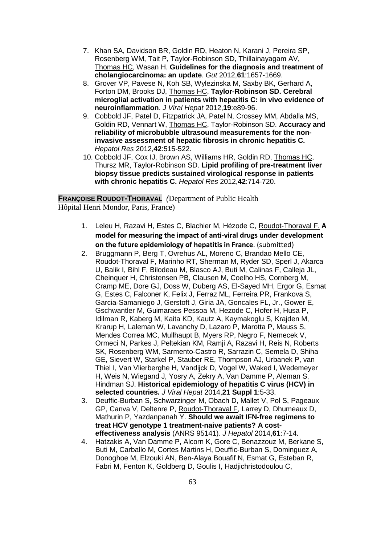- 7. Khan SA, Davidson BR, Goldin RD, Heaton N, Karani J, Pereira SP, Rosenberg WM, Tait P, Taylor-Robinson SD, Thillainayagam AV, Thomas HC, Wasan H. **Guidelines for the diagnosis and treatment of cholangiocarcinoma: an update**. *Gut* 2012,**61**:1657-1669.
- 8. Grover VP, Pavese N, Koh SB, Wylezinska M, Saxby BK, Gerhard A, Forton DM, Brooks DJ, Thomas HC, **Taylor-Robinson SD. Cerebral microglial activation in patients with hepatitis C: in vivo evidence of neuroinflammation**. *J Viral Hepat* 2012,**19**:e89-96.
- 9. Cobbold JF, Patel D, Fitzpatrick JA, Patel N, Crossey MM, Abdalla MS, Goldin RD, Vennart W, Thomas HC, Taylor-Robinson SD. **Accuracy and reliability of microbubble ultrasound measurements for the noninvasive assessment of hepatic fibrosis in chronic hepatitis C.** *Hepatol Res* 2012,**42**:515-522.
- 10. Cobbold JF, Cox IJ, Brown AS, Williams HR, Goldin RD, Thomas HC, Thursz MR, Taylor-Robinson SD. **Lipid profiling of pre-treatment liver biopsy tissue predicts sustained virological response in patients with chronic hepatitis C.** *Hepatol Res* 2012,**42**:714-720.

**FRANÇOISE ROUDOT-THORAVAL** *(*Department of Public Health Hôpital Henri Mondor, Paris, France)

- 1. Leleu H, Razavi H, Estes C, Blachier M, Hézode C, Roudot-Thoraval F. **A model for measuring the impact of anti-viral drugs under development on the future epidemiology of hepatitis in France**. (submitted)
- 2. Bruggmann P, Berg T, Ovrehus AL, Moreno C, Brandao Mello CE, Roudot-Thoraval F, Marinho RT, Sherman M, Ryder SD, Sperl J, Akarca U, Balik I, Bihl F, Bilodeau M, Blasco AJ, Buti M, Calinas F, Calleja JL, Cheinquer H, Christensen PB, Clausen M, Coelho HS, Cornberg M, Cramp ME, Dore GJ, Doss W, Duberg AS, El-Sayed MH, Ergor G, Esmat G, Estes C, Falconer K, Felix J, Ferraz ML, Ferreira PR, Frankova S, Garcia-Samaniego J, Gerstoft J, Giria JA, Goncales FL, Jr., Gower E, Gschwantler M, Guimaraes Pessoa M, Hezode C, Hofer H, Husa P, Idilman R, Kaberg M, Kaita KD, Kautz A, Kaymakoglu S, Krajden M, Krarup H, Laleman W, Lavanchy D, Lazaro P, Marotta P, Mauss S, Mendes Correa MC, Mullhaupt B, Myers RP, Negro F, Nemecek V, Ormeci N, Parkes J, Peltekian KM, Ramji A, Razavi H, Reis N, Roberts SK, Rosenberg WM, Sarmento-Castro R, Sarrazin C, Semela D, Shiha GE, Sievert W, Starkel P, Stauber RE, Thompson AJ, Urbanek P, van Thiel I, Van Vlierberghe H, Vandijck D, Vogel W, Waked I, Wedemeyer H, Weis N, Wiegand J, Yosry A, Zekry A, Van Damme P, Aleman S, Hindman SJ. **Historical epidemiology of hepatitis C virus (HCV) in selected countries.** *J Viral Hepat* 2014,**21 Suppl 1**:5-33.
- 3. Deuffic-Burban S, Schwarzinger M, Obach D, Mallet V, Pol S, Pageaux GP, Canva V, Deltenre P, Roudot-Thoraval F, Larrey D, Dhumeaux D, Mathurin P, Yazdanpanah Y. **Should we await IFN-free regimens to treat HCV genotype 1 treatment-naive patients? A costeffectiveness analysis** (ANRS 95141). *J Hepatol* 2014,**61**:7-14.
- 4. Hatzakis A, Van Damme P, Alcorn K, Gore C, Benazzouz M, Berkane S, Buti M, Carballo M, Cortes Martins H, Deuffic-Burban S, Dominguez A, Donoghoe M, Elzouki AN, Ben-Alaya Bouafif N, Esmat G, Esteban R, Fabri M, Fenton K, Goldberg D, Goulis I, Hadjichristodoulou C,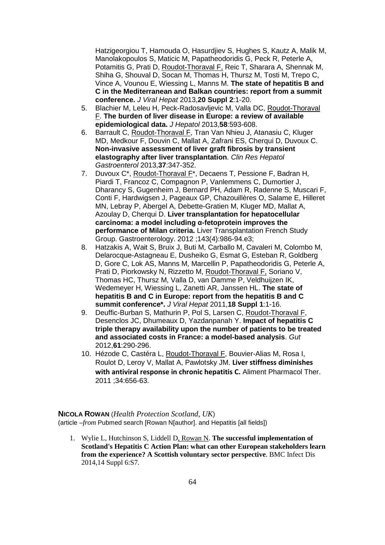Hatzigeorgiou T, Hamouda O, Hasurdjiev S, Hughes S, Kautz A, Malik M, Manolakopoulos S, Maticic M, Papatheodoridis G, Peck R, Peterle A, Potamitis G, Prati D, Roudot-Thoraval F, Reic T, Sharara A, Shennak M, Shiha G, Shouval D, Socan M, Thomas H, Thursz M, Tosti M, Trepo C, Vince A, Vounou E, Wiessing L, Manns M. **The state of hepatitis B and C in the Mediterranean and Balkan countries: report from a summit conference.** *J Viral Hepat* 2013,**20 Suppl 2**:1-20.

- 5. Blachier M, Leleu H, Peck-Radosavljevic M, Valla DC, Roudot-Thoraval F. **The burden of liver disease in Europe: a review of available epidemiological data.** *J Hepatol* 2013,**58**:593-608.
- 6. Barrault C, Roudot-Thoraval F, Tran Van Nhieu J, Atanasiu C, Kluger MD, Medkour F, Douvin C, Mallat A, Zafrani ES, Cherqui D, Duvoux C. **Non-invasive assessment of liver graft fibrosis by transient elastography after liver transplantation**. *Clin Res Hepatol Gastroenterol* 2013,**37**:347-352.
- 7. Duvoux C\*, Roudot-Thoraval F\*, Decaens T, Pessione F, Badran H, Piardi T, Francoz C, Compagnon P, Vanlemmens C, Dumortier J, Dharancy S, Gugenheim J, Bernard PH, Adam R, Radenne S, Muscari F, Conti F, Hardwigsen J, Pageaux GP, Chazouillères O, Salame E, Hilleret MN, Lebray P, Abergel A, Debette-Gratien M, Kluger MD, Mallat A, Azoulay D, Cherqui D. **Liver transplantation for hepatocellular carcinoma: a model including α-fetoprotein improves the performance of Milan criteria.** Liver Transplantation French Study Group. Gastroenterology. 2012 ;143(4):986-94.e3;
- 8. Hatzakis A, Wait S, Bruix J, Buti M, Carballo M, Cavaleri M, Colombo M, Delarocque-Astagneau E, Dusheiko G, Esmat G, Esteban R, Goldberg D, Gore C, Lok AS, Manns M, Marcellin P, Papatheodoridis G, Peterle A, Prati D, Piorkowsky N, Rizzetto M, Roudot-Thoraval F, Soriano V, Thomas HC, Thursz M, Valla D, van Damme P, Veldhuijzen IK, Wedemeyer H, Wiessing L, Zanetti AR, Janssen HL. **The state of hepatitis B and C in Europe: report from the hepatitis B and C summit conference\*.** *J Viral Hepat* 2011,**18 Suppl 1**:1-16.
- 9. Deuffic-Burban S, Mathurin P, Pol S, Larsen C, Roudot-Thoraval F, Desenclos JC, Dhumeaux D, Yazdanpanah Y. **Impact of hepatitis C triple therapy availability upon the number of patients to be treated and associated costs in France: a model-based analysis**. *Gut*  2012,**61**:290-296.
- 10. Hézode C, Castéra L, Roudot-Thoraval F, Bouvier-Alias M, Rosa I, Roulot D, Leroy V, Mallat A, Pawlotsky JM. **[Liver stiffness diminishes](http://www.ncbi.nlm.nih.gov/pubmed/21752038)  [with antiviral response in chronic hepatitis C.](http://www.ncbi.nlm.nih.gov/pubmed/21752038)** Aliment Pharmacol Ther. 2011 ;34:656-63.

# **NICOLA ROWAN** (*Health Protection Scotland, UK*) (article –*from* Pubmed search [Rowan N[author]. and Hepatitis [all fields])

1. Wylie L, Hutchinson S, Liddell D, Rowan N. **The successful implementation of Scotland's Hepatitis C Action Plan: what can other European stakeholders learn from the experience? A Scottish voluntary sector perspective**. BMC Infect Dis 2014,14 Suppl 6:S7.